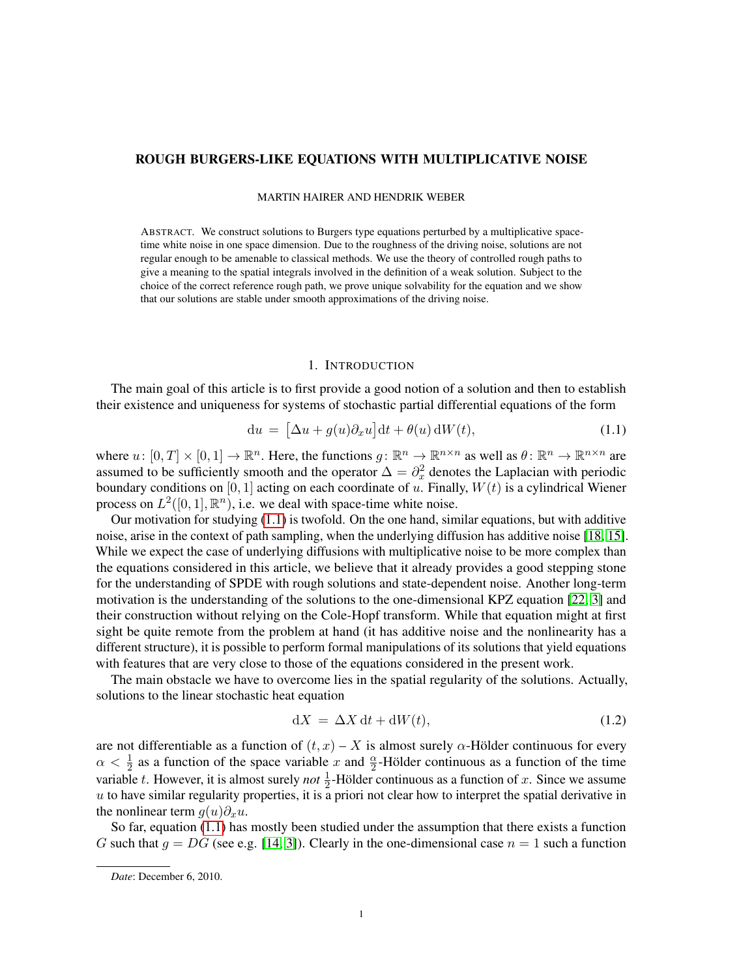# ROUGH BURGERS-LIKE EQUATIONS WITH MULTIPLICATIVE NOISE

### MARTIN HAIRER AND HENDRIK WEBER

ABSTRACT. We construct solutions to Burgers type equations perturbed by a multiplicative spacetime white noise in one space dimension. Due to the roughness of the driving noise, solutions are not regular enough to be amenable to classical methods. We use the theory of controlled rough paths to give a meaning to the spatial integrals involved in the definition of a weak solution. Subject to the choice of the correct reference rough path, we prove unique solvability for the equation and we show that our solutions are stable under smooth approximations of the driving noise.

## <span id="page-0-0"></span>1. INTRODUCTION

The main goal of this article is to first provide a good notion of a solution and then to establish their existence and uniqueness for systems of stochastic partial differential equations of the form

$$
du = \left[\Delta u + g(u)\partial_x u\right]dt + \theta(u) dW(t),\tag{1.1}
$$

where  $u: [0, T] \times [0, 1] \to \mathbb{R}^n$ . Here, the functions  $g: \mathbb{R}^n \to \mathbb{R}^{n \times n}$  as well as  $\theta: \mathbb{R}^n \to \mathbb{R}^{n \times n}$  are assumed to be sufficiently smooth and the operator  $\Delta = \partial_x^2$  denotes the Laplacian with periodic boundary conditions on [0, 1] acting on each coordinate of  $u$ . Finally,  $W(t)$  is a cylindrical Wiener process on  $L^2([0,1], \mathbb{R}^n)$ , i.e. we deal with space-time white noise.

Our motivation for studying  $(1.1)$  is twofold. On the one hand, similar equations, but with additive noise, arise in the context of path sampling, when the underlying diffusion has additive noise [\[18,](#page-41-0) [15\]](#page-41-1). While we expect the case of underlying diffusions with multiplicative noise to be more complex than the equations considered in this article, we believe that it already provides a good stepping stone for the understanding of SPDE with rough solutions and state-dependent noise. Another long-term motivation is the understanding of the solutions to the one-dimensional KPZ equation [\[22,](#page-41-2) [3\]](#page-41-3) and their construction without relying on the Cole-Hopf transform. While that equation might at first sight be quite remote from the problem at hand (it has additive noise and the nonlinearity has a different structure), it is possible to perform formal manipulations of its solutions that yield equations with features that are very close to those of the equations considered in the present work.

The main obstacle we have to overcome lies in the spatial regularity of the solutions. Actually, solutions to the linear stochastic heat equation

<span id="page-0-1"></span>
$$
dX = \Delta X dt + dW(t),
$$
\n(1.2)

are not differentiable as a function of  $(t, x) - X$  is almost surely  $\alpha$ -Hölder continuous for every  $\alpha < \frac{1}{2}$  as a function of the space variable x and  $\frac{\alpha}{2}$ -Hölder continuous as a function of the time variable t. However, it is almost surely *not*  $\frac{1}{2}$ -Hölder continuous as a function of x. Since we assume  $u$  to have similar regularity properties, it is a priori not clear how to interpret the spatial derivative in the nonlinear term  $g(u)\partial_x u$ .

So far, equation [\(1.1\)](#page-0-0) has mostly been studied under the assumption that there exists a function G such that  $g = DG$  (see e.g. [\[14,](#page-41-4) [3\]](#page-41-3)). Clearly in the one-dimensional case  $n = 1$  such a function

*Date*: December 6, 2010.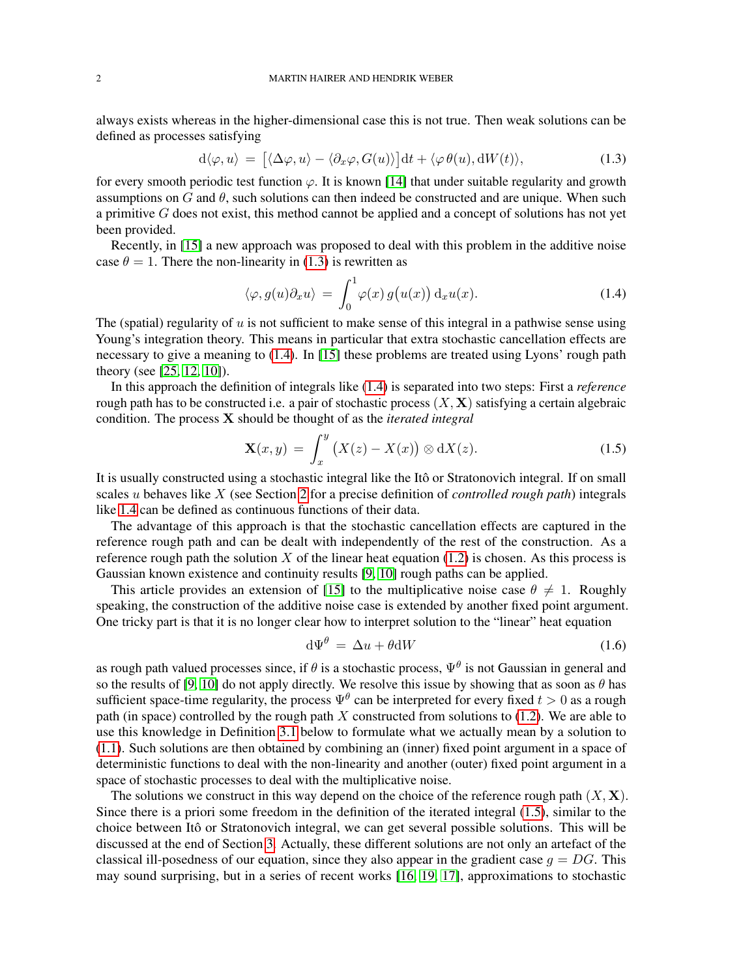always exists whereas in the higher-dimensional case this is not true. Then weak solutions can be defined as processes satisfying

$$
d\langle \varphi, u \rangle = [ \langle \Delta \varphi, u \rangle - \langle \partial_x \varphi, G(u) \rangle ] dt + \langle \varphi \theta(u), dW(t) \rangle,
$$
 (1.3)

for every smooth periodic test function  $\varphi$ . It is known [\[14\]](#page-41-4) that under suitable regularity and growth assumptions on  $G$  and  $\theta$ , such solutions can then indeed be constructed and are unique. When such a primitive G does not exist, this method cannot be applied and a concept of solutions has not yet been provided.

Recently, in [\[15\]](#page-41-1) a new approach was proposed to deal with this problem in the additive noise case  $\theta = 1$ . There the non-linearity in [\(1.3\)](#page-1-0) is rewritten as

<span id="page-1-1"></span><span id="page-1-0"></span>
$$
\langle \varphi, g(u)\partial_x u \rangle = \int_0^1 \varphi(x) g(u(x)) \, \mathrm{d}_x u(x). \tag{1.4}
$$

The (spatial) regularity of  $u$  is not sufficient to make sense of this integral in a pathwise sense using Young's integration theory. This means in particular that extra stochastic cancellation effects are necessary to give a meaning to [\(1.4\)](#page-1-1). In [\[15\]](#page-41-1) these problems are treated using Lyons' rough path theory (see [\[25,](#page-41-5) [12,](#page-41-6) [10\]](#page-41-7)).

In this approach the definition of integrals like [\(1.4\)](#page-1-1) is separated into two steps: First a *reference* rough path has to be constructed i.e. a pair of stochastic process  $(X, X)$  satisfying a certain algebraic condition. The process X should be thought of as the *iterated integral*

<span id="page-1-2"></span>
$$
\mathbf{X}(x,y) = \int_{x}^{y} \left( X(z) - X(x) \right) \otimes \mathrm{d}X(z). \tag{1.5}
$$

It is usually constructed using a stochastic integral like the Itô or Stratonovich integral. If on small scales u behaves like X (see Section [2](#page-3-0) for a precise definition of *controlled rough path*) integrals like [1.4](#page-1-1) can be defined as continuous functions of their data.

The advantage of this approach is that the stochastic cancellation effects are captured in the reference rough path and can be dealt with independently of the rest of the construction. As a reference rough path the solution X of the linear heat equation  $(1.2)$  is chosen. As this process is Gaussian known existence and continuity results [\[9,](#page-41-8) [10\]](#page-41-7) rough paths can be applied.

This article provides an extension of [\[15\]](#page-41-1) to the multiplicative noise case  $\theta \neq 1$ . Roughly speaking, the construction of the additive noise case is extended by another fixed point argument. One tricky part is that it is no longer clear how to interpret solution to the "linear" heat equation

$$
d\Psi^{\theta} = \Delta u + \theta dW \tag{1.6}
$$

as rough path valued processes since, if  $\theta$  is a stochastic process,  $\Psi^{\theta}$  is not Gaussian in general and so the results of [\[9,](#page-41-8) [10\]](#page-41-7) do not apply directly. We resolve this issue by showing that as soon as  $\theta$  has sufficient space-time regularity, the process  $\Psi^{\theta}$  can be interpreted for every fixed  $t > 0$  as a rough path (in space) controlled by the rough path  $X$  constructed from solutions to [\(1.2\)](#page-0-1). We are able to use this knowledge in Definition [3.1](#page-8-0) below to formulate what we actually mean by a solution to [\(1.1\)](#page-0-0). Such solutions are then obtained by combining an (inner) fixed point argument in a space of deterministic functions to deal with the non-linearity and another (outer) fixed point argument in a space of stochastic processes to deal with the multiplicative noise.

The solutions we construct in this way depend on the choice of the reference rough path  $(X, X)$ . Since there is a priori some freedom in the definition of the iterated integral [\(1.5\)](#page-1-2), similar to the choice between Itô or Stratonovich integral, we can get several possible solutions. This will be discussed at the end of Section [3.](#page-8-1) Actually, these different solutions are not only an artefact of the classical ill-posedness of our equation, since they also appear in the gradient case  $g = DG$ . This may sound surprising, but in a series of recent works [\[16,](#page-41-9) [19,](#page-41-10) [17\]](#page-41-11), approximations to stochastic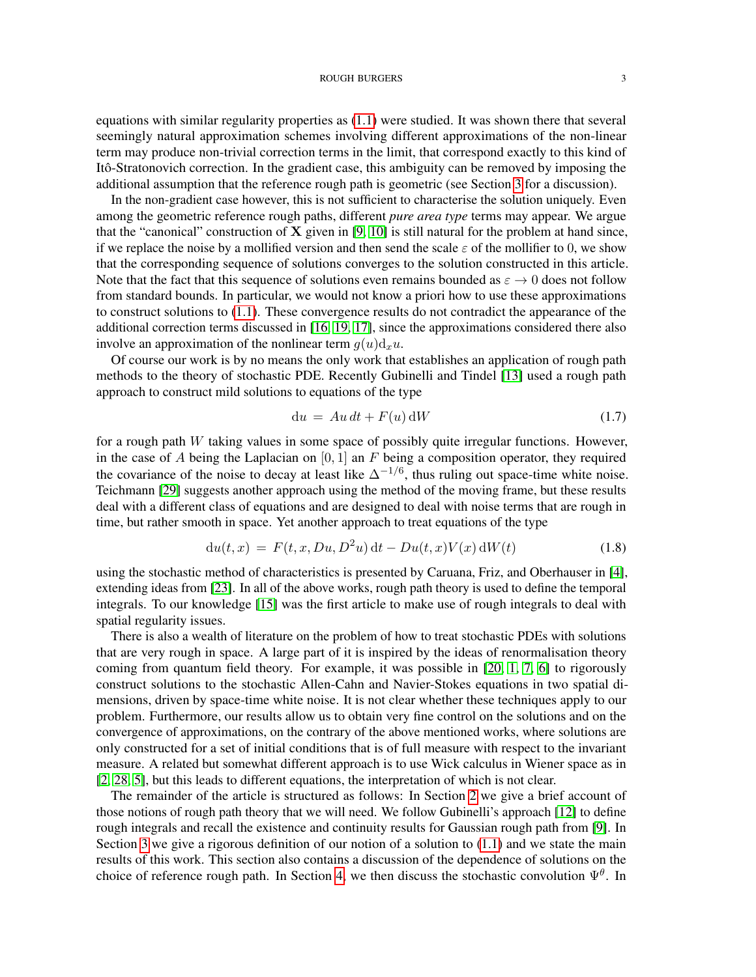equations with similar regularity properties as [\(1.1\)](#page-0-0) were studied. It was shown there that several seemingly natural approximation schemes involving different approximations of the non-linear term may produce non-trivial correction terms in the limit, that correspond exactly to this kind of Itô-Stratonovich correction. In the gradient case, this ambiguity can be removed by imposing the additional assumption that the reference rough path is geometric (see Section [3](#page-8-1) for a discussion).

In the non-gradient case however, this is not sufficient to characterise the solution uniquely. Even among the geometric reference rough paths, different *pure area type* terms may appear. We argue that the "canonical" construction of  $X$  given in [\[9,](#page-41-8) [10\]](#page-41-7) is still natural for the problem at hand since, if we replace the noise by a mollified version and then send the scale  $\varepsilon$  of the mollifier to 0, we show that the corresponding sequence of solutions converges to the solution constructed in this article. Note that the fact that this sequence of solutions even remains bounded as  $\varepsilon \to 0$  does not follow from standard bounds. In particular, we would not know a priori how to use these approximations to construct solutions to [\(1.1\)](#page-0-0). These convergence results do not contradict the appearance of the additional correction terms discussed in [\[16,](#page-41-9) [19,](#page-41-10) [17\]](#page-41-11), since the approximations considered there also involve an approximation of the nonlinear term  $q(u) d_x u$ .

Of course our work is by no means the only work that establishes an application of rough path methods to the theory of stochastic PDE. Recently Gubinelli and Tindel [\[13\]](#page-41-12) used a rough path approach to construct mild solutions to equations of the type

$$
du = Au dt + F(u) dW \qquad (1.7)
$$

for a rough path  $W$  taking values in some space of possibly quite irregular functions. However, in the case of A being the Laplacian on  $[0, 1]$  an F being a composition operator, they required the covariance of the noise to decay at least like  $\Delta^{-1/6}$ , thus ruling out space-time white noise. Teichmann [\[29\]](#page-41-13) suggests another approach using the method of the moving frame, but these results deal with a different class of equations and are designed to deal with noise terms that are rough in time, but rather smooth in space. Yet another approach to treat equations of the type

$$
du(t, x) = F(t, x, Du, D2u) dt - Du(t, x)V(x) dW(t)
$$
\n(1.8)

using the stochastic method of characteristics is presented by Caruana, Friz, and Oberhauser in [\[4\]](#page-41-14), extending ideas from [\[23\]](#page-41-15). In all of the above works, rough path theory is used to define the temporal integrals. To our knowledge [\[15\]](#page-41-1) was the first article to make use of rough integrals to deal with spatial regularity issues.

There is also a wealth of literature on the problem of how to treat stochastic PDEs with solutions that are very rough in space. A large part of it is inspired by the ideas of renormalisation theory coming from quantum field theory. For example, it was possible in [\[20,](#page-41-16) [1,](#page-41-17) [7,](#page-41-18) [6\]](#page-41-19) to rigorously construct solutions to the stochastic Allen-Cahn and Navier-Stokes equations in two spatial dimensions, driven by space-time white noise. It is not clear whether these techniques apply to our problem. Furthermore, our results allow us to obtain very fine control on the solutions and on the convergence of approximations, on the contrary of the above mentioned works, where solutions are only constructed for a set of initial conditions that is of full measure with respect to the invariant measure. A related but somewhat different approach is to use Wick calculus in Wiener space as in [\[2,](#page-41-20) [28,](#page-41-21) [5\]](#page-41-22), but this leads to different equations, the interpretation of which is not clear.

The remainder of the article is structured as follows: In Section [2](#page-3-0) we give a brief account of those notions of rough path theory that we will need. We follow Gubinelli's approach [\[12\]](#page-41-6) to define rough integrals and recall the existence and continuity results for Gaussian rough path from [\[9\]](#page-41-8). In Section [3](#page-8-1) we give a rigorous definition of our notion of a solution to  $(1.1)$  and we state the main results of this work. This section also contains a discussion of the dependence of solutions on the choice of reference rough path. In Section [4,](#page-12-0) we then discuss the stochastic convolution  $\Psi^{\theta}$ . In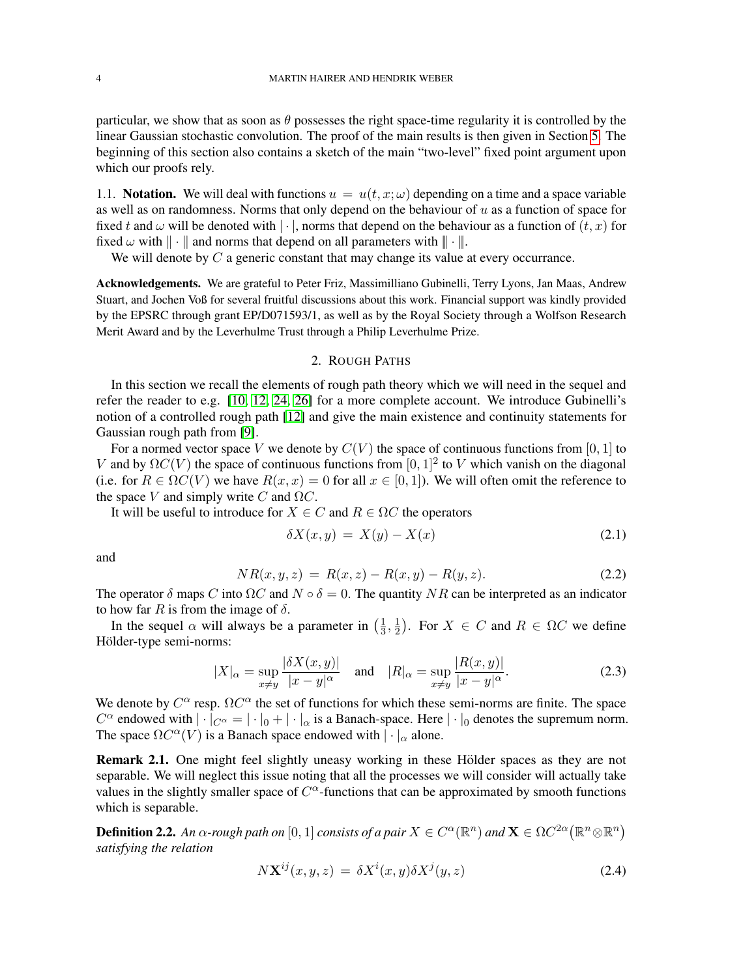particular, we show that as soon as  $\theta$  possesses the right space-time regularity it is controlled by the linear Gaussian stochastic convolution. The proof of the main results is then given in Section [5.](#page-24-0) The beginning of this section also contains a sketch of the main "two-level" fixed point argument upon which our proofs rely.

1.1. **Notation.** We will deal with functions  $u = u(t, x; \omega)$  depending on a time and a space variable as well as on randomness. Norms that only depend on the behaviour of  $u$  as a function of space for fixed t and  $\omega$  will be denoted with  $|\cdot|$ , norms that depend on the behaviour as a function of  $(t, x)$  for fixed  $\omega$  with  $\|\cdot\|$  and norms that depend on all parameters with  $\|\cdot\|$ .

We will denote by  $C$  a generic constant that may change its value at every occurrance.

Acknowledgements. We are grateful to Peter Friz, Massimilliano Gubinelli, Terry Lyons, Jan Maas, Andrew Stuart, and Jochen Voß for several fruitful discussions about this work. Financial support was kindly provided by the EPSRC through grant EP/D071593/1, as well as by the Royal Society through a Wolfson Research Merit Award and by the Leverhulme Trust through a Philip Leverhulme Prize.

## 2. ROUGH PATHS

<span id="page-3-0"></span>In this section we recall the elements of rough path theory which we will need in the sequel and refer the reader to e.g. [\[10,](#page-41-7) [12,](#page-41-6) [24,](#page-41-23) [26\]](#page-41-24) for a more complete account. We introduce Gubinelli's notion of a controlled rough path [\[12\]](#page-41-6) and give the main existence and continuity statements for Gaussian rough path from [\[9\]](#page-41-8).

For a normed vector space V we denote by  $C(V)$  the space of continuous functions from [0, 1] to V and by  $\Omega C(V)$  the space of continuous functions from  $[0, 1]^2$  to V which vanish on the diagonal (i.e. for  $R \in \Omega$ C(V) we have  $R(x, x) = 0$  for all  $x \in [0, 1]$ ). We will often omit the reference to the space V and simply write C and  $\Omega C$ .

It will be useful to introduce for  $X \in C$  and  $R \in \Omega C$  the operators

$$
\delta X(x,y) = X(y) - X(x) \tag{2.1}
$$

and

<span id="page-3-2"></span>
$$
NR(x, y, z) = R(x, z) - R(x, y) - R(y, z). \tag{2.2}
$$

The operator  $\delta$  maps C into  $\Omega C$  and  $N \circ \delta = 0$ . The quantity NR can be interpreted as an indicator to how far R is from the image of  $\delta$ .

In the sequel  $\alpha$  will always be a parameter in  $\left(\frac{1}{3}\right)$  $\frac{1}{3}, \frac{1}{2}$  $(\frac{1}{2})$ . For  $X \in C$  and  $R \in \Omega C$  we define Hölder-type semi-norms:

$$
|X|_{\alpha} = \sup_{x \neq y} \frac{|\delta X(x, y)|}{|x - y|^{\alpha}} \quad \text{and} \quad |R|_{\alpha} = \sup_{x \neq y} \frac{|R(x, y)|}{|x - y|^{\alpha}}.
$$
 (2.3)

We denote by  $C^{\alpha}$  resp.  $\Omega C^{\alpha}$  the set of functions for which these semi-norms are finite. The space  $C^{\alpha}$  endowed with  $|\cdot|_{C^{\alpha}} = |\cdot|_0 + |\cdot|_{\alpha}$  is a Banach-space. Here  $|\cdot|_0$  denotes the supremum norm. The space  $\Omega C^{\alpha}(V)$  is a Banach space endowed with  $|\cdot|_{\alpha}$  alone.

Remark 2.1. One might feel slightly uneasy working in these Hölder spaces as they are not separable. We will neglect this issue noting that all the processes we will consider will actually take values in the slightly smaller space of  $C^{\alpha}$ -functions that can be approximated by smooth functions which is separable.

**Definition 2.2.** An  $\alpha$ -rough path on  $[0,1]$  consists of a pair  $X \in C^{\alpha}(\mathbb{R}^n)$  and  $\mathbf{X} \in \Omega C^{2\alpha}(\mathbb{R}^n \otimes \mathbb{R}^n)$ *satisfying the relation*

<span id="page-3-1"></span>
$$
N\mathbf{X}^{ij}(x,y,z) = \delta X^i(x,y)\delta X^j(y,z)
$$
\n(2.4)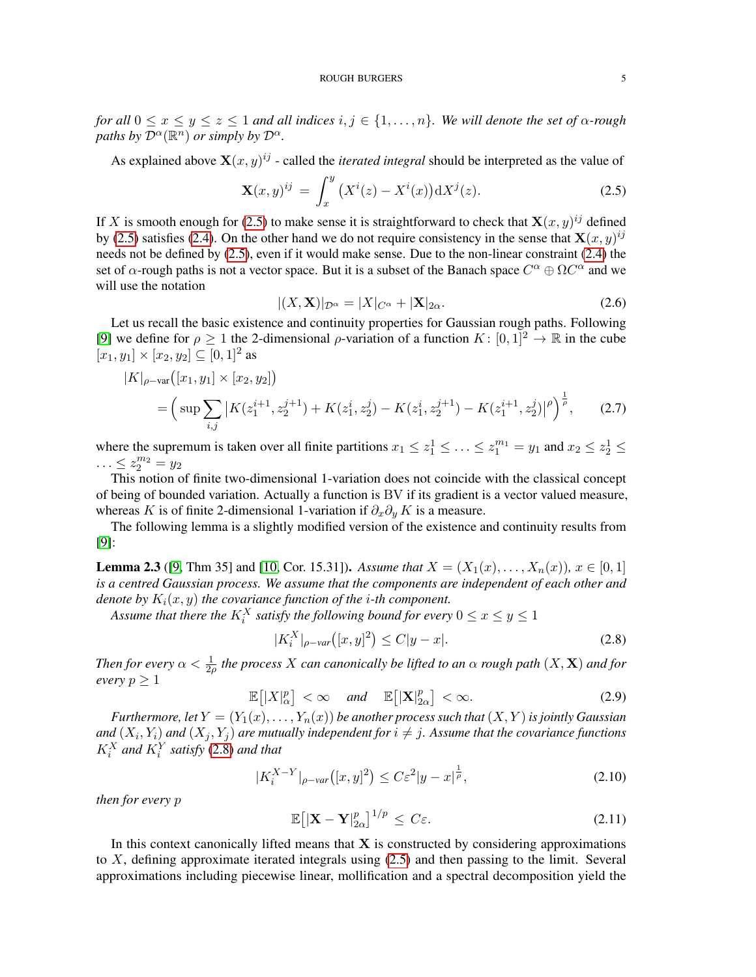*for all*  $0 \le x \le y \le z \le 1$  *and all indices*  $i, j \in \{1, ..., n\}$ *. We will denote the set of*  $\alpha$ *-rough paths by*  $\mathcal{D}^{\alpha}(\mathbb{R}^n)$  *or simply by*  $\mathcal{D}^{\alpha}$ *.* 

As explained above  $\mathbf{X}(x, y)^{ij}$  - called the *iterated integral* should be interpreted as the value of

$$
\mathbf{X}(x,y)^{ij} = \int_{x}^{y} (X^{i}(z) - X^{i}(x)) dX^{j}(z).
$$
 (2.5)

If X is smooth enough for [\(2.5\)](#page-4-0) to make sense it is straightforward to check that  $\mathbf{X}(x, y)^{ij}$  defined by [\(2.5\)](#page-4-0) satisfies [\(2.4\)](#page-3-1). On the other hand we do not require consistency in the sense that  $\mathbf{X}(x, y)^{ij}$ needs not be defined by [\(2.5\)](#page-4-0), even if it would make sense. Due to the non-linear constraint [\(2.4\)](#page-3-1) the set of  $\alpha$ -rough paths is not a vector space. But it is a subset of the Banach space  $C^{\alpha} \oplus \Omega C^{\alpha}$  and we will use the notation

<span id="page-4-0"></span>
$$
|(X, \mathbf{X})|_{\mathcal{D}^{\alpha}} = |X|_{C^{\alpha}} + |\mathbf{X}|_{2\alpha}.
$$
\n(2.6)

Let us recall the basic existence and continuity properties for Gaussian rough paths. Following [\[9\]](#page-41-8) we define for  $\rho \ge 1$  the 2-dimensional  $\rho$ -variation of a function  $K : [0,1]^2 \to \mathbb{R}$  in the cube  $[x_1, y_1] \times [x_2, y_2] \subseteq [0, 1]^2$  as

$$
|K|_{\rho-\text{var}}([x_1, y_1] \times [x_2, y_2])
$$
  
=  $\left(\sup \sum_{i,j} |K(z_1^{i+1}, z_2^{j+1}) + K(z_1^i, z_2^j) - K(z_1^i, z_2^{j+1}) - K(z_1^{i+1}, z_2^j)|^{\rho}\right)^{\frac{1}{\rho}},$  (2.7)

where the supremum is taken over all finite partitions  $x_1 \leq z_1^1 \leq \ldots \leq z_1^{m_1} = y_1$  and  $x_2 \leq z_2^1 \leq \ldots$  $\ldots \leq z_2^{m_2} = y_2$ 

This notion of finite two-dimensional 1-variation does not coincide with the classical concept of being of bounded variation. Actually a function is BV if its gradient is a vector valued measure, whereas K is of finite 2-dimensional 1-variation if  $\partial_x \partial_y K$  is a measure.

The following lemma is a slightly modified version of the existence and continuity results from [\[9\]](#page-41-8):

<span id="page-4-2"></span>**Lemma 2.3** ([\[9,](#page-41-8) Thm 35] and [\[10,](#page-41-7) Cor. 15.31]). Assume that  $X = (X_1(x), \ldots, X_n(x))$ ,  $x \in [0,1]$ *is a centred Gaussian process. We assume that the components are independent of each other and denote by*  $K_i(x, y)$  *the covariance function of the i-th component.* 

Assume that there the  $K^X_i$  satisfy the following bound for every  $0 \leq x \leq y \leq 1$ 

<span id="page-4-1"></span>
$$
|K_i^X|_{\rho - var}([x, y]^2) \le C|y - x|.
$$
\n(2.8)

*Then for every*  $\alpha < \frac{1}{2\rho}$  the process  $X$  can canonically be lifted to an  $\alpha$  rough path  $(X, \mathbf{X})$  and for *every*  $p \geq 1$ 

$$
\mathbb{E}\left[\left|X\right|_{\alpha}^{p}\right]<\infty \quad \text{and} \quad \mathbb{E}\left[\left|\mathbf{X}\right|_{2\alpha}^{p}\right]<\infty.
$$
 (2.9)

*Furthermore, let*  $Y = (Y_1(x), \ldots, Y_n(x))$  *be another process such that*  $(X, Y)$  *is jointly Gaussian* and  $(X_i, Y_i)$  and  $(X_j, Y_j)$  are mutually independent for  $i \neq j$ . Assume that the covariance functions  $K_i^X$  and  $K_i^Y$  satisfy [\(2.8\)](#page-4-1) and that

$$
|K_i^{X-Y}|_{\rho - var}([x, y]^2) \le C\varepsilon^2 |y - x|^{\frac{1}{\rho}}, \tag{2.10}
$$

*then for every* p

$$
\mathbb{E}\big[\vert \mathbf{X} - \mathbf{Y} \vert_{2\alpha}^p\big]^{1/p} \le C\varepsilon. \tag{2.11}
$$

In this context canonically lifted means that  $X$  is constructed by considering approximations to X, defining approximate iterated integrals using [\(2.5\)](#page-4-0) and then passing to the limit. Several approximations including piecewise linear, mollification and a spectral decomposition yield the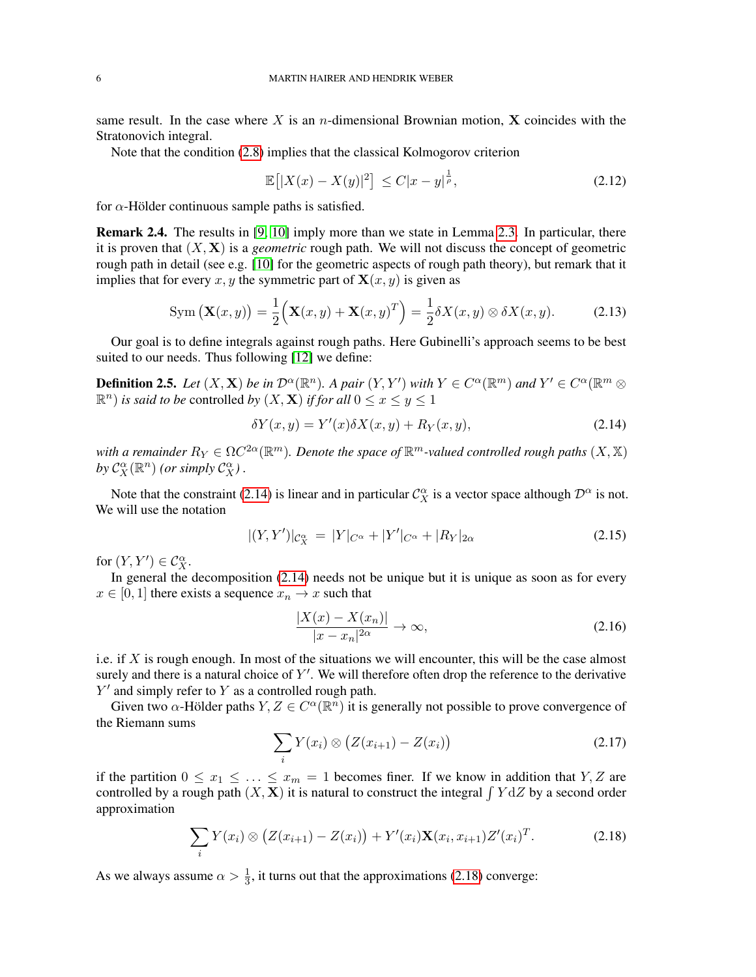same result. In the case where X is an n-dimensional Brownian motion, X coincides with the Stratonovich integral.

Note that the condition [\(2.8\)](#page-4-1) implies that the classical Kolmogorov criterion

$$
\mathbb{E}[|X(x) - X(y)|^2] \le C|x - y|^{\frac{1}{\rho}}, \tag{2.12}
$$

for  $\alpha$ -Hölder continuous sample paths is satisfied.

<span id="page-5-2"></span>Remark 2.4. The results in [\[9,](#page-41-8) [10\]](#page-41-7) imply more than we state in Lemma [2.3.](#page-4-2) In particular, there it is proven that  $(X, X)$  is a *geometric* rough path. We will not discuss the concept of geometric rough path in detail (see e.g. [\[10\]](#page-41-7) for the geometric aspects of rough path theory), but remark that it implies that for every x, y the symmetric part of  $X(x, y)$  is given as

$$
\text{Sym}\left(\mathbf{X}(x,y)\right) = \frac{1}{2}\left(\mathbf{X}(x,y) + \mathbf{X}(x,y)^T\right) = \frac{1}{2}\delta X(x,y) \otimes \delta X(x,y). \tag{2.13}
$$

Our goal is to define integrals against rough paths. Here Gubinelli's approach seems to be best suited to our needs. Thus following [\[12\]](#page-41-6) we define:

**Definition 2.5.** Let  $(X, \mathbf{X})$  be in  $\mathcal{D}^{\alpha}(\mathbb{R}^n)$ . A pair  $(Y, Y')$  with  $Y \in C^{\alpha}(\mathbb{R}^m)$  and  $Y' \in C^{\alpha}(\mathbb{R}^m \otimes$  $(\mathbb{R}^n)$  *is said to be* controlled *by*  $(X, \mathbf{X})$  *if for all*  $0 \le x \le y \le 1$ 

<span id="page-5-0"></span>
$$
\delta Y(x,y) = Y'(x)\delta X(x,y) + R_Y(x,y),\tag{2.14}
$$

with a remainder  $R_Y \in \Omega C^{2\alpha}(\mathbb{R}^m)$ . Denote the space of  $\mathbb{R}^m$ -valued controlled rough paths  $(X, \mathbb{X})$ by  $C_X^{\alpha}(\mathbb{R}^n)$  (or simply  $C_X^{\alpha}$ ).

Note that the constraint [\(2.14\)](#page-5-0) is linear and in particular  $\mathcal{C}^{\alpha}_X$  is a vector space although  $\mathcal{D}^{\alpha}$  is not. We will use the notation

$$
|(Y,Y')|_{C_X^{\alpha}} = |Y|_{C^{\alpha}} + |Y'|_{C^{\alpha}} + |R_Y|_{2\alpha}
$$
\n(2.15)

for  $(Y, Y') \in C_X^{\alpha}$ .

In general the decomposition [\(2.14\)](#page-5-0) needs not be unique but it is unique as soon as for every  $x \in [0, 1]$  there exists a sequence  $x_n \to x$  such that

$$
\frac{|X(x) - X(x_n)|}{|x - x_n|^{2\alpha}} \to \infty,
$$
\n(2.16)

i.e. if  $X$  is rough enough. In most of the situations we will encounter, this will be the case almost surely and there is a natural choice of  $Y'$ . We will therefore often drop the reference to the derivative  $Y'$  and simply refer to Y as a controlled rough path.

Given two  $\alpha$ -Hölder paths  $Y, Z \in C^{\alpha}(\mathbb{R}^n)$  it is generally not possible to prove convergence of the Riemann sums

$$
\sum_{i} Y(x_i) \otimes \big( Z(x_{i+1}) - Z(x_i) \big) \tag{2.17}
$$

if the partition  $0 \le x_1 \le \ldots \le x_m = 1$  becomes finer. If we know in addition that Y, Z are controlled by a rough path  $(X, X)$  it is natural to construct the integral  $\int Y dZ$  by a second order approximation

<span id="page-5-1"></span>
$$
\sum_{i} Y(x_i) \otimes (Z(x_{i+1}) - Z(x_i)) + Y'(x_i) \mathbf{X}(x_i, x_{i+1}) Z'(x_i)^T.
$$
 (2.18)

As we always assume  $\alpha > \frac{1}{3}$ , it turns out that the approximations [\(2.18\)](#page-5-1) converge: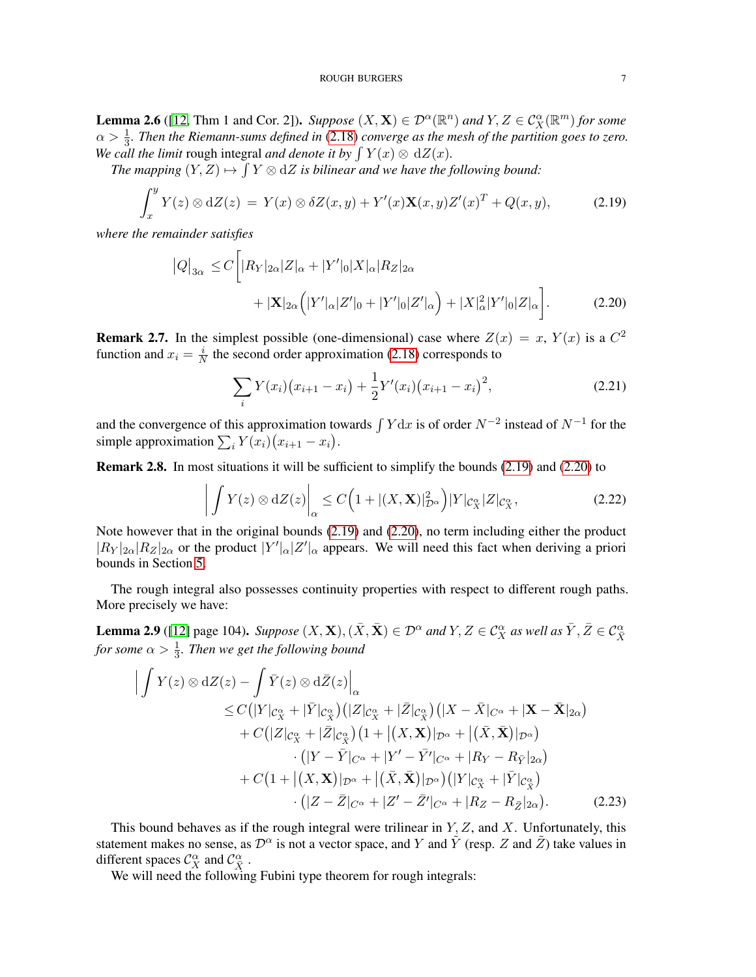### <span id="page-6-1"></span><span id="page-6-0"></span>ROUGH BURGERS 7

<span id="page-6-2"></span>**Lemma 2.6** ([\[12,](#page-41-6) Thm 1 and Cor. 2]). *Suppose*  $(X, \mathbf{X}) \in \mathcal{D}^{\alpha}(\mathbb{R}^n)$  *and*  $Y, Z \in C_X^{\alpha}(\mathbb{R}^m)$  *for some*  $\alpha > \frac{1}{3}$ . Then the Riemann-sums defined in [\(2.18\)](#page-5-1) converge as the mesh of the partition goes to zero. *We call the limit* rough integral *and denote it by*  $\int Y(x) \otimes dZ(x)$ *.* 

The mapping  $(Y, Z) \mapsto \int Y \otimes dZ$  is bilinear and we have the following bound:

$$
\int_x^y Y(z) \otimes dZ(z) = Y(x) \otimes \delta Z(x, y) + Y'(x) \mathbf{X}(x, y) Z'(x)^T + Q(x, y), \tag{2.19}
$$

*where the remainder satisfies*

$$
|Q|_{3\alpha} \le C \bigg[ |R_Y|_{2\alpha} |Z|_{\alpha} + |Y'|_0 |X|_{\alpha} |R_Z|_{2\alpha} + |X|_{2\alpha} (|Y'|_{\alpha} |Z'|_0 + |Y'|_0 |Z'|_{\alpha}) + |X|_{\alpha}^2 |Y'|_0 |Z|_{\alpha} \bigg].
$$
 (2.20)

**Remark 2.7.** In the simplest possible (one-dimensional) case where  $Z(x) = x$ ,  $Y(x)$  is a  $C^2$ function and  $x_i = \frac{i}{N}$  $\frac{i}{N}$  the second order approximation [\(2.18\)](#page-5-1) corresponds to

$$
\sum_{i} Y(x_i) (x_{i+1} - x_i) + \frac{1}{2} Y'(x_i) (x_{i+1} - x_i)^2,
$$
\n(2.21)

and the convergence of this approximation towards  $\int Y dx$  is of order  $N^{-2}$  instead of  $N^{-1}$  for the simple approximation  $\sum_i Y(x_i)(x_{i+1} - x_i)$ .

Remark 2.8. In most situations it will be sufficient to simplify the bounds [\(2.19\)](#page-6-0) and [\(2.20\)](#page-6-1) to

$$
\left| \int Y(z) \otimes dZ(z) \right|_{\alpha} \le C \left( 1 + |(X, \mathbf{X})|_{\mathcal{D}^{\alpha}}^2 \right) |Y|_{\mathcal{C}_X^{\alpha}} |Z|_{\mathcal{C}_X^{\alpha}}, \tag{2.22}
$$

Note however that in the original bounds [\(2.19\)](#page-6-0) and [\(2.20\)](#page-6-1), no term including either the product  $|R_Y|_{2\alpha}|R_Z|_{2\alpha}$  or the product  $|Y'|_{\alpha}|Z'|_{\alpha}$  appears. We will need this fact when deriving a priori bounds in Section [5.](#page-24-0)

The rough integral also possesses continuity properties with respect to different rough paths. More precisely we have:

**Lemma 2.9** ([\[12\]](#page-41-6) page 104). *Suppose*  $(X, \mathbf{X})$ ,  $(\bar{X}, \bar{\mathbf{X}}) \in \mathcal{D}^{\alpha}$  and  $Y, Z \in \mathcal{C}^{\alpha}_X$  as well as  $\bar{Y}, \bar{Z} \in \mathcal{C}^{\alpha}_{\bar{X}}$ for some  $\alpha > \frac{1}{3}$ *. Then we get the following bound* 

<span id="page-6-3"></span>
$$
\left| \int Y(z) \otimes dZ(z) - \int \bar{Y}(z) \otimes d\bar{Z}(z) \right|_{\alpha} \n\leq C\left( |Y|_{\mathcal{C}_{X}^{\alpha}} + |\bar{Y}|_{\mathcal{C}_{X}^{\alpha}} \right) \left( |Z|_{\mathcal{C}_{X}^{\alpha}} + |\bar{Z}|_{\mathcal{C}_{X}^{\alpha}} \right) \left( |X - \bar{X}|_{C^{\alpha}} + |\mathbf{X} - \bar{\mathbf{X}}|_{2\alpha} \right) \n+ C\left( |Z|_{\mathcal{C}_{X}^{\alpha}} + |\bar{Z}|_{\mathcal{C}_{X}^{\alpha}} \right) \left( 1 + |(X, \mathbf{X})|_{\mathcal{D}^{\alpha}} + |(\bar{X}, \bar{\mathbf{X}})|_{\mathcal{D}^{\alpha}} \right) \n\cdot \left( |Y - \bar{Y}|_{C^{\alpha}} + |Y' - \bar{Y}'|_{C^{\alpha}} + |R_{Y} - R_{\bar{Y}}|_{2\alpha} \right) \n+ C\left( 1 + |(X, \mathbf{X})|_{\mathcal{D}^{\alpha}} + |(\bar{X}, \bar{\mathbf{X}})|_{\mathcal{D}^{\alpha}} \right) \left( |Y|_{\mathcal{C}_{X}^{\alpha}} + |\bar{Y}|_{\mathcal{C}_{X}^{\alpha}} \right) \n\cdot \left( |Z - \bar{Z}|_{C^{\alpha}} + |Z' - \bar{Z}'|_{C^{\alpha}} + |R_{Z} - R_{\bar{Z}}|_{2\alpha} \right). \tag{2.23}
$$

This bound behaves as if the rough integral were trilinear in  $Y, Z$ , and  $X$ . Unfortunately, this statement makes no sense, as  $\mathcal{D}^{\alpha}$  is not a vector space, and Y and Y (resp. Z and  $\tilde{Z}$ ) take values in different spaces  $C_X^{\alpha}$  and  $C_{\overline{X}}^{\alpha}$ .

We will need the following Fubini type theorem for rough integrals: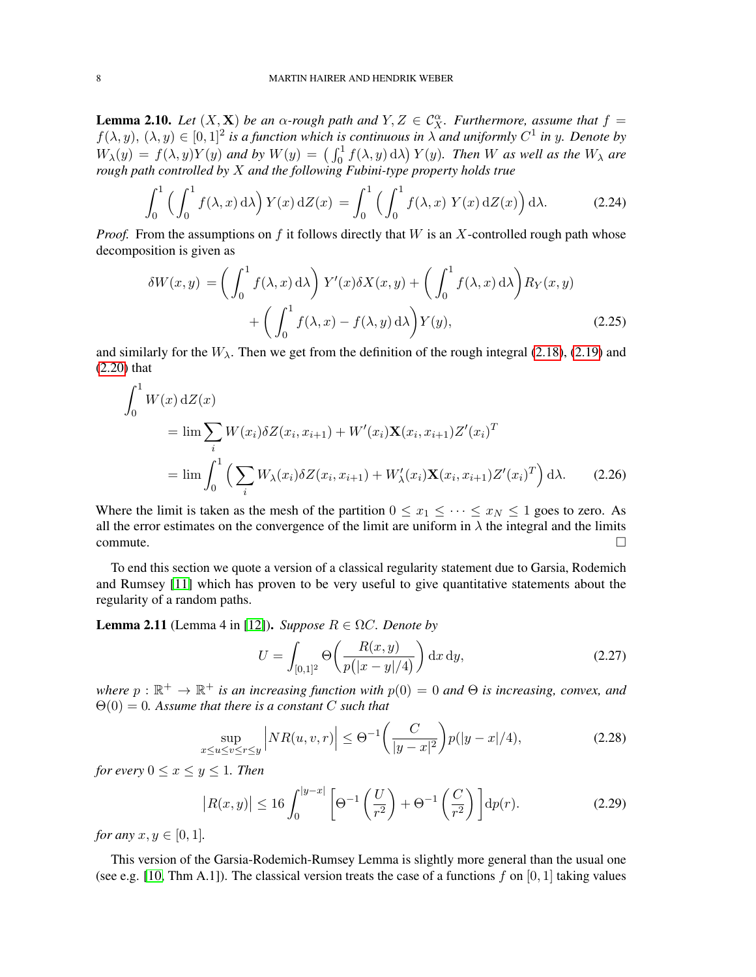<span id="page-7-2"></span>**Lemma 2.10.** *Let*  $(X, \mathbf{X})$  *be an*  $\alpha$ *-rough path and*  $Y, Z \in C_X^{\alpha}$ *. Furthermore, assume that*  $f =$  $f(\lambda, y)$ ,  $(\lambda, y) \in [0, 1]^2$  is a function which is continuous in  $\lambda$  and uniformly  $C^1$  in y. Denote by  $W_{\lambda}(y) = f(\lambda, y)Y(y)$  and by  $W(y) = \left(\int_0^1 f(\lambda, y) d\lambda\right) Y(y)$ . Then W as well as the  $W_{\lambda}$  are *rough path controlled by* X *and the following Fubini-type property holds true*

<span id="page-7-1"></span>
$$
\int_0^1 \left( \int_0^1 f(\lambda, x) d\lambda \right) Y(x) dZ(x) = \int_0^1 \left( \int_0^1 f(\lambda, x) Y(x) dZ(x) \right) d\lambda.
$$
 (2.24)

*Proof.* From the assumptions on f it follows directly that W is an X-controlled rough path whose decomposition is given as

$$
\delta W(x,y) = \left(\int_0^1 f(\lambda, x) d\lambda\right) Y'(x) \delta X(x,y) + \left(\int_0^1 f(\lambda, x) d\lambda\right) R_Y(x,y) + \left(\int_0^1 f(\lambda, x) - f(\lambda, y) d\lambda\right) Y(y),
$$
\n(2.25)

and similarly for the  $W_{\lambda}$ . Then we get from the definition of the rough integral [\(2.18\)](#page-5-1), [\(2.19\)](#page-6-0) and [\(2.20\)](#page-6-1) that

$$
\int_{0}^{1} W(x) dZ(x)
$$
\n
$$
= \lim_{i} \sum_{i} W(x_{i}) \delta Z(x_{i}, x_{i+1}) + W'(x_{i}) \mathbf{X}(x_{i}, x_{i+1}) Z'(x_{i})^{T}
$$
\n
$$
= \lim_{i} \int_{0}^{1} \left( \sum_{i} W_{\lambda}(x_{i}) \delta Z(x_{i}, x_{i+1}) + W'_{\lambda}(x_{i}) \mathbf{X}(x_{i}, x_{i+1}) Z'(x_{i})^{T} \right) d\lambda. \tag{2.26}
$$

Where the limit is taken as the mesh of the partition  $0 \le x_1 \le \cdots \le x_N \le 1$  goes to zero. As all the error estimates on the convergence of the limit are uniform in  $\lambda$  the integral and the limits  $\Box$ commute.  $\Box$ 

To end this section we quote a version of a classical regularity statement due to Garsia, Rodemich and Rumsey [\[11\]](#page-41-25) which has proven to be very useful to give quantitative statements about the regularity of a random paths.

<span id="page-7-0"></span>**Lemma 2.11** (Lemma 4 in [\[12\]](#page-41-6)). *Suppose*  $R \in \Omega C$ *. Denote by* 

$$
U = \int_{[0,1]^2} \Theta\left(\frac{R(x,y)}{p(|x-y|/4)}\right) dx dy,
$$
 (2.27)

 $where p: \mathbb{R}^+ \to \mathbb{R}^+$  *is an increasing function with*  $p(0) = 0$  *and*  $\Theta$  *is increasing, convex, and* Θ(0) = 0*. Assume that there is a constant* C *such that*

$$
\sup_{x \le u \le v \le r \le y} \left| NR(u, v, r) \right| \le \Theta^{-1} \left( \frac{C}{|y - x|^2} \right) p(|y - x|/4), \tag{2.28}
$$

*for every*  $0 \le x \le y \le 1$ *. Then* 

$$
\left| R(x,y) \right| \le 16 \int_0^{|y-x|} \left[ \Theta^{-1} \left( \frac{U}{r^2} \right) + \Theta^{-1} \left( \frac{C}{r^2} \right) \right] \mathrm{d}p(r). \tag{2.29}
$$

*for any*  $x, y \in [0, 1]$ *.* 

This version of the Garsia-Rodemich-Rumsey Lemma is slightly more general than the usual one (see e.g. [\[10,](#page-41-7) Thm A.1]). The classical version treats the case of a functions f on [0, 1] taking values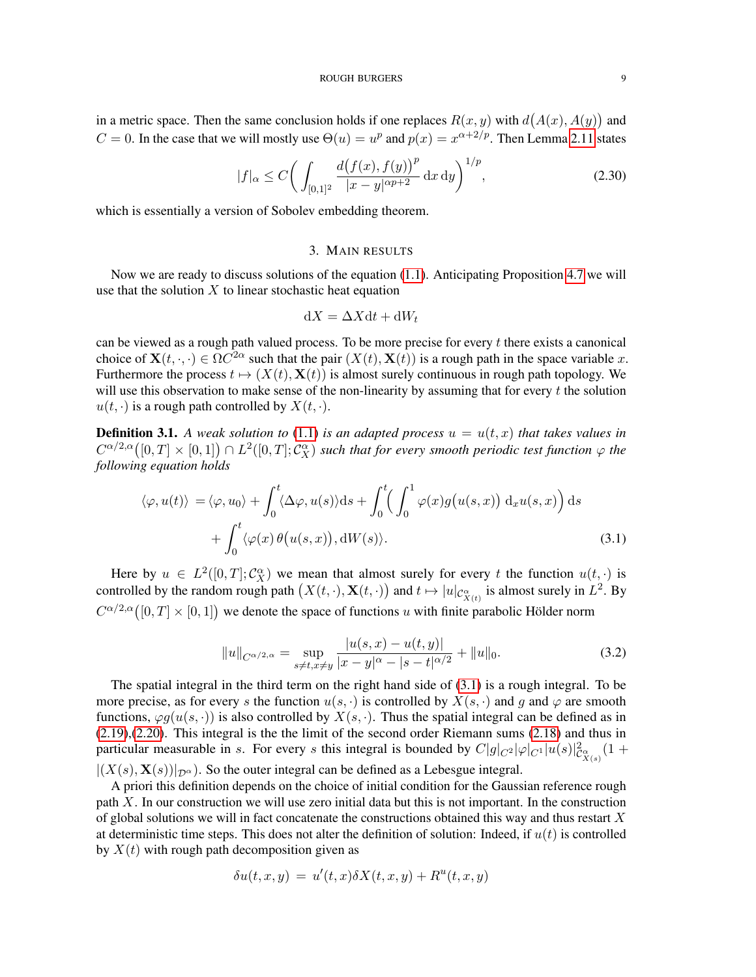in a metric space. Then the same conclusion holds if one replaces  $R(x, y)$  with  $d(A(x), A(y))$  and  $C = 0$ . In the case that we will mostly use  $\Theta(u) = u^p$  and  $p(x) = x^{\alpha+2/p}$ . Then Lemma [2.11](#page-7-0) states

$$
|f|_{\alpha} \le C \bigg( \int_{[0,1]^2} \frac{d(f(x), f(y))^p}{|x - y|^{\alpha p + 2}} \, \mathrm{d}x \, \mathrm{d}y \bigg)^{1/p},\tag{2.30}
$$

which is essentially a version of Sobolev embedding theorem.

# 3. MAIN RESULTS

<span id="page-8-1"></span>Now we are ready to discuss solutions of the equation [\(1.1\)](#page-0-0). Anticipating Proposition [4.7](#page-20-0) we will use that the solution  $X$  to linear stochastic heat equation

<span id="page-8-2"></span>
$$
\mathrm{d}X = \Delta X \mathrm{d}t + \mathrm{d}W_t
$$

can be viewed as a rough path valued process. To be more precise for every  $t$  there exists a canonical choice of  $\mathbf{X}(t, \cdot, \cdot) \in \Omega C^{2\alpha}$  such that the pair  $(X(t), \mathbf{X}(t))$  is a rough path in the space variable x. Furthermore the process  $t \mapsto (X(t), \mathbf{X}(t))$  is almost surely continuous in rough path topology. We will use this observation to make sense of the non-linearity by assuming that for every  $t$  the solution  $u(t, \cdot)$  is a rough path controlled by  $X(t, \cdot)$ .

<span id="page-8-0"></span>**Definition 3.1.** A weak solution to [\(1.1\)](#page-0-0) is an adapted process  $u = u(t, x)$  that takes values in  $C^{\alpha/2,\alpha}([0,T]\times[0,1])\cap L^2([0,T];\mathcal{C}^\alpha_X)$  such that for every smooth periodic test function  $\varphi$  the *following equation holds*

$$
\langle \varphi, u(t) \rangle = \langle \varphi, u_0 \rangle + \int_0^t \langle \Delta \varphi, u(s) \rangle ds + \int_0^t \left( \int_0^1 \varphi(x) g(u(s, x)) \, d_x u(s, x) \right) ds
$$

$$
+ \int_0^t \langle \varphi(x) \theta(u(s, x)), dW(s) \rangle.
$$
(3.1)

Here by  $u \in L^2([0,T];\mathcal{C}_X^{\alpha})$  we mean that almost surely for every t the function  $u(t,\cdot)$  is controlled by the random rough path  $(X(t, \cdot), \mathbf{X}(t, \cdot))$  and  $t \mapsto |u|_{\mathcal{C}_{X(t)}^{\alpha}}$  is almost surely in  $L^2$ . By  $C^{\alpha/2,\alpha}([0,T] \times [0,1])$  we denote the space of functions u with finite parabolic Hölder norm

<span id="page-8-3"></span>
$$
||u||_{C^{\alpha/2,\alpha}} = \sup_{s \neq t, x \neq y} \frac{|u(s,x) - u(t,y)|}{|x - y|^{\alpha} - |s - t|^{\alpha/2}} + ||u||_0.
$$
 (3.2)

The spatial integral in the third term on the right hand side of [\(3.1\)](#page-8-2) is a rough integral. To be more precise, as for every s the function  $u(s, \cdot)$  is controlled by  $X(s, \cdot)$  and q and  $\varphi$  are smooth functions,  $\varphi g(u(s, \cdot))$  is also controlled by  $X(s, \cdot)$ . Thus the spatial integral can be defined as in [\(2.19\)](#page-6-0),[\(2.20\)](#page-6-1). This integral is the the limit of the second order Riemann sums [\(2.18\)](#page-5-1) and thus in particular measurable in s. For every s this integral is bounded by  $C|g|_{C^2}|\varphi|_{C^1}|u(s)|^2_{\mathcal{C}^{\alpha}_{X(s)}}(1+\mathcal{C}^{\alpha}_{X(s)})$  $|(X(s), \mathbf{X}(s))|_{\mathcal{D}^{\alpha}})$ . So the outer integral can be defined as a Lebesgue integral.

A priori this definition depends on the choice of initial condition for the Gaussian reference rough path  $X$ . In our construction we will use zero initial data but this is not important. In the construction of global solutions we will in fact concatenate the constructions obtained this way and thus restart  $X$ at deterministic time steps. This does not alter the definition of solution: Indeed, if  $u(t)$  is controlled by  $X(t)$  with rough path decomposition given as

$$
\delta u(t, x, y) = u'(t, x)\delta X(t, x, y) + R^{u}(t, x, y)
$$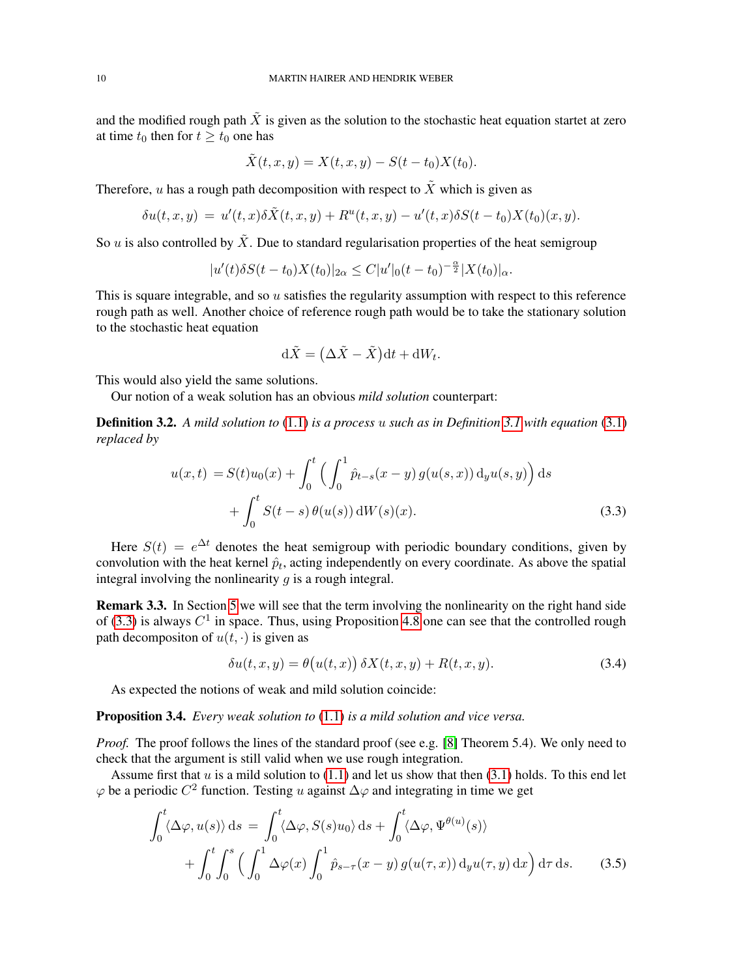and the modified rough path  $\tilde{X}$  is given as the solution to the stochastic heat equation startet at zero at time  $t_0$  then for  $t \geq t_0$  one has

$$
\tilde{X}(t, x, y) = X(t, x, y) - S(t - t_0)X(t_0).
$$

Therefore, u has a rough path decomposition with respect to  $\tilde{X}$  which is given as

$$
\delta u(t,x,y) = u'(t,x)\delta\tilde{X}(t,x,y) + R^u(t,x,y) - u'(t,x)\delta S(t-t_0)X(t_0)(x,y).
$$

So u is also controlled by  $\tilde{X}$ . Due to standard regularisation properties of the heat semigroup

$$
|u'(t)\delta S(t-t_0)X(t_0)|_{2\alpha}\leq C|u'|_0(t-t_0)^{-\frac{\alpha}{2}}|X(t_0)|_{\alpha}.
$$

This is square integrable, and so u satisfies the regularity assumption with respect to this reference rough path as well. Another choice of reference rough path would be to take the stationary solution to the stochastic heat equation

<span id="page-9-0"></span>
$$
\mathrm{d}\tilde{X} = \left(\Delta \tilde{X} - \tilde{X}\right) \mathrm{d}t + \mathrm{d}W_t.
$$

This would also yield the same solutions.

Our notion of a weak solution has an obvious *mild solution* counterpart:

Definition 3.2. *A mild solution to* [\(1.1\)](#page-0-0) *is a process* u *such as in Definition [3.1](#page-8-0) with equation* [\(3.1\)](#page-8-2) *replaced by*

$$
u(x,t) = S(t)u_0(x) + \int_0^t \left( \int_0^1 \hat{p}_{t-s}(x-y) g(u(s,x)) \, d_y u(s,y) \right) ds
$$
  
+ 
$$
\int_0^t S(t-s) \, \theta(u(s)) \, dW(s)(x).
$$
 (3.3)

Here  $S(t) = e^{\Delta t}$  denotes the heat semigroup with periodic boundary conditions, given by convolution with the heat kernel  $\hat{p}_t$ , acting independently on every coordinate. As above the spatial integral involving the nonlinearity  $q$  is a rough integral.

Remark 3.3. In Section [5](#page-24-0) we will see that the term involving the nonlinearity on the right hand side of [\(3.3\)](#page-9-0) is always  $C^1$  in space. Thus, using Proposition [4.8](#page-21-0) one can see that the controlled rough path decompositon of  $u(t, \cdot)$  is given as

<span id="page-9-2"></span><span id="page-9-1"></span>
$$
\delta u(t, x, y) = \theta(u(t, x)) \delta X(t, x, y) + R(t, x, y). \tag{3.4}
$$

As expected the notions of weak and mild solution coincide:

Proposition 3.4. *Every weak solution to* [\(1.1\)](#page-0-0) *is a mild solution and vice versa.*

*Proof.* The proof follows the lines of the standard proof (see e.g. [\[8\]](#page-41-26) Theorem 5.4). We only need to check that the argument is still valid when we use rough integration.

Assume first that  $u$  is a mild solution to [\(1.1\)](#page-0-0) and let us show that then [\(3.1\)](#page-8-2) holds. To this end let  $\varphi$  be a periodic  $C^2$  function. Testing u against  $\Delta\varphi$  and integrating in time we get

$$
\int_0^t \langle \Delta \varphi, u(s) \rangle ds = \int_0^t \langle \Delta \varphi, S(s) u_0 \rangle ds + \int_0^t \langle \Delta \varphi, \Psi^{\theta(u)}(s) \rangle + \int_0^t \int_0^s \left( \int_0^1 \Delta \varphi(x) \int_0^1 \hat{p}_{s-\tau}(x-y) g(u(\tau, x)) dy u(\tau, y) dx \right) d\tau ds.
$$
 (3.5)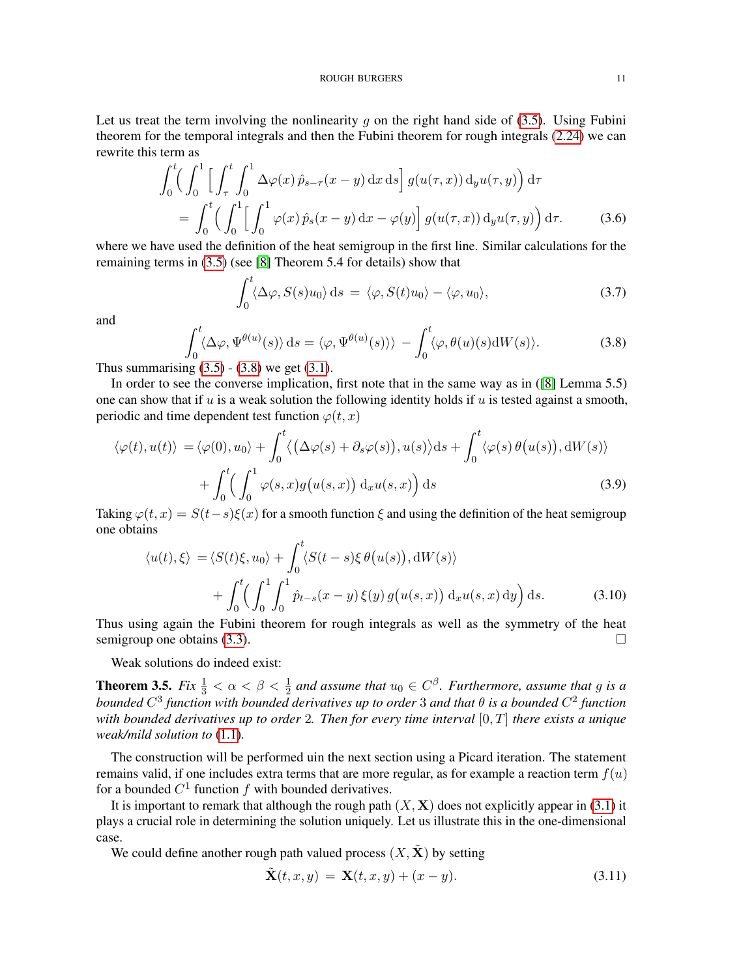Let us treat the term involving the nonlinearity  $g$  on the right hand side of [\(3.5\)](#page-9-1). Using Fubini theorem for the temporal integrals and then the Fubini theorem for rough integrals [\(2.24\)](#page-7-1) we can rewrite this term as

$$
\int_0^t \left( \int_0^1 \left[ \int_\tau^t \int_0^1 \Delta \varphi(x) \hat{p}_{s-\tau}(x-y) \, dx \, ds \right] g(u(\tau, x)) \, d_y u(\tau, y) \right) d\tau
$$

$$
= \int_0^t \left( \int_0^1 \left[ \int_0^1 \varphi(x) \hat{p}_s(x-y) \, dx - \varphi(y) \right] g(u(\tau, x)) \, d_y u(\tau, y) \right) d\tau. \tag{3.6}
$$

where we have used the definition of the heat semigroup in the first line. Similar calculations for the remaining terms in [\(3.5\)](#page-9-1) (see [\[8\]](#page-41-26) Theorem 5.4 for details) show that

$$
\int_0^t \langle \Delta \varphi, S(s) u_0 \rangle \, \mathrm{d} s = \langle \varphi, S(t) u_0 \rangle - \langle \varphi, u_0 \rangle,\tag{3.7}
$$

and

<span id="page-10-0"></span>
$$
\int_0^t \langle \Delta \varphi, \Psi^{\theta(u)}(s) \rangle ds = \langle \varphi, \Psi^{\theta(u)}(s) \rangle \rangle - \int_0^t \langle \varphi, \theta(u)(s) dW(s) \rangle.
$$
 (3.8)

Thus summarising  $(3.5)$  -  $(3.8)$  we get  $(3.1)$ .

In order to see the converse implication, first note that in the same way as in ([\[8\]](#page-41-26) Lemma 5.5) one can show that if u is a weak solution the following identity holds if u is tested against a smooth, periodic and time dependent test function  $\varphi(t, x)$ 

$$
\langle \varphi(t), u(t) \rangle = \langle \varphi(0), u_0 \rangle + \int_0^t \langle (\Delta \varphi(s) + \partial_s \varphi(s)), u(s) \rangle ds + \int_0^t \langle \varphi(s) \theta(u(s)), dW(s) \rangle + \int_0^t \langle \int_0^1 \varphi(s, x) g(u(s, x)) \, d_x u(s, x) \rangle ds
$$
(3.9)

Taking  $\varphi(t, x) = S(t-s)\xi(x)$  for a smooth function  $\xi$  and using the definition of the heat semigroup one obtains

$$
\langle u(t), \xi \rangle = \langle S(t)\xi, u_0 \rangle + \int_0^t \langle S(t-s)\xi \theta(u(s)), \mathrm{d}W(s) \rangle + \int_0^t \left( \int_0^1 \int_0^1 \hat{p}_{t-s}(x-y) \xi(y) g(u(s,x)) \, \mathrm{d}_x u(s,x) \, \mathrm{d}y \right) \mathrm{d}s.
$$
 (3.10)

Thus using again the Fubini theorem for rough integrals as well as the symmetry of the heat semigroup one obtains  $(3.3)$ .

Weak solutions do indeed exist:

<span id="page-10-1"></span>**Theorem 3.5.** *Fix*  $\frac{1}{3} < \alpha < \beta < \frac{1}{2}$  and assume that  $u_0 \in C^{\beta}$ . *Furthermore, assume that* g is a *bounded*  $C^3$  function with bounded derivatives up to order 3 and that  $\theta$  is a bounded  $C^2$  function *with bounded derivatives up to order* 2*. Then for every time interval* [0, T] *there exists a unique weak/mild solution to* [\(1.1\)](#page-0-0)*.*

The construction will be performed uin the next section using a Picard iteration. The statement remains valid, if one includes extra terms that are more regular, as for example a reaction term  $f(u)$ for a bounded  $C^1$  function f with bounded derivatives.

It is important to remark that although the rough path  $(X, X)$  does not explicitly appear in [\(3.1\)](#page-8-2) it plays a crucial role in determining the solution uniquely. Let us illustrate this in the one-dimensional case.

We could define another rough path valued process  $(X, \tilde{X})$  by setting

$$
\tilde{\mathbf{X}}(t,x,y) = \mathbf{X}(t,x,y) + (x-y). \tag{3.11}
$$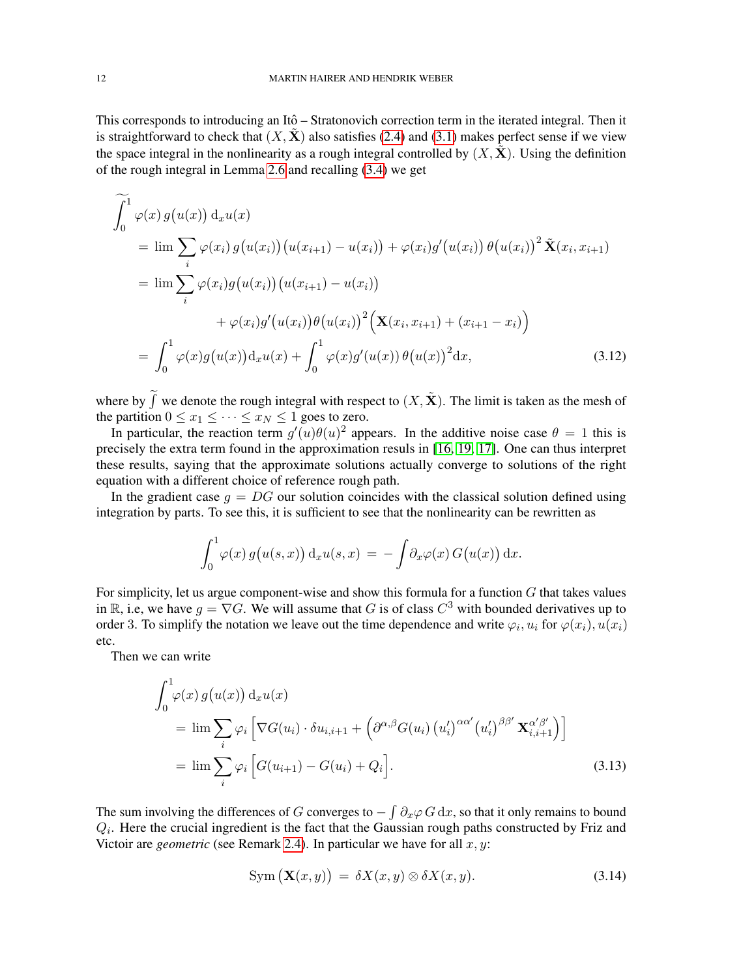This corresponds to introducing an Itô – Stratonovich correction term in the iterated integral. Then it is straightforward to check that  $(X, X)$  also satisfies [\(2.4\)](#page-3-1) and [\(3.1\)](#page-8-2) makes perfect sense if we view the space integral in the nonlinearity as a rough integral controlled by  $(X, \tilde{X})$ . Using the definition of the rough integral in Lemma [2.6](#page-6-2) and recalling [\(3.4\)](#page-9-2) we get

$$
\widetilde{\int_{0}^{1} \varphi(x) g(u(x)) d_{x} u(x)}\n= \lim \sum_{i} \varphi(x_{i}) g(u(x_{i})) (u(x_{i+1}) - u(x_{i})) + \varphi(x_{i}) g'(u(x_{i})) \theta(u(x_{i}))^{2} \tilde{\mathbf{X}}(x_{i}, x_{i+1})\n= \lim \sum_{i} \varphi(x_{i}) g(u(x_{i})) (u(x_{i+1}) - u(x_{i}))\n+ \varphi(x_{i}) g'(u(x_{i})) \theta(u(x_{i}))^{2} \Big( \mathbf{X}(x_{i}, x_{i+1}) + (x_{i+1} - x_{i}) \Big)\n= \int_{0}^{1} \varphi(x) g(u(x)) d_{x} u(x) + \int_{0}^{1} \varphi(x) g'(u(x)) \theta(u(x))^{2} dx,
$$
\n(3.12)

where by  $\tilde{f}$  we denote the rough integral with respect to  $(X, \tilde{X})$ . The limit is taken as the mesh of the partition  $0 \le x_1 \le \cdots \le x_N \le 1$  goes to zero.

In particular, the reaction term  $g'(u)\theta(u)^2$  appears. In the additive noise case  $\theta = 1$  this is precisely the extra term found in the approximation resuls in [\[16,](#page-41-9) [19,](#page-41-10) [17\]](#page-41-11). One can thus interpret these results, saying that the approximate solutions actually converge to solutions of the right equation with a different choice of reference rough path.

In the gradient case  $q = DG$  our solution coincides with the classical solution defined using integration by parts. To see this, it is sufficient to see that the nonlinearity can be rewritten as

<span id="page-11-2"></span>
$$
\int_0^1 \varphi(x) g(u(s,x)) \, \mathrm{d}_x u(s,x) = - \int \partial_x \varphi(x) G(u(x)) \, \mathrm{d}x.
$$

For simplicity, let us argue component-wise and show this formula for a function  $G$  that takes values in R, i.e, we have  $g = \nabla G$ . We will assume that G is of class  $C^3$  with bounded derivatives up to order 3. To simplify the notation we leave out the time dependence and write  $\varphi_i, u_i$  for  $\varphi(x_i), u(x_i)$ etc.

Then we can write

$$
\int_0^1 \varphi(x) g(u(x)) d_x u(x)
$$
\n
$$
= \lim \sum_i \varphi_i \left[ \nabla G(u_i) \cdot \delta u_{i,i+1} + \left( \partial^{\alpha,\beta} G(u_i) (u'_i)^{\alpha\alpha'} (u'_i)^{\beta\beta'} \mathbf{X}_{i,i+1}^{\alpha'\beta'} \right) \right]
$$
\n
$$
= \lim \sum_i \varphi_i \left[ G(u_{i+1}) - G(u_i) + Q_i \right].
$$
\n(3.13)

The sum involving the differences of G converges to  $-\int \partial_x \varphi G \, dx$ , so that it only remains to bound  $Q_i$ . Here the crucial ingredient is the fact that the Gaussian rough paths constructed by Friz and Victoir are *geometric* (see Remark [2.4\)](#page-5-2). In particular we have for all  $x, y$ :

<span id="page-11-1"></span><span id="page-11-0"></span>
$$
\text{Sym}\left(\mathbf{X}(x,y)\right) \ = \ \delta X(x,y) \otimes \delta X(x,y). \tag{3.14}
$$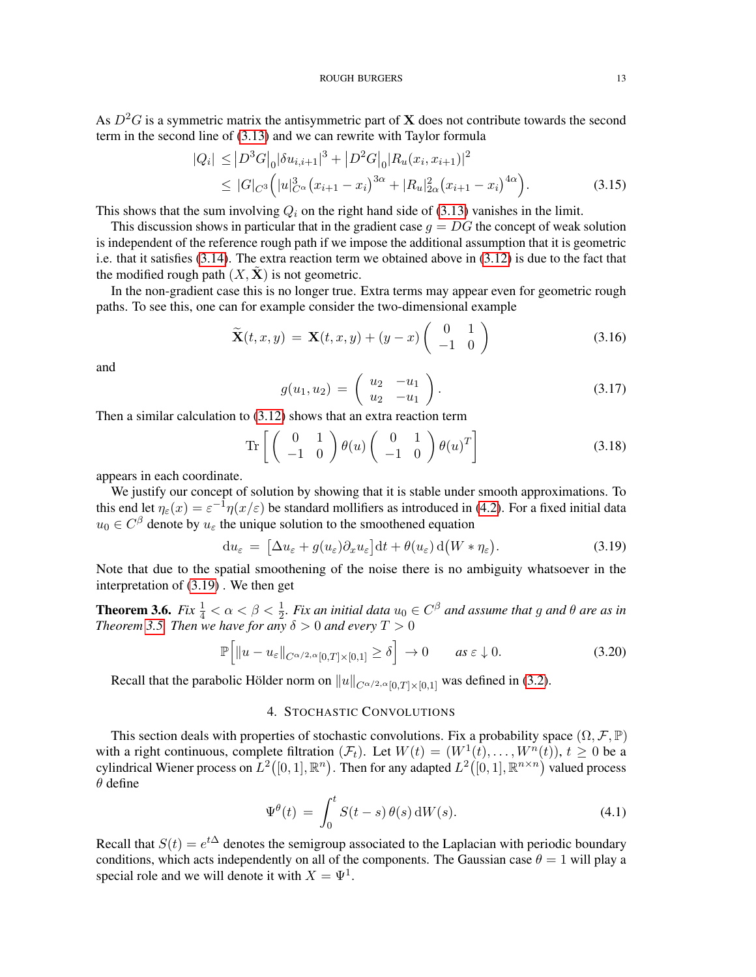As  $D^2G$  is a symmetric matrix the antisymmetric part of **X** does not contribute towards the second term in the second line of [\(3.13\)](#page-11-0) and we can rewrite with Taylor formula

$$
|Q_i| \leq |D^3 G|_0 |\delta u_{i,i+1}|^3 + |D^2 G|_0 |R_u(x_i, x_{i+1})|^2
$$
  
\n
$$
\leq |G|_{C^3} (|u|_{C^\alpha}^3 (x_{i+1} - x_i)^{3\alpha} + |R_u|_{2\alpha}^2 (x_{i+1} - x_i)^{4\alpha}). \tag{3.15}
$$

This shows that the sum involving  $Q_i$  on the right hand side of [\(3.13\)](#page-11-0) vanishes in the limit.

This discussion shows in particular that in the gradient case  $q = DG$  the concept of weak solution is independent of the reference rough path if we impose the additional assumption that it is geometric i.e. that it satisfies [\(3.14\)](#page-11-1). The extra reaction term we obtained above in [\(3.12\)](#page-11-2) is due to the fact that the modified rough path  $(X, X)$  is not geometric.

In the non-gradient case this is no longer true. Extra terms may appear even for geometric rough paths. To see this, one can for example consider the two-dimensional example

$$
\widetilde{\mathbf{X}}(t,x,y) = \mathbf{X}(t,x,y) + (y-x) \begin{pmatrix} 0 & 1 \\ -1 & 0 \end{pmatrix}
$$
 (3.16)

and

$$
g(u_1, u_2) = \begin{pmatrix} u_2 & -u_1 \\ u_2 & -u_1 \end{pmatrix}.
$$
 (3.17)

Then a similar calculation to [\(3.12\)](#page-11-2) shows that an extra reaction term

$$
\operatorname{Tr}\left[\left(\begin{array}{cc} 0 & 1\\ -1 & 0 \end{array}\right)\theta(u)\left(\begin{array}{cc} 0 & 1\\ -1 & 0 \end{array}\right)\theta(u)^T\right]
$$
(3.18)

appears in each coordinate.

We justify our concept of solution by showing that it is stable under smooth approximations. To this end let  $\eta_{\varepsilon}(x) = \varepsilon^{-1} \eta(x/\varepsilon)$  be standard mollifiers as introduced in [\(4.2\)](#page-13-0). For a fixed initial data  $u_0 \in C^{\beta}$  denote by  $u_{\varepsilon}$  the unique solution to the smoothened equation

<span id="page-12-1"></span>
$$
\mathrm{d}u_{\varepsilon} = \left[\Delta u_{\varepsilon} + g(u_{\varepsilon})\partial_x u_{\varepsilon}\right] \mathrm{d}t + \theta(u_{\varepsilon}) \,\mathrm{d}\big(W * \eta_{\varepsilon}\big). \tag{3.19}
$$

Note that due to the spatial smoothening of the noise there is no ambiguity whatsoever in the interpretation of [\(3.19\)](#page-12-1) . We then get

<span id="page-12-2"></span>**Theorem 3.6.** *Fix*  $\frac{1}{4} < \alpha < \beta < \frac{1}{2}$ *. Fix an initial data*  $u_0 \in C^{\beta}$  *and assume that* g *and*  $\theta$  *are as in Theorem [3.5.](#page-10-1) Then we have for any*  $\delta > 0$  *and every*  $T > 0$ 

$$
\mathbb{P}\Big[\|u-u_{\varepsilon}\|_{C^{\alpha/2,\alpha}[0,T]\times[0,1]}\geq\delta\Big]\to 0\qquad as\ \varepsilon\downarrow 0. \tag{3.20}
$$

Recall that the parabolic Hölder norm on  $||u||_{C^{\alpha/2,\alpha}[0,T]\times[0,1]}$  was defined in [\(3.2\)](#page-8-3).

# 4. STOCHASTIC CONVOLUTIONS

<span id="page-12-0"></span>This section deals with properties of stochastic convolutions. Fix a probability space  $(\Omega, \mathcal{F}, \mathbb{P})$ with a right continuous, complete filtration  $(\mathcal{F}_t)$ . Let  $W(t) = (W^1(t), \dots, W^n(t)), t \ge 0$  be a cylindrical Wiener process on  $L^2([0,1],\mathbb{R}^n)$ . Then for any adapted  $L^2([0,1],\mathbb{R}^{n\times n})$  valued process  $\theta$  define

<span id="page-12-3"></span>
$$
\Psi^{\theta}(t) = \int_0^t S(t-s) \,\theta(s) \,dW(s). \tag{4.1}
$$

Recall that  $S(t) = e^{t\Delta}$  denotes the semigroup associated to the Laplacian with periodic boundary conditions, which acts independently on all of the components. The Gaussian case  $\theta = 1$  will play a special role and we will denote it with  $X = \Psi^1$ .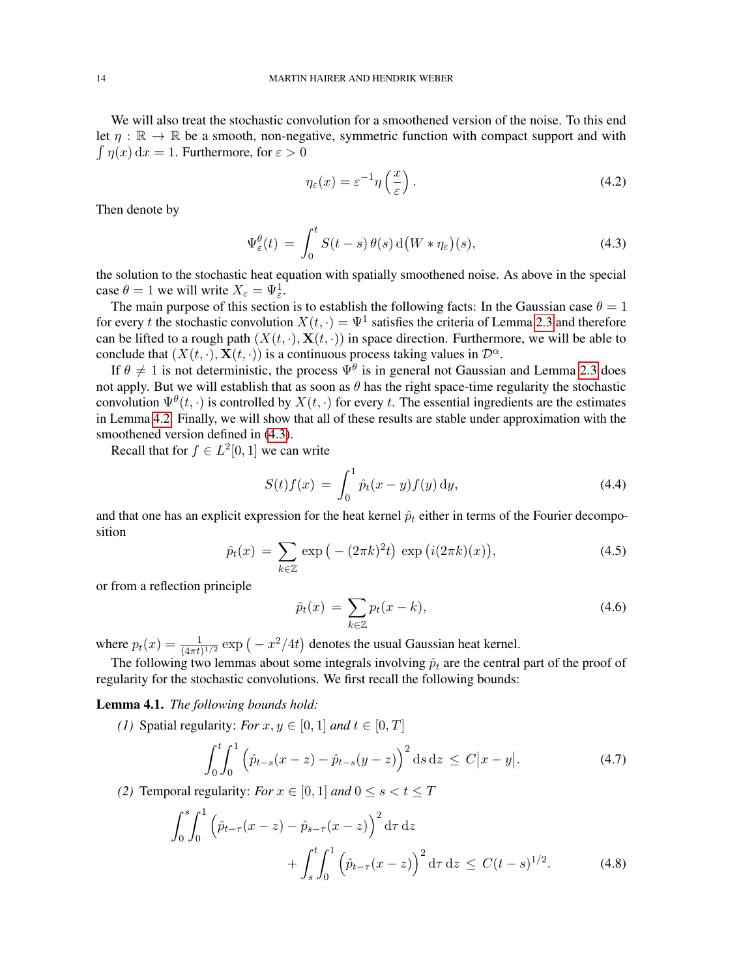We will also treat the stochastic convolution for a smoothened version of the noise. To this end let  $\eta : \mathbb{R} \to \mathbb{R}$  be a smooth, non-negative, symmetric function with compact support and with  $\int \eta(x) dx = 1$ . Furthermore, for  $\varepsilon > 0$ 

<span id="page-13-1"></span><span id="page-13-0"></span>
$$
\eta_{\varepsilon}(x) = \varepsilon^{-1} \eta\left(\frac{x}{\varepsilon}\right). \tag{4.2}
$$

Then denote by

$$
\Psi_{\varepsilon}^{\theta}(t) = \int_0^t S(t-s) \,\theta(s) \,\mathrm{d}\big(W \ast \eta_{\varepsilon}\big)(s),\tag{4.3}
$$

the solution to the stochastic heat equation with spatially smoothened noise. As above in the special case  $\theta = 1$  we will write  $X_{\varepsilon} = \Psi_{\varepsilon}^1$ .

The main purpose of this section is to establish the following facts: In the Gaussian case  $\theta = 1$ for every t the stochastic convolution  $X(t, \cdot) = \Psi^1$  satisfies the criteria of Lemma [2.3](#page-4-2) and therefore can be lifted to a rough path  $(X(t, \cdot), \mathbf{X}(t, \cdot))$  in space direction. Furthermore, we will be able to conclude that  $(X(t, \cdot), \mathbf{X}(t, \cdot))$  is a continuous process taking values in  $\mathcal{D}^{\alpha}$ .

If  $\theta \neq 1$  is not deterministic, the process  $\Psi^{\theta}$  is in general not Gaussian and Lemma [2.3](#page-4-2) does not apply. But we will establish that as soon as  $\theta$  has the right space-time regularity the stochastic convolution  $\Psi^{\theta}(t, \cdot)$  is controlled by  $X(t, \cdot)$  for every t. The essential ingredients are the estimates in Lemma [4.2.](#page-14-0) Finally, we will show that all of these results are stable under approximation with the smoothened version defined in  $(4.3)$ .

Recall that for  $f \in L^2[0,1]$  we can write

$$
S(t)f(x) = \int_0^1 \hat{p}_t(x - y)f(y) \, dy,\tag{4.4}
$$

and that one has an explicit expression for the heat kernel  $\hat{p}_t$  either in terms of the Fourier decomposition

<span id="page-13-2"></span>
$$
\hat{p}_t(x) = \sum_{k \in \mathbb{Z}} \exp\left(-\left(2\pi k\right)^2 t\right) \exp\left(i(2\pi k)(x)\right),\tag{4.5}
$$

or from a reflection principle

<span id="page-13-5"></span><span id="page-13-4"></span>
$$
\hat{p}_t(x) = \sum_{k \in \mathbb{Z}} p_t(x - k), \tag{4.6}
$$

where  $p_t(x) = \frac{1}{(4\pi t)^{1/2}} \exp\left(-x^2/4t\right)$  denotes the usual Gaussian heat kernel.

The following two lemmas about some integrals involving  $\hat{p}_t$  are the central part of the proof of regularity for the stochastic convolutions. We first recall the following bounds:

# <span id="page-13-6"></span>Lemma 4.1. *The following bounds hold:*

*(1)* Spatial regularity: *For*  $x, y \in [0, 1]$  *and*  $t \in [0, T]$ 

<span id="page-13-3"></span>
$$
\int_0^t \int_0^1 \left( \hat{p}_{t-s}(x-z) - \hat{p}_{t-s}(y-z) \right)^2 ds \, dz \le C|x-y|.
$$
 (4.7)

*(2)* Temporal regularity: *For*  $x \in [0, 1]$  *and*  $0 \le s < t \le T$ 

$$
\int_0^s \int_0^1 \left( \hat{p}_{t-\tau}(x-z) - \hat{p}_{s-\tau}(x-z) \right)^2 d\tau dz
$$
  
+ 
$$
\int_s^t \int_0^1 \left( \hat{p}_{t-\tau}(x-z) \right)^2 d\tau dz \le C(t-s)^{1/2}.
$$
 (4.8)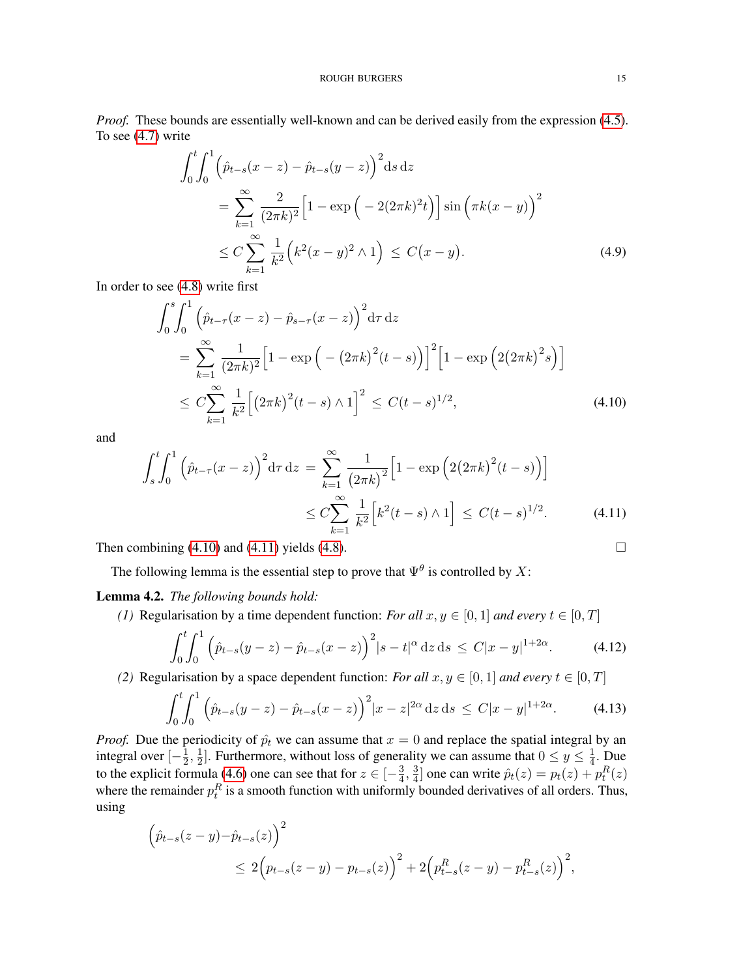*Proof.* These bounds are essentially well-known and can be derived easily from the expression [\(4.5\)](#page-13-2). To see [\(4.7\)](#page-13-3) write

$$
\int_{0}^{t} \int_{0}^{1} \left( \hat{p}_{t-s}(x-z) - \hat{p}_{t-s}(y-z) \right)^{2} ds dz
$$
  
\n
$$
= \sum_{k=1}^{\infty} \frac{2}{(2\pi k)^{2}} \left[ 1 - \exp\left( -2(2\pi k)^{2} t \right) \right] \sin\left( \pi k (x-y) \right)^{2}
$$
  
\n
$$
\leq C \sum_{k=1}^{\infty} \frac{1}{k^{2}} \left( k^{2} (x-y)^{2} \wedge 1 \right) \leq C (x-y). \tag{4.9}
$$

In order to see [\(4.8\)](#page-13-4) write first

<span id="page-14-1"></span>
$$
\int_{0}^{s} \int_{0}^{1} \left( \hat{p}_{t-\tau}(x-z) - \hat{p}_{s-\tau}(x-z) \right)^{2} d\tau dz
$$
\n
$$
= \sum_{k=1}^{\infty} \frac{1}{(2\pi k)^{2}} \left[ 1 - \exp\left( -\left( 2\pi k \right)^{2} (t-s) \right) \right]^{2} \left[ 1 - \exp\left( 2(2\pi k)^{2} s \right) \right]
$$
\n
$$
\leq C \sum_{k=1}^{\infty} \frac{1}{k^{2}} \left[ \left( 2\pi k \right)^{2} (t-s) \wedge 1 \right]^{2} \leq C (t-s)^{1/2}, \tag{4.10}
$$

and

$$
\int_{s}^{t} \int_{0}^{1} \left( \hat{p}_{t-\tau}(x-z) \right)^{2} d\tau dz = \sum_{k=1}^{\infty} \frac{1}{(2\pi k)^{2}} \left[ 1 - \exp \left( 2(2\pi k)^{2} (t-s) \right) \right]
$$
  

$$
\leq C \sum_{k=1}^{\infty} \frac{1}{k^{2}} \left[ k^{2} (t-s) \wedge 1 \right] \leq C (t-s)^{1/2}.
$$
 (4.11)

Then combining  $(4.10)$  and  $(4.11)$  yields  $(4.8)$ .

The following lemma is the essential step to prove that  $\Psi^{\theta}$  is controlled by X:

<span id="page-14-0"></span>Lemma 4.2. *The following bounds hold:*

*(1)* Regularisation by a time dependent function: *For all*  $x, y \in [0, 1]$  *and every*  $t \in [0, T]$ 

<span id="page-14-3"></span><span id="page-14-2"></span>
$$
\int_0^t \int_0^1 \left( \hat{p}_{t-s}(y-z) - \hat{p}_{t-s}(x-z) \right)^2 |s-t|^\alpha \, \mathrm{d}z \, \mathrm{d}s \le C |x-y|^{1+2\alpha}.\tag{4.12}
$$

*(2)* Regularisation by a space dependent function: *For all*  $x, y \in [0, 1]$  *and every*  $t \in [0, T]$ 

<span id="page-14-4"></span>
$$
\int_0^t \int_0^1 \left( \hat{p}_{t-s}(y-z) - \hat{p}_{t-s}(x-z) \right)^2 |x-z|^{2\alpha} dz ds \le C|x-y|^{1+2\alpha}.
$$
 (4.13)

*Proof.* Due the periodicity of  $\hat{p}_t$  we can assume that  $x = 0$  and replace the spatial integral by an integral over  $\left[-\frac{1}{2}\right]$  $\frac{1}{2},\frac{1}{2}$  $\frac{1}{2}$ . Furthermore, without loss of generality we can assume that  $0 \le y \le \frac{1}{4}$  $\frac{1}{4}$ . Due to the explicit formula [\(4.6\)](#page-13-5) one can see that for  $z \in \left[-\frac{3}{4}\right]$  $\frac{3}{4}$ ,  $\frac{3}{4}$  $\frac{3}{4}$ ] one can write  $\hat{p}_t(z) = p_t(z) + p_t^R(z)$ where the remainder  $p_t^R$  is a smooth function with uniformly bounded derivatives of all orders. Thus, using

$$
\left(\hat{p}_{t-s}(z-y)-\hat{p}_{t-s}(z)\right)^2 \le 2\left(p_{t-s}(z-y)-p_{t-s}(z)\right)^2 + 2\left(p_{t-s}^R(z-y)-p_{t-s}^R(z)\right)^2,
$$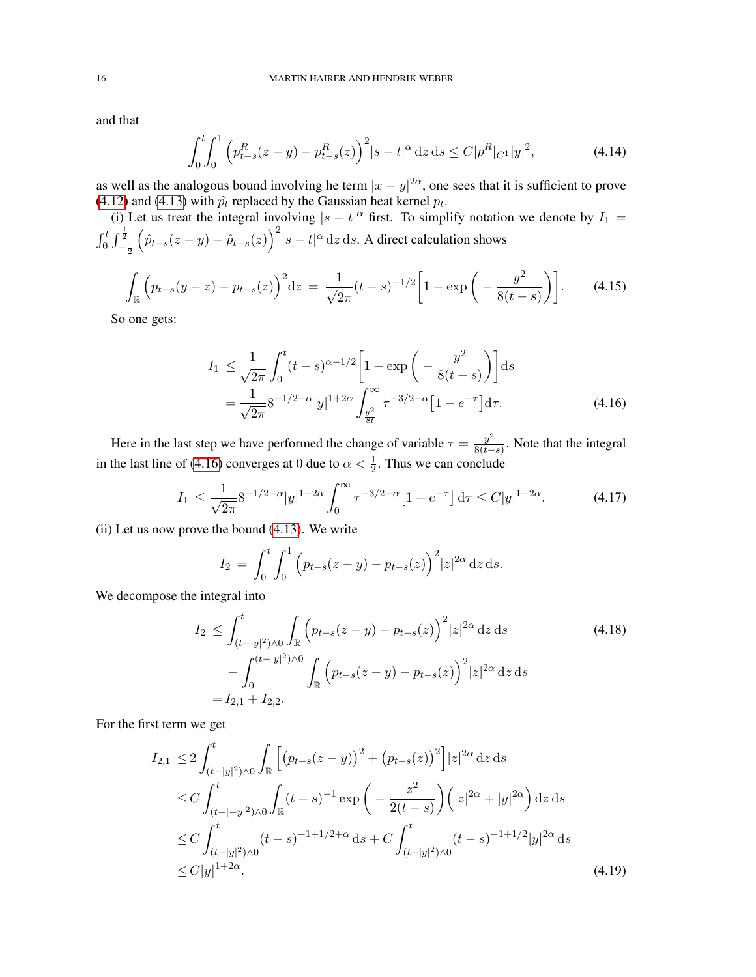and that

$$
\int_0^t \int_0^1 \left( p_{t-s}^R(z-y) - p_{t-s}^R(z) \right)^2 |s-t|^\alpha \, \mathrm{d}z \, \mathrm{d}s \le C |p^R|_{C^1} |y|^2,\tag{4.14}
$$

as well as the analogous bound involving he term  $|x-y|^{2\alpha}$ , one sees that it is sufficient to prove [\(4.12\)](#page-14-3) and [\(4.13\)](#page-14-4) with  $\hat{p}_t$  replaced by the Gaussian heat kernel  $p_t$ .

(i) Let us treat the integral involving  $|s - t|^{\alpha}$  first. To simplify notation we denote by  $I_1 =$  $\int_0^t\int_{-\frac{1}{2}}^{\frac{1}{2}}$  $(\hat{p}_{t-s}(z-y) - \hat{p}_{t-s}(z))^2 |s-t|^\alpha dz ds$ . A direct calculation shows

$$
\int_{\mathbb{R}} \left( p_{t-s}(y-z) - p_{t-s}(z) \right)^2 dz = \frac{1}{\sqrt{2\pi}} (t-s)^{-1/2} \left[ 1 - \exp\left( -\frac{y^2}{8(t-s)} \right) \right]. \tag{4.15}
$$

So one gets:

<span id="page-15-0"></span>
$$
I_1 \leq \frac{1}{\sqrt{2\pi}} \int_0^t (t-s)^{\alpha - 1/2} \left[ 1 - \exp\left( -\frac{y^2}{8(t-s)} \right) \right] ds
$$
  
= 
$$
\frac{1}{\sqrt{2\pi}} 8^{-1/2 - \alpha} |y|^{1+2\alpha} \int_{\frac{y^2}{8t}}^{\infty} \tau^{-3/2 - \alpha} \left[ 1 - e^{-\tau} \right] d\tau.
$$
 (4.16)

Here in the last step we have performed the change of variable  $\tau = \frac{y^2}{8(t-1)}$  $\frac{y}{8(t-s)}$ . Note that the integral in the last line of [\(4.16\)](#page-15-0) converges at 0 due to  $\alpha < \frac{1}{2}$ . Thus we can conclude

$$
I_1 \le \frac{1}{\sqrt{2\pi}} 8^{-1/2-\alpha} |y|^{1+2\alpha} \int_0^\infty \tau^{-3/2-\alpha} \left[1 - e^{-\tau}\right] d\tau \le C|y|^{1+2\alpha}.\tag{4.17}
$$

(ii) Let us now prove the bound [\(4.13\)](#page-14-4). We write

$$
I_2 = \int_0^t \int_0^1 (p_{t-s}(z-y) - p_{t-s}(z))^2 |z|^{2\alpha} dz ds.
$$

We decompose the integral into

$$
I_2 \le \int_{(t-|y|^2)\wedge 0}^t \int_{\mathbb{R}} \left( p_{t-s}(z-y) - p_{t-s}(z) \right)^2 |z|^{2\alpha} dz ds
$$
  
+ 
$$
\int_0^{(t-|y|^2)\wedge 0} \int_{\mathbb{R}} \left( p_{t-s}(z-y) - p_{t-s}(z) \right)^2 |z|^{2\alpha} dz ds
$$
  
=  $I_{2,1} + I_{2,2}.$  (4.18)

For the first term we get

$$
I_{2,1} \leq 2 \int_{(t-|y|^2)\wedge 0}^t \int_{\mathbb{R}} \left[ \left( p_{t-s}(z-y) \right)^2 + \left( p_{t-s}(z) \right)^2 \right] |z|^{2\alpha} dz ds
$$
  
\n
$$
\leq C \int_{(t-|y|^2)\wedge 0}^t \int_{\mathbb{R}} (t-s)^{-1} \exp \left( -\frac{z^2}{2(t-s)} \right) \left( |z|^{2\alpha} + |y|^{2\alpha} \right) dz ds
$$
  
\n
$$
\leq C \int_{(t-|y|^2)\wedge 0}^t (t-s)^{-1+1/2+\alpha} ds + C \int_{(t-|y|^2)\wedge 0}^t (t-s)^{-1+1/2} |y|^{2\alpha} ds
$$
  
\n
$$
\leq C |y|^{1+2\alpha}.
$$
\n(4.19)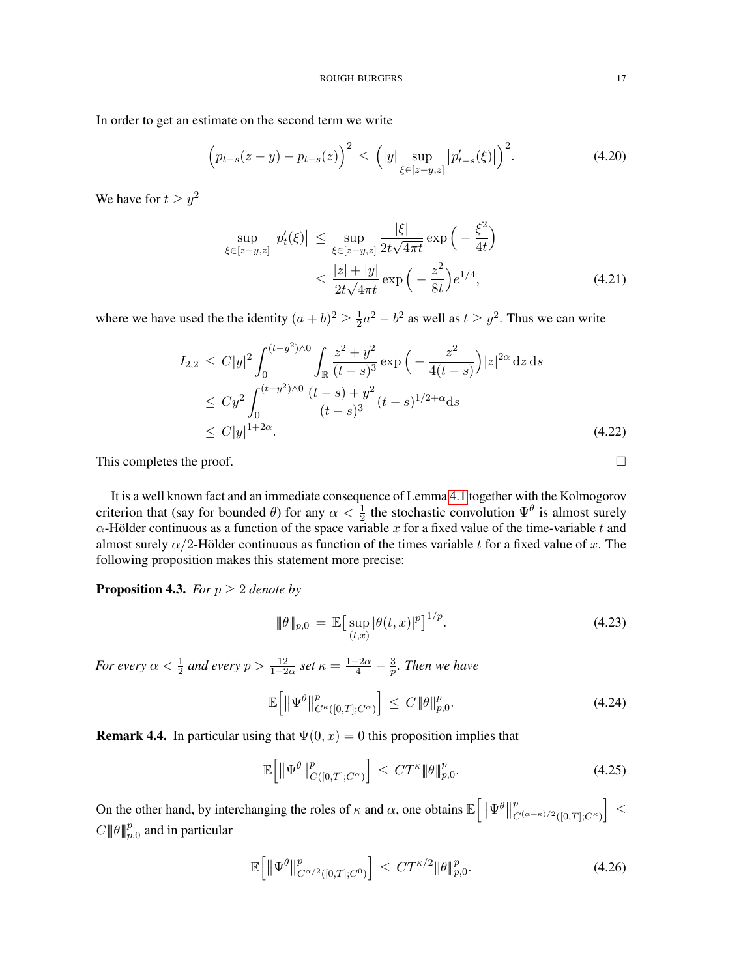In order to get an estimate on the second term we write

$$
\left(p_{t-s}(z-y) - p_{t-s}(z)\right)^2 \le \left(|y| \sup_{\xi \in [z-y,z]} |p'_{t-s}(\xi)|\right)^2.
$$
 (4.20)

We have for  $t \ge y^2$ 

$$
\sup_{\xi \in [z-y,z]} |p'_t(\xi)| \le \sup_{\xi \in [z-y,z]} \frac{|\xi|}{2t\sqrt{4\pi t}} \exp\left(-\frac{\xi^2}{4t}\right)
$$
  

$$
\le \frac{|z| + |y|}{2t\sqrt{4\pi t}} \exp\left(-\frac{z^2}{8t}\right) e^{1/4}, \tag{4.21}
$$

where we have used the the identity  $(a + b)^2 \geq \frac{1}{2}$  $\frac{1}{2}a^2 - b^2$  as well as  $t \ge y^2$ . Thus we can write

$$
I_{2,2} \leq C|y|^2 \int_0^{(t-y^2)\wedge 0} \int_{\mathbb{R}} \frac{z^2 + y^2}{(t-s)^3} \exp\left(-\frac{z^2}{4(t-s)}\right) |z|^{2\alpha} dz ds
$$
  
\n
$$
\leq C y^2 \int_0^{(t-y^2)\wedge 0} \frac{(t-s) + y^2}{(t-s)^3} (t-s)^{1/2+\alpha} ds
$$
  
\n
$$
\leq C|y|^{1+2\alpha}.
$$
\n(4.22)

This completes the proof.  $\Box$ 

It is a well known fact and an immediate consequence of Lemma [4.1](#page-13-6) together with the Kolmogorov criterion that (say for bounded  $\theta$ ) for any  $\alpha < \frac{1}{2}$  the stochastic convolution  $\Psi^{\theta}$  is almost surely  $\alpha$ -Hölder continuous as a function of the space variable x for a fixed value of the time-variable t and almost surely  $\alpha/2$ -Hölder continuous as function of the times variable t for a fixed value of x. The following proposition makes this statement more precise:

<span id="page-16-0"></span>**Proposition 4.3.** *For*  $p \geq 2$  *denote by* 

$$
\|\theta\|_{p,0} = \mathbb{E}\big[\sup_{(t,x)} |\theta(t,x)|^p\big]^{1/p}.\tag{4.23}
$$

*For every*  $\alpha < \frac{1}{2}$  and every  $p > \frac{12}{1-2\alpha}$  set  $\kappa = \frac{1-2\alpha}{4} - \frac{3}{p}$ p *. Then we have*

$$
\mathbb{E}\left[\left\|\Psi^{\theta}\right\|_{C^{\kappa}([0,T];C^{\alpha})}^p\right] \leq C \|\theta\|_{p,0}^p. \tag{4.24}
$$

<span id="page-16-1"></span>**Remark 4.4.** In particular using that  $\Psi(0, x) = 0$  this proposition implies that

<span id="page-16-2"></span>
$$
\mathbb{E}\left[\left\|\Psi^{\theta}\right\|_{C([0,T];C^{\alpha})}^p\right] \leq C T^{\kappa} \|\theta\|_{p,0}^p. \tag{4.25}
$$

On the other hand, by interchanging the roles of  $\kappa$  and  $\alpha$ , one obtains  $\mathbb{E}\left[\|\Psi^{\theta}\right\|$ p  $\left\vert _{C^{(\alpha +\kappa )/2}([0,T];C^{\kappa })}\right\vert \leq$  $C \parallel \theta \parallel_{p,0}^p$  and in particular

<span id="page-16-3"></span>
$$
\mathbb{E}\left[\left\|\Psi^{\theta}\right\|_{C^{\alpha/2}\left([0,T];C^{0}\right)}^{p}\right] \leq CT^{\kappa/2}\|\theta\|_{p,0}^{p}.\tag{4.26}
$$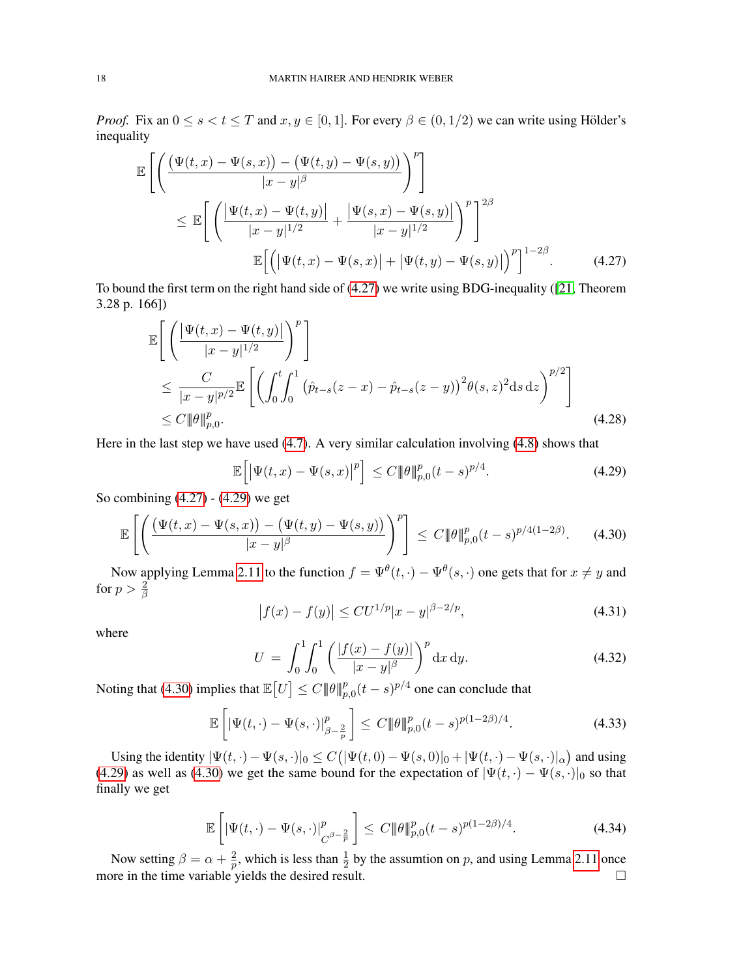*Proof.* Fix an  $0 \le s < t \le T$  and  $x, y \in [0, 1]$ . For every  $\beta \in (0, 1/2)$  we can write using Hölder's inequality

$$
\mathbb{E}\left[\left(\frac{(\Psi(t,x)-\Psi(s,x))-(\Psi(t,y)-\Psi(s,y))}{|x-y|^{\beta}}\right)^{p}\right] \leq \mathbb{E}\left[\left(\frac{|\Psi(t,x)-\Psi(t,y)|}{|x-y|^{1/2}}+\frac{|\Psi(s,x)-\Psi(s,y)|}{|x-y|^{1/2}}\right)^{p}\right]^{2\beta} \leq \mathbb{E}\left[\left(|\Psi(t,x)-\Psi(s,x)|+|\Psi(t,y)-\Psi(s,y)|\right)^{p}\right]^{1-2\beta}.\tag{4.27}
$$

To bound the first term on the right hand side of [\(4.27\)](#page-17-0) we write using BDG-inequality ([\[21,](#page-41-27) Theorem 3.28 p. 166])

$$
\mathbb{E}\left[\left(\frac{|\Psi(t,x) - \Psi(t,y)|}{|x - y|^{1/2}}\right)^p\right] \n\leq \frac{C}{|x - y|^{p/2}} \mathbb{E}\left[\left(\int_0^t \int_0^1 (\hat{p}_{t-s}(z - x) - \hat{p}_{t-s}(z - y))^2 \theta(s,z)^2 ds dz\right)^{p/2}\right] \n\leq C \|\theta\|_{p,0}^p. \tag{4.28}
$$

Here in the last step we have used [\(4.7\)](#page-13-3). A very similar calculation involving [\(4.8\)](#page-13-4) shows that

<span id="page-17-3"></span><span id="page-17-1"></span><span id="page-17-0"></span>
$$
\mathbb{E}\left[\left|\Psi(t,x)-\Psi(s,x)\right|^p\right] \le C \|\theta\|_{p,0}^p (t-s)^{p/4}.\tag{4.29}
$$

So combining [\(4.27\)](#page-17-0) - [\(4.29\)](#page-17-1) we get

<span id="page-17-2"></span>
$$
\mathbb{E}\left[\left(\frac{(\Psi(t,x) - \Psi(s,x)) - (\Psi(t,y) - \Psi(s,y))}{|x - y|^{\beta}}\right)^{p}\right] \leq C \|\theta\|_{p,0}^{p}(t - s)^{p/4(1-2\beta)}.\tag{4.30}
$$

Now applying Lemma [2.11](#page-7-0) to the function  $f = \Psi^{\theta}(t, \cdot) - \Psi^{\theta}(s, \cdot)$  one gets that for  $x \neq y$  and for  $p > \frac{2}{\beta}$ 

$$
\left| f(x) - f(y) \right| \leq C U^{1/p} |x - y|^{\beta - 2/p},\tag{4.31}
$$

where

$$
U = \int_0^1 \int_0^1 \left( \frac{|f(x) - f(y)|}{|x - y|^{\beta}} \right)^p dx dy.
$$
 (4.32)

Noting that [\(4.30\)](#page-17-2) implies that  $\mathbb{E}\left[U\right] \leq C \|\theta\|_{p,0}^p (t-s)^{p/4}$  one can conclude that

$$
\mathbb{E}\left[\left|\Psi(t,\cdot)-\Psi(s,\cdot)\right|_{\beta-\frac{2}{p}}^p\right] \le C \|\theta\|_{p,0}^p (t-s)^{p(1-2\beta)/4}.
$$
 (4.33)

Using the identity  $|\Psi(t, \cdot) - \Psi(s, \cdot)|_0 \le C (|\Psi(t, 0) - \Psi(s, 0)|_0 + |\Psi(t, \cdot) - \Psi(s, \cdot)|_\alpha)$  and using [\(4.29\)](#page-17-1) as well as [\(4.30\)](#page-17-2) we get the same bound for the expectation of  $|\Psi(t, \cdot) - \Psi(s, \cdot)|_0$  so that finally we get

$$
\mathbb{E}\left[\left|\Psi(t,\cdot)-\Psi(s,\cdot)\right|_{C^{\beta-\frac{2}{p}}}^p\right] \le C \|\theta\|_{p,0}^p (t-s)^{p(1-2\beta)/4}.
$$
\n(4.34)

Now setting  $\beta = \alpha + \frac{2}{n}$  $\frac{2}{p}$ , which is less than  $\frac{1}{2}$  by the assumtion on p, and using Lemma [2.11](#page-7-0) once more in the time variable yields the desired result.  $\square$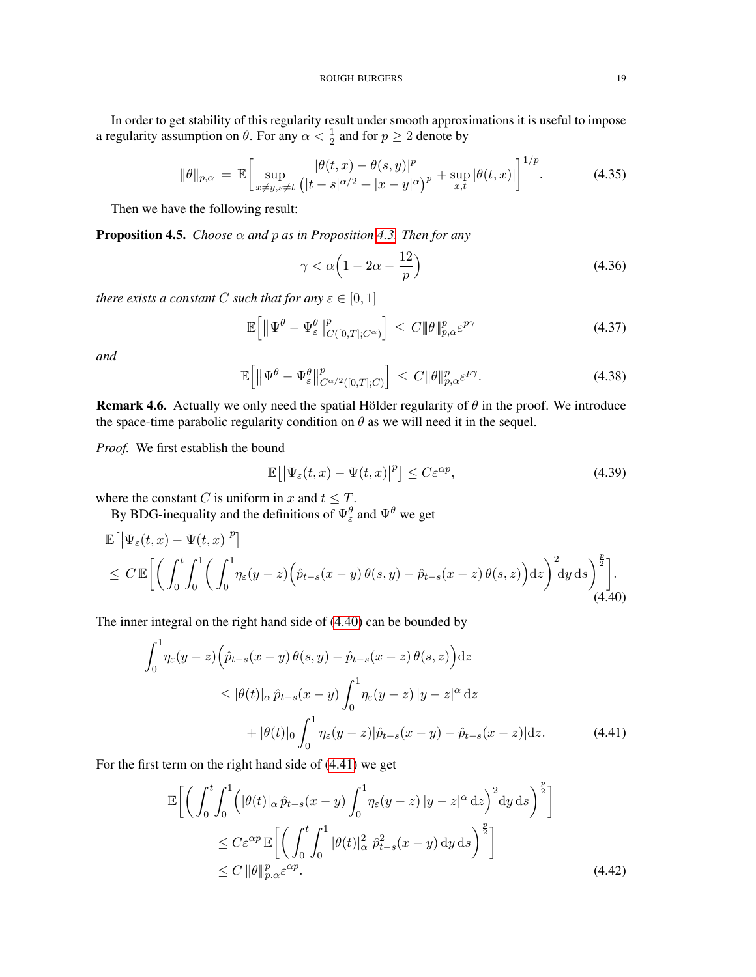In order to get stability of this regularity result under smooth approximations it is useful to impose a regularity assumption on  $\theta$ . For any  $\alpha < \frac{1}{2}$  and for  $p \ge 2$  denote by

<span id="page-18-4"></span>
$$
\|\theta\|_{p,\alpha} = \mathbb{E}\bigg[\sup_{x\neq y, s\neq t} \frac{|\theta(t,x) - \theta(s,y)|^p}{\left(|t-s|^{\alpha/2} + |x-y|^{\alpha}\right)^p} + \sup_{x,t} |\theta(t,x)|\bigg]^{1/p}.\tag{4.35}
$$

Then we have the following result:

**Proposition 4.5.** *Choose*  $\alpha$  *and*  $p$  *as in Proposition [4.3.](#page-16-0) Then for any* 

<span id="page-18-6"></span>
$$
\gamma < \alpha \left( 1 - 2\alpha - \frac{12}{p} \right) \tag{4.36}
$$

*there exists a constant C such that for any*  $\varepsilon \in [0,1]$ 

<span id="page-18-5"></span>
$$
\mathbb{E}\left[\left\|\Psi^{\theta}-\Psi^{\theta}_{\varepsilon}\right\|_{C([0,T];C^{\alpha})}^p\right] \leq C \|\theta\|_{p,\alpha}^p \varepsilon^{p\gamma} \tag{4.37}
$$

*and*

<span id="page-18-7"></span>
$$
\mathbb{E}\Big[\|\Psi^{\theta} - \Psi^{\theta}_{\varepsilon}\|_{C^{\alpha/2}([0,T];C)}^p\Big] \leq C \|\theta\|_{p,\alpha}^p \varepsilon^{p\gamma}.\tag{4.38}
$$

**Remark 4.6.** Actually we only need the spatial Hölder regularity of  $\theta$  in the proof. We introduce the space-time parabolic regularity condition on  $\theta$  as we will need it in the sequel.

*Proof.* We first establish the bound

<span id="page-18-3"></span><span id="page-18-1"></span><span id="page-18-0"></span>
$$
\mathbb{E}\big[\big|\Psi_{\varepsilon}(t,x)-\Psi(t,x)\big|^{p}\big] \leq C\varepsilon^{\alpha p},\tag{4.39}
$$

where the constant C is uniform in x and  $t \leq T$ .

By BDG-inequality and the definitions of  $\Psi_{\varepsilon}^{\theta}$  and  $\Psi^{\theta}$  we get

$$
\mathbb{E}\left[\left|\Psi_{\varepsilon}(t,x)-\Psi(t,x)\right|^{p}\right] \leq C \mathbb{E}\left[\left(\int_{0}^{t} \int_{0}^{1} \left(\int_{0}^{1} \eta_{\varepsilon}(y-z)\left(\hat{p}_{t-s}(x-y)\,\theta(s,y)-\hat{p}_{t-s}(x-z)\,\theta(s,z)\right)\mathrm{d}z\right)^{2} \mathrm{d}y \,\mathrm{d}s\right)^{\frac{p}{2}}\right].
$$
\n(4.40)

The inner integral on the right hand side of [\(4.40\)](#page-18-0) can be bounded by

$$
\int_0^1 \eta_{\varepsilon}(y-z) \left( \hat{p}_{t-s}(x-y) \theta(s,y) - \hat{p}_{t-s}(x-z) \theta(s,z) \right) dz
$$
  
\n
$$
\leq |\theta(t)|_{\alpha} \hat{p}_{t-s}(x-y) \int_0^1 \eta_{\varepsilon}(y-z) |y-z|^{\alpha} dz
$$
  
\n
$$
+ |\theta(t)|_{0} \int_0^1 \eta_{\varepsilon}(y-z) |\hat{p}_{t-s}(x-y) - \hat{p}_{t-s}(x-z)| dz.
$$
 (4.41)

For the first term on the right hand side of [\(4.41\)](#page-18-1) we get

<span id="page-18-2"></span>
$$
\mathbb{E}\bigg[\bigg(\int_0^t \int_0^1 \Big(|\theta(t)|_{\alpha}\hat{p}_{t-s}(x-y) \int_0^1 \eta_{\varepsilon}(y-z) \, |y-z|^{\alpha} \, dz\bigg)^2 dy ds\bigg)^{\frac{p}{2}}\bigg] \leq C \varepsilon^{\alpha p} \mathbb{E}\bigg[\bigg(\int_0^t \int_0^1 |\theta(t)|_{\alpha}^2 \, \hat{p}_{t-s}^2(x-y) \, dy ds\bigg)^{\frac{p}{2}}\bigg] \leq C \, \|\theta\|_{p,\alpha}^p \varepsilon^{\alpha p}.\tag{4.42}
$$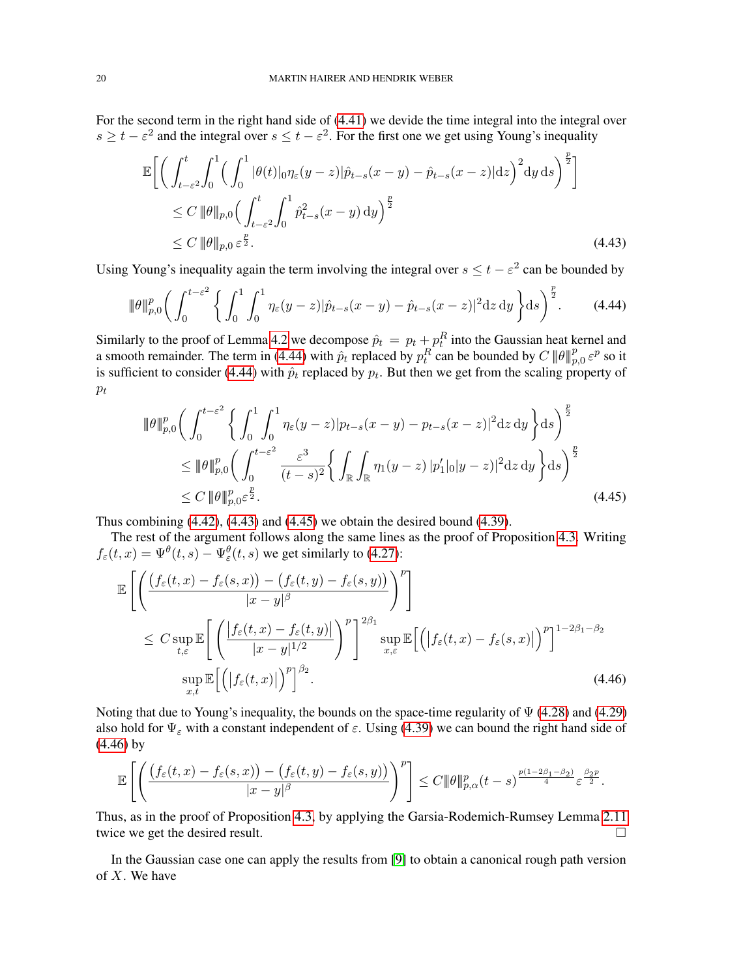For the second term in the right hand side of [\(4.41\)](#page-18-1) we devide the time integral into the integral over  $s \ge t - \varepsilon^2$  and the integral over  $s \le t - \varepsilon^2$ . For the first one we get using Young's inequality

<span id="page-19-1"></span>
$$
\mathbb{E}\bigg[\bigg(\int_{t-\varepsilon^2}^t \int_0^1 \Big(\int_0^1 |\theta(t)|_0 \eta_{\varepsilon}(y-z)|\hat{p}_{t-s}(x-y) - \hat{p}_{t-s}(x-z)|dz\bigg)^2 dy ds\bigg)^{\frac{p}{2}}\bigg] \leq C \, \|\theta\|_{p,0} \bigg(\int_{t-\varepsilon^2}^t \int_0^1 \hat{p}_{t-s}^2(x-y) dy\bigg)^{\frac{p}{2}} \leq C \, \|\theta\|_{p,0} \, \varepsilon^{\frac{p}{2}}.\tag{4.43}
$$

Using Young's inequality again the term involving the integral over  $s \le t - \varepsilon^2$  can be bounded by

<span id="page-19-0"></span>
$$
\|\theta\|_{p,0}^p \bigg( \int_0^{t-\varepsilon^2} \bigg\{ \int_0^1 \int_0^1 \eta_{\varepsilon}(y-z) |\hat{p}_{t-s}(x-y) - \hat{p}_{t-s}(x-z)|^2 \mathrm{d}z \, \mathrm{d}y \bigg\} \mathrm{d}s \bigg)^{\frac{p}{2}}. \tag{4.44}
$$

Similarly to the proof of Lemma [4.2](#page-14-0) we decompose  $\hat{p}_t = p_t + p_t^R$  into the Gaussian heat kernel and a smooth remainder. The term in [\(4.44\)](#page-19-0) with  $\hat{p}_t$  replaced by  $p_t^R$  can be bounded by  $C \|\theta\|_{p,0}^p \varepsilon^p$  so it is sufficient to consider [\(4.44\)](#page-19-0) with  $\hat{p}_t$  replaced by  $p_t$ . But then we get from the scaling property of  $p_t$ 

<span id="page-19-2"></span>
$$
\|\theta\|_{p,0}^p \left( \int_0^{t-\varepsilon^2} \left\{ \int_0^1 \int_0^1 \eta_{\varepsilon}(y-z) |p_{t-s}(x-y) - p_{t-s}(x-z)|^2 dz dy \right\} ds \right)^{\frac{p}{2}} \n\leq \|\theta\|_{p,0}^p \left( \int_0^{t-\varepsilon^2} \frac{\varepsilon^3}{(t-s)^2} \left\{ \int_{\mathbb{R}} \int_{\mathbb{R}} \eta_1(y-z) |p'_1|_0 |y-z|^2 dz dy \right\} ds \right)^{\frac{p}{2}} \n\leq C \|\theta\|_{p,0}^p \varepsilon^{\frac{p}{2}}.
$$
\n(4.45)

Thus combining [\(4.42\)](#page-18-2), [\(4.43\)](#page-19-1) and [\(4.45\)](#page-19-2) we obtain the desired bound [\(4.39\)](#page-18-3).

The rest of the argument follows along the same lines as the proof of Proposition [4.3.](#page-16-0) Writing  $f_{\varepsilon}(t,x) = \Psi^{\theta}(t,s) - \Psi^{\theta}_{\varepsilon}(t,s)$  we get similarly to [\(4.27\)](#page-17-0):

$$
\mathbb{E}\left[\left(\frac{\left(f_{\varepsilon}(t,x)-f_{\varepsilon}(s,x)\right)-\left(f_{\varepsilon}(t,y)-f_{\varepsilon}(s,y)\right)}{|x-y|^{\beta}}\right)^{p}\right] \leq C \sup_{t,\varepsilon} \mathbb{E}\left[\left(\frac{\left|f_{\varepsilon}(t,x)-f_{\varepsilon}(t,y)|}{|x-y|^{1/2}}\right)^{p}\right]^{2\beta_{1}} \sup_{x,\varepsilon} \mathbb{E}\left[\left(\left|f_{\varepsilon}(t,x)-f_{\varepsilon}(s,x)|\right)^{p}\right|^{1-2\beta_{1}-\beta_{2}}\right] \sup_{x,t} \mathbb{E}\left[\left(\left|f_{\varepsilon}(t,x)|\right)^{p}\right]^{3\beta_{2}}.\tag{4.46}
$$

Noting that due to Young's inequality, the bounds on the space-time regularity of  $\Psi$  [\(4.28\)](#page-17-3) and [\(4.29\)](#page-17-1) also hold for  $\Psi_{\varepsilon}$  with a constant independent of  $\varepsilon$ . Using [\(4.39\)](#page-18-3) we can bound the right hand side of [\(4.46\)](#page-19-3) by

<span id="page-19-3"></span>
$$
\mathbb{E}\left[\left(\frac{\left(f_{\varepsilon}(t,x)-f_{\varepsilon}(s,x)\right)-\left(f_{\varepsilon}(t,y)-f_{\varepsilon}(s,y)\right)}{|x-y|^{\beta}}\right)^{p}\right]\leq C\|\theta\|_{p,\alpha}^{p}(t-s)^{\frac{p(1-2\beta_{1}-\beta_{2})}{4}}\varepsilon^{\frac{\beta_{2}p}{2}}.
$$

Thus, as in the proof of Proposition [4.3,](#page-16-0) by applying the Garsia-Rodemich-Rumsey Lemma [2.11](#page-7-0) twice we get the desired result.

In the Gaussian case one can apply the results from [\[9\]](#page-41-8) to obtain a canonical rough path version of X. We have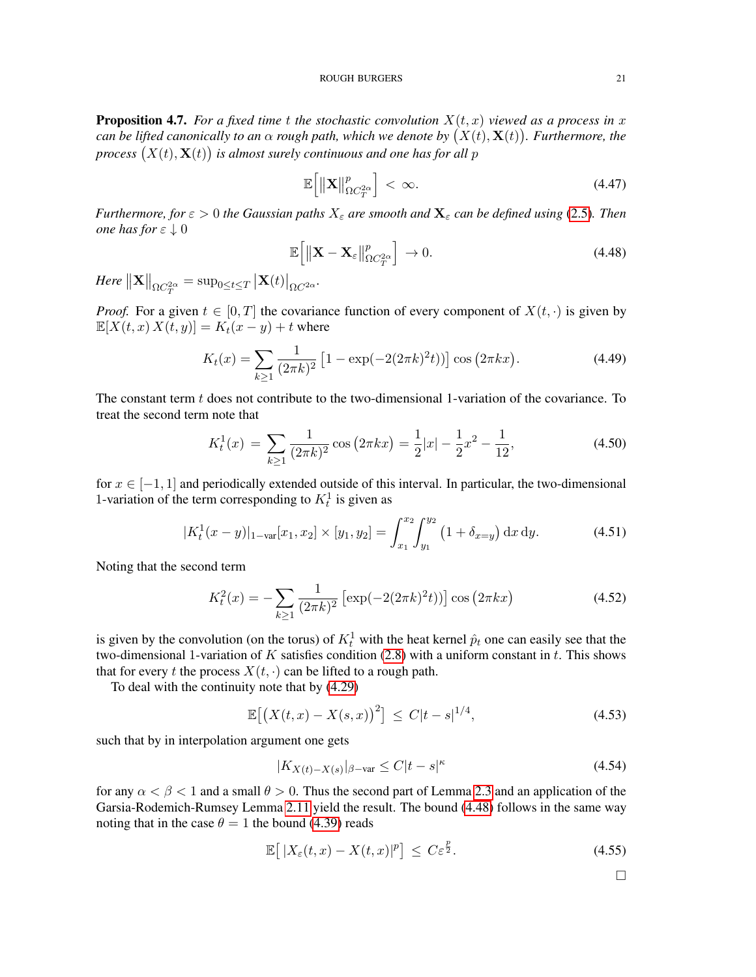<span id="page-20-0"></span>**Proposition 4.7.** For a fixed time t the stochastic convolution  $X(t, x)$  viewed as a process in x *can be lifted canonically to an*  $\alpha$  *rough path, which we denote by*  $(X(t), \mathbf{X}(t))$ *. Furthermore, the* process  $(X(t), X(t))$  is almost surely continuous and one has for all  $p$ 

$$
\mathbb{E}\left[\left\|\mathbf{X}\right\|_{\Omega C_{T}^{2\alpha}}^{p}\right]<\infty.\tag{4.47}
$$

*Furthermore, for*  $\varepsilon > 0$  *the Gaussian paths*  $X_{\varepsilon}$  *are smooth and*  $\mathbf{X}_{\varepsilon}$  *can be defined using* [\(2.5\)](#page-4-0). Then *one has for*  $\varepsilon \downarrow 0$ 

<span id="page-20-1"></span>
$$
\mathbb{E}\left[\left\|\mathbf{X}-\mathbf{X}_{\varepsilon}\right\|_{\Omega C_{T}^{2\alpha}}^{p}\right]\to 0.\tag{4.48}
$$

 $\left. \textit{Here} \right. \left. \left. \right\vert \mathbf{X} \right\vert \right\vert_{\Omega C_{T}^{2\alpha}} = \sup_{0 \leq t \leq T} \left\vert \mathbf{X}(t) \right\vert_{\Omega C^{2\alpha}}.$ 

*Proof.* For a given  $t \in [0, T]$  the covariance function of every component of  $X(t, \cdot)$  is given by  $\mathbb{E}[X(t, x) X(t, y)] = K_t(x - y) + t$  where

$$
K_t(x) = \sum_{k \ge 1} \frac{1}{(2\pi k)^2} \left[ 1 - \exp(-2(2\pi k)^2 t) \right] \cos(2\pi k x). \tag{4.49}
$$

The constant term  $t$  does not contribute to the two-dimensional 1-variation of the covariance. To treat the second term note that

$$
K_t^1(x) = \sum_{k \ge 1} \frac{1}{(2\pi k)^2} \cos(2\pi kx) = \frac{1}{2}|x| - \frac{1}{2}x^2 - \frac{1}{12},\tag{4.50}
$$

for  $x \in [-1, 1]$  and periodically extended outside of this interval. In particular, the two-dimensional 1-variation of the term corresponding to  $K_t^1$  is given as

$$
|K_t^1(x - y)|_{1 - \text{var}}[x_1, x_2] \times [y_1, y_2] = \int_{x_1}^{x_2} \int_{y_1}^{y_2} (1 + \delta_{x = y}) \, dx \, dy. \tag{4.51}
$$

Noting that the second term

$$
K_t^2(x) = -\sum_{k\geq 1} \frac{1}{(2\pi k)^2} \left[ \exp(-2(2\pi k)^2 t) \right] \cos(2\pi k x)
$$
 (4.52)

is given by the convolution (on the torus) of  $K_t^1$  with the heat kernel  $\hat{p}_t$  one can easily see that the two-dimensional 1-variation of K satisfies condition  $(2.8)$  with a uniform constant in t. This shows that for every t the process  $X(t, \cdot)$  can be lifted to a rough path.

To deal with the continuity note that by [\(4.29\)](#page-17-1)

$$
\mathbb{E}\big[\big(X(t,x) - X(s,x)\big)^2\big] \le C|t-s|^{1/4},\tag{4.53}
$$

such that by in interpolation argument one gets

$$
|K_{X(t)-X(s)}|_{\beta-\text{var}} \le C|t-s|^{\kappa} \tag{4.54}
$$

for any  $\alpha < \beta < 1$  and a small  $\theta > 0$ . Thus the second part of Lemma [2.3](#page-4-2) and an application of the Garsia-Rodemich-Rumsey Lemma [2.11](#page-7-0) yield the result. The bound [\(4.48\)](#page-20-1) follows in the same way noting that in the case  $\theta = 1$  the bound [\(4.39\)](#page-18-3) reads

$$
\mathbb{E}\left[\left|X_{\varepsilon}(t,x)-X(t,x)|^{p}\right]\right| \leq C\varepsilon^{\frac{p}{2}}.
$$
\n(4.55)

 $\Box$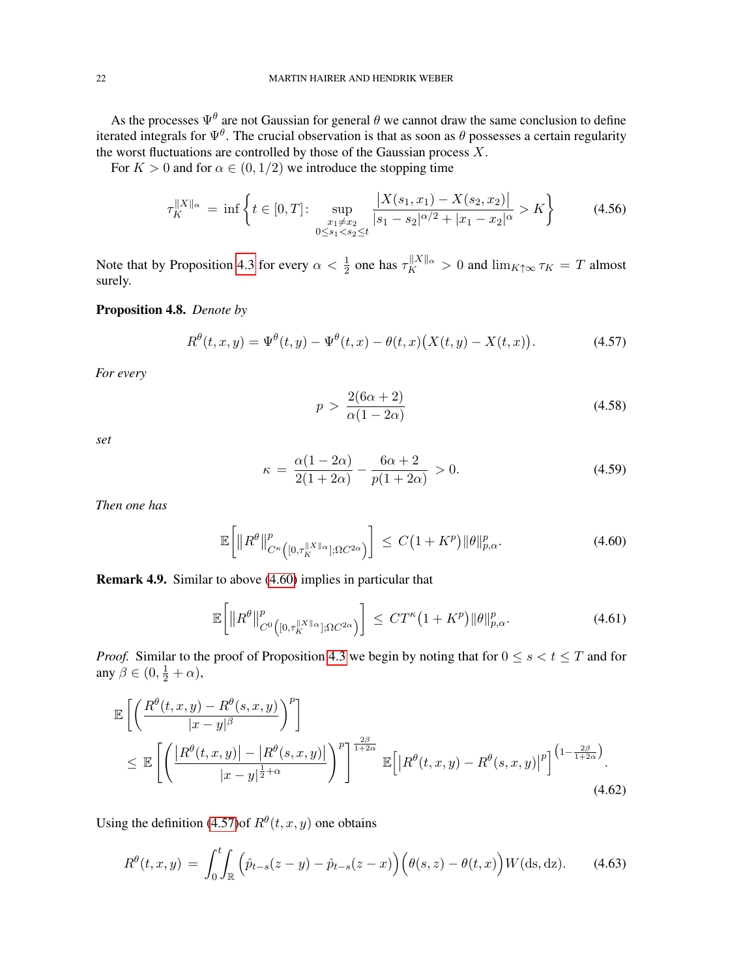As the processes  $\Psi^{\theta}$  are not Gaussian for general  $\theta$  we cannot draw the same conclusion to define iterated integrals for  $\Psi^{\theta}$ . The crucial observation is that as soon as  $\theta$  possesses a certain regularity the worst fluctuations are controlled by those of the Gaussian process  $\overrightarrow{X}$ .

For  $K > 0$  and for  $\alpha \in (0, 1/2)$  we introduce the stopping time

$$
\tau_K^{\|X\|_{\alpha}} = \inf \left\{ t \in [0, T] : \sup_{\substack{x_1 \neq x_2 \\ 0 \le s_1 < s_2 \le t}} \frac{\left| X(s_1, x_1) - X(s_2, x_2) \right|}{|s_1 - s_2|^{\alpha/2} + |x_1 - x_2|^{\alpha}} > K \right\} \tag{4.56}
$$

Note that by Proposition [4.3](#page-16-0) for every  $\alpha < \frac{1}{2}$  one has  $\tau_K^{||X||_\alpha} > 0$  and  $\lim_{K \uparrow \infty} \tau_K = T$  almost surely.

# <span id="page-21-0"></span>Proposition 4.8. *Denote by*

$$
R^{\theta}(t, x, y) = \Psi^{\theta}(t, y) - \Psi^{\theta}(t, x) - \theta(t, x) (X(t, y) - X(t, x)).
$$
\n(4.57)

*For every*

<span id="page-21-6"></span><span id="page-21-4"></span><span id="page-21-2"></span><span id="page-21-1"></span>
$$
p > \frac{2(6\alpha + 2)}{\alpha(1 - 2\alpha)}\tag{4.58}
$$

*set*

<span id="page-21-5"></span>
$$
\kappa = \frac{\alpha(1 - 2\alpha)}{2(1 + 2\alpha)} - \frac{6\alpha + 2}{p(1 + 2\alpha)} > 0.
$$
 (4.59)

*Then one has*

$$
\mathbb{E}\bigg[\|R^{\theta}\|_{C^{\kappa}\big([0,\tau_K^{\|X\|_{\alpha}}];\Omega C^{2\alpha}\big)}^p\bigg] \leq C\big(1+K^p\big)\|\theta\|_{p,\alpha}^p. \tag{4.60}
$$

Remark 4.9. Similar to above [\(4.60\)](#page-21-1) implies in particular that

<span id="page-21-3"></span>
$$
\mathbb{E}\bigg[\|R^{\theta}\|_{C^{0}\left([0,\tau_K^{\|X\|_{\alpha}}];\Omega C^{2\alpha}\right)}^{p}\bigg] \leq CT^{\kappa}\big(1+K^{p}\big)\|\theta\|_{p,\alpha}^{p}.\tag{4.61}
$$

*Proof.* Similar to the proof of Proposition [4.3](#page-16-0) we begin by noting that for  $0 \le s < t \le T$  and for any  $\beta \in (0, \frac{1}{2} + \alpha)$ ,

$$
\mathbb{E}\left[\left(\frac{R^{\theta}(t,x,y)-R^{\theta}(s,x,y)}{|x-y|^{\beta}}\right)^{p}\right] \leq \mathbb{E}\left[\left(\frac{|R^{\theta}(t,x,y)|-|R^{\theta}(s,x,y)|}{|x-y|^{\frac{1}{2}+\alpha}}\right)^{p}\right]^{\frac{2\beta}{1+2\alpha}}\mathbb{E}\left[|R^{\theta}(t,x,y)-R^{\theta}(s,x,y)|^{p}\right]^{\left(1-\frac{2\beta}{1+2\alpha}\right)}.\tag{4.62}
$$

Using the definition [\(4.57\)](#page-21-2) of  $R^{\theta}(t, x, y)$  one obtains

$$
R^{\theta}(t, x, y) = \int_0^t \int_{\mathbb{R}} \left( \hat{p}_{t-s}(z-y) - \hat{p}_{t-s}(z-x) \right) \left( \theta(s, z) - \theta(t, x) \right) W(\mathrm{ds}, \mathrm{dz}). \tag{4.63}
$$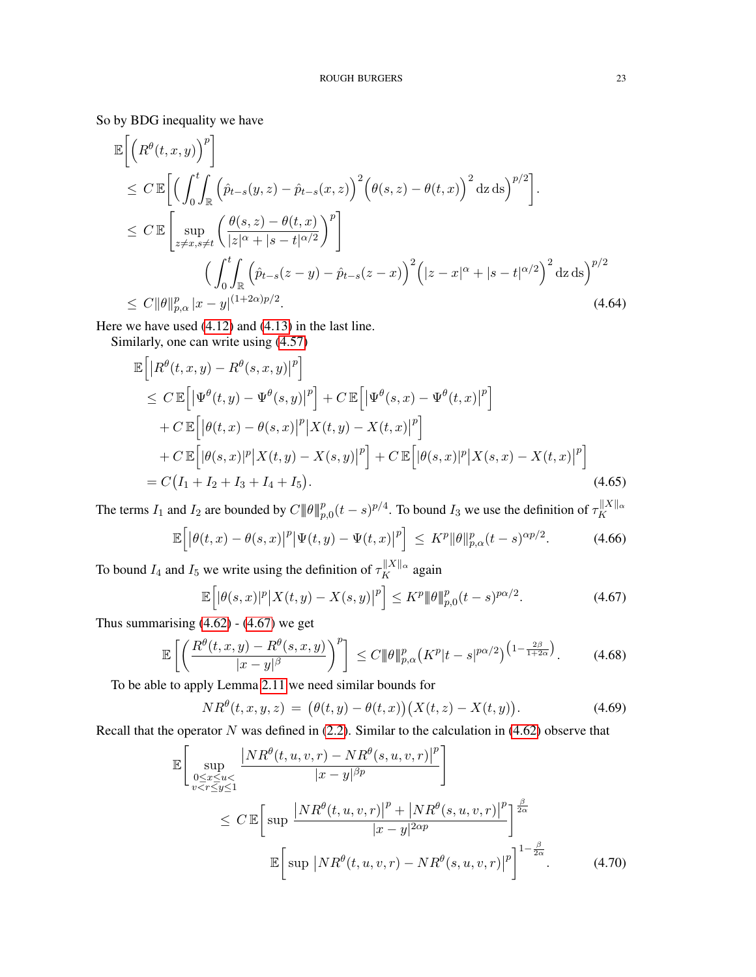So by BDG inequality we have

$$
\mathbb{E}\left[\left(R^{\theta}(t,x,y)\right)^{p}\right] \leq C \mathbb{E}\left[\left(\int_{0}^{t}\int_{\mathbb{R}}\left(\hat{p}_{t-s}(y,z)-\hat{p}_{t-s}(x,z)\right)^{2}\left(\theta(s,z)-\theta(t,x)\right)^{2}\mathrm{d}z\,\mathrm{d}s\right)^{p/2}\right] \leq C \mathbb{E}\left[\sup_{z\neq x,s\neq t}\left(\frac{\theta(s,z)-\theta(t,x)}{|z|^{\alpha}+|s-t|^{\alpha/2}}\right)^{p}\right] \leq C \mathbb{E}\left[\sup_{\theta\in\mathcal{R}}\left(\int_{0}^{t}\int_{\mathbb{R}}\left(\hat{p}_{t-s}(z-y)-\hat{p}_{t-s}(z-x)\right)^{2}\left(|z-x|^{\alpha}+|s-t|^{\alpha/2}\right)^{2}\mathrm{d}z\,\mathrm{d}s\right)^{p/2}\leq C \|\theta\|_{p,\alpha}^{p}|x-y|^{(1+2\alpha)p/2}.
$$
\n(4.64)

Here we have used [\(4.12\)](#page-14-3) and [\(4.13\)](#page-14-4) in the last line.

Similarly, one can write using [\(4.57\)](#page-21-2)

$$
\mathbb{E}\left[\left|R^{\theta}(t,x,y)-R^{\theta}(s,x,y)\right|^{p}\right] \n\leq C \mathbb{E}\left[\left|\Psi^{\theta}(t,y)-\Psi^{\theta}(s,y)\right|^{p}\right] + C \mathbb{E}\left[\left|\Psi^{\theta}(s,x)-\Psi^{\theta}(t,x)\right|^{p}\right] \n+ C \mathbb{E}\left[\left|\theta(t,x)-\theta(s,x)\right|^{p}\right]X(t,y) - X(t,x)\right|^{p}\right] \n+ C \mathbb{E}\left[\left|\theta(s,x)|^{p}\right|X(t,y) - X(s,y)\right|^{p}\right] + C \mathbb{E}\left[\left|\theta(s,x)|^{p}\right|X(s,x) - X(t,x)\right|^{p}\right] \n= C\left(I_{1} + I_{2} + I_{3} + I_{4} + I_{5}\right).
$$
\n(4.65)

The terms  $I_1$  and  $I_2$  are bounded by  $C \|\theta\|_{p,0}^p (t-s)^{p/4}$ . To bound  $I_3$  we use the definition of  $\tau_K^{\|X\|_\alpha}$ K

$$
\mathbb{E}\Big[\big|\theta(t,x)-\theta(s,x)\big|^p\big|\Psi(t,y)-\Psi(t,x)\big|^p\Big] \leq K^p \|\theta\|_{p,\alpha}^p(t-s)^{\alpha p/2}.\tag{4.66}
$$

To bound  $I_4$  and  $I_5$  we write using the definition of  $\tau_K^{\parallel X \parallel_\alpha}$  again

<span id="page-22-1"></span><span id="page-22-0"></span>
$$
\mathbb{E}\Big[|\theta(s,x)|^p\big|X(t,y) - X(s,y)\big|^p\Big] \le K^p \|\theta\|_{p,0}^p(t-s)^{p\alpha/2}.
$$
 (4.67)

Thus summarising  $(4.62)$  -  $(4.67)$  we get

$$
\mathbb{E}\left[\left(\frac{R^{\theta}(t,x,y)-R^{\theta}(s,x,y)}{|x-y|^{\beta}}\right)^{p}\right] \leq C\|\theta\|_{p,\alpha}^{p}\left(K^{p}|t-s|^{p\alpha/2}\right)^{\left(1-\frac{2\beta}{1+2\alpha}\right)}.\tag{4.68}
$$

To be able to apply Lemma [2.11](#page-7-0) we need similar bounds for

$$
NR^{\theta}(t, x, y, z) = (\theta(t, y) - \theta(t, x))(X(t, z) - X(t, y)).
$$
\n(4.69)

Recall that the operator  $N$  was defined in [\(2.2\)](#page-3-2). Similar to the calculation in [\(4.62\)](#page-21-3) observe that

$$
\mathbb{E}\left[\sup_{\substack{0\leq x\leq u<\\v\n
$$
\leq C \mathbb{E}\left[\sup_{x\in\mathcal{F}}\frac{|NR^{\theta}(t,u,v,r)|^{p}+|NR^{\theta}(s,u,v,r)|^{p}}{|x-y|^{2\alpha p}}\right]^{\frac{\beta}{2\alpha}}
$$
\n
$$
\mathbb{E}\left[\sup_{x\in\mathcal{F}}|NR^{\theta}(t,u,v,r)-NR^{\theta}(s,u,v,r)|^{p}\right]^{1-\frac{\beta}{2\alpha}}.
$$
\n(4.70)
$$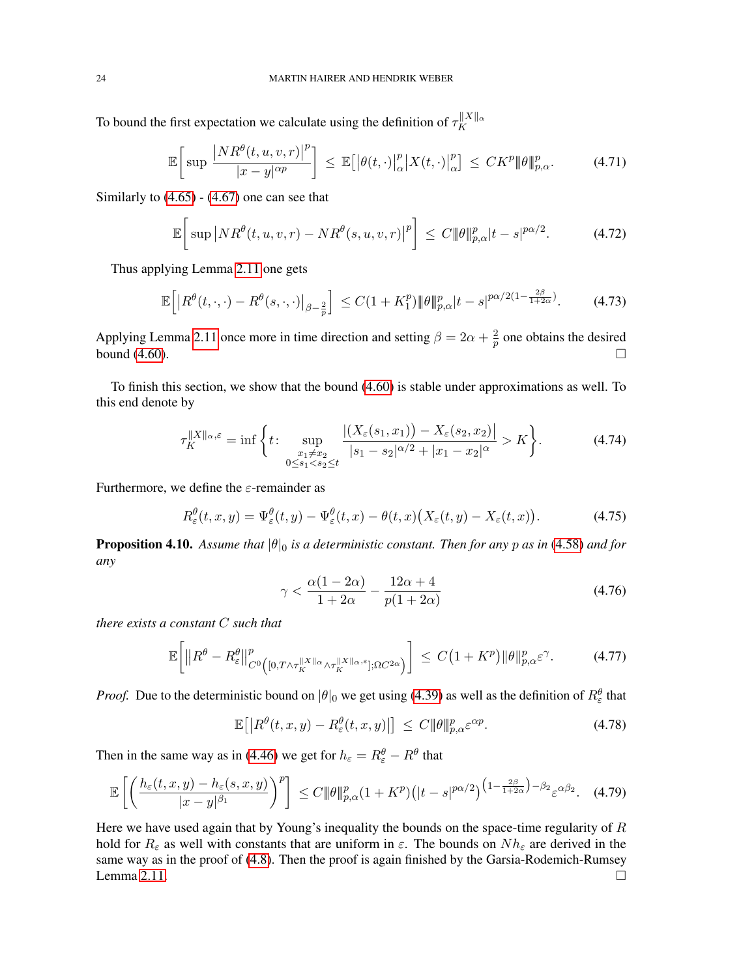To bound the first expectation we calculate using the definition of  $\tau_K^{\|X\|_{\alpha}}$ K

$$
\mathbb{E}\bigg[\sup\frac{\big|NR^{\theta}(t,u,v,r)\big|^{p}}{|x-y|^{\alpha p}}\bigg] \leq \mathbb{E}\big[\big|\theta(t,\cdot)\big|_{\alpha}^{p}\big|X(t,\cdot)\big|_{\alpha}^{p}\big] \leq CK^{p}|\!|\theta|\!|\!|_{p,\alpha}^{p}.\tag{4.71}
$$

Similarly to  $(4.65) - (4.67)$  $(4.65) - (4.67)$  $(4.65) - (4.67)$  one can see that

$$
\mathbb{E}\bigg[\sup|NR^{\theta}(t,u,v,r) - NR^{\theta}(s,u,v,r)|^{p}\bigg] \leq C \|\theta\|_{p,\alpha}^{p}|t-s|^{p\alpha/2}.
$$
 (4.72)

Thus applying Lemma [2.11](#page-7-0) one gets

$$
\mathbb{E}\Big[\big|R^{\theta}(t,\cdot,\cdot)-R^{\theta}(s,\cdot,\cdot)\big|_{\beta-\frac{2}{p}}\Big] \leq C(1+K_1^p)\|\theta\|_{p,\alpha}^p|t-s|^{p\alpha/2(1-\frac{2\beta}{1+2\alpha})}.\tag{4.73}
$$

Applying Lemma [2.11](#page-7-0) once more in time direction and setting  $\beta = 2\alpha + \frac{2}{n}$  $\frac{2}{p}$  one obtains the desired bound  $(4.60)$ .

To finish this section, we show that the bound [\(4.60\)](#page-21-1) is stable under approximations as well. To this end denote by

$$
\tau_K^{\|X\|_{\alpha}, \varepsilon} = \inf \left\{ t \colon \sup_{\substack{x_1 \neq x_2 \\ 0 \le s_1 < s_2 \le t}} \frac{|(X_{\varepsilon}(s_1, x_1)) - X_{\varepsilon}(s_2, x_2)|}{|s_1 - s_2|^{\alpha/2} + |x_1 - x_2|^{\alpha}} > K \right\}.
$$
\n(4.74)

Furthermore, we define the  $\varepsilon$ -remainder as

$$
R_{\varepsilon}^{\theta}(t,x,y) = \Psi_{\varepsilon}^{\theta}(t,y) - \Psi_{\varepsilon}^{\theta}(t,x) - \theta(t,x) \big( X_{\varepsilon}(t,y) - X_{\varepsilon}(t,x) \big). \tag{4.75}
$$

<span id="page-23-0"></span>**Proposition 4.10.** Assume that  $|\theta|_0$  is a deterministic constant. Then for any p as in [\(4.58\)](#page-21-4) and for *any*

<span id="page-23-2"></span>
$$
\gamma < \frac{\alpha(1 - 2\alpha)}{1 + 2\alpha} - \frac{12\alpha + 4}{p(1 + 2\alpha)}\tag{4.76}
$$

*there exists a constant* C *such that*

<span id="page-23-1"></span>
$$
\mathbb{E}\bigg[\|R^{\theta} - R^{\theta}_{\varepsilon}\|_{C^{0}\left([0, T\wedge\tau_K^{\|X\|_{\alpha}}\wedge\tau_K^{\|X\|_{\alpha}, \varepsilon}]; \Omega C^{2\alpha}\right)}^p\bigg] \leq C\big(1 + K^p\big)\|\theta\|_{p,\alpha}^p \varepsilon^{\gamma}.\tag{4.77}
$$

*Proof.* Due to the deterministic bound on  $|\theta|_0$  we get using [\(4.39\)](#page-18-3) as well as the definition of  $R_\varepsilon^{\theta}$  that

$$
\mathbb{E}\big[\big|R^{\theta}(t,x,y) - R^{\theta}_{\varepsilon}(t,x,y)\big|\big] \leq C \|\theta\|_{p,\alpha}^p \varepsilon^{\alpha p}.\tag{4.78}
$$

Then in the same way as in [\(4.46\)](#page-19-3) we get for  $h_{\varepsilon} = R_{\varepsilon}^{\theta} - R^{\theta}$  that

$$
\mathbb{E}\left[\left(\frac{h_{\varepsilon}(t,x,y)-h_{\varepsilon}(s,x,y)}{|x-y|^{\beta_1}}\right)^p\right] \le C \|\theta\|_{p,\alpha}^p (1+K^p)\big(|t-s|^{p\alpha/2}\big)^{\left(1-\frac{2\beta}{1+2\alpha}\right)-\beta_2} \varepsilon^{\alpha\beta_2}.\tag{4.79}
$$

Here we have used again that by Young's inequality the bounds on the space-time regularity of  $R$ hold for  $R_{\varepsilon}$  as well with constants that are uniform in  $\varepsilon$ . The bounds on  $Nh_{\varepsilon}$  are derived in the same way as in the proof of [\(4.8\)](#page-21-0). Then the proof is again finished by the Garsia-Rodemich-Rumsey Lemma [2.11.](#page-7-0)  $\Box$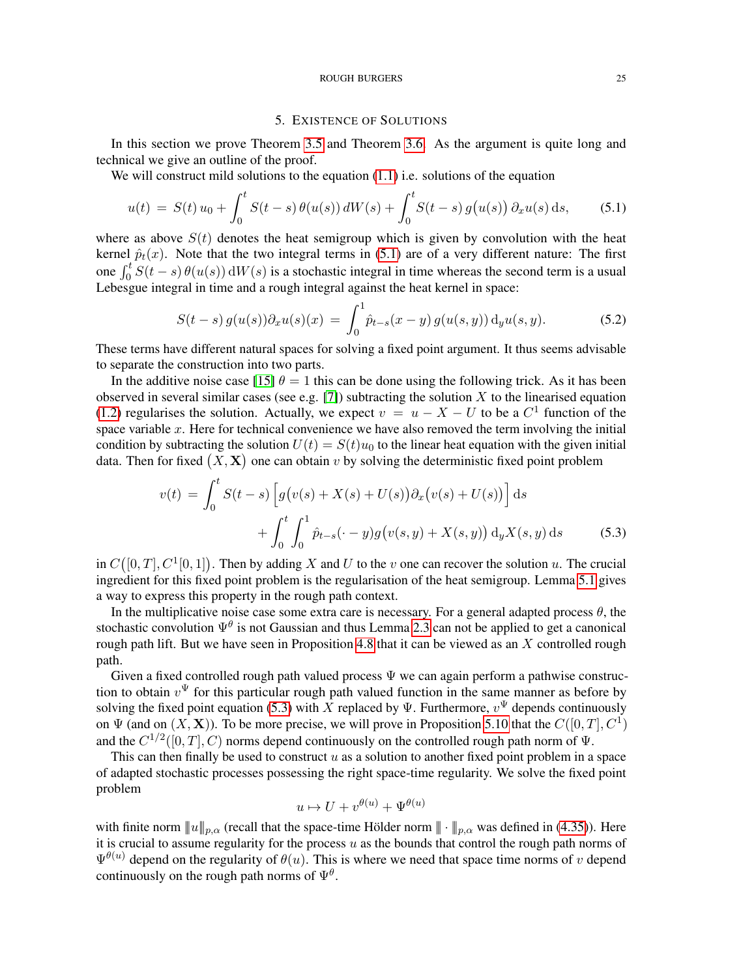### ROUGH BURGERS 25

## 5. EXISTENCE OF SOLUTIONS

<span id="page-24-0"></span>In this section we prove Theorem [3.5](#page-10-1) and Theorem [3.6.](#page-12-2) As the argument is quite long and technical we give an outline of the proof.

We will construct mild solutions to the equation [\(1.1\)](#page-0-0) i.e. solutions of the equation

<span id="page-24-1"></span>
$$
u(t) = S(t) u_0 + \int_0^t S(t-s) \theta(u(s)) dW(s) + \int_0^t S(t-s) g(u(s)) \partial_x u(s) ds, \qquad (5.1)
$$

where as above  $S(t)$  denotes the heat semigroup which is given by convolution with the heat kernel  $\hat{p}_t(x)$ . Note that the two integral terms in [\(5.1\)](#page-24-1) are of a very different nature: The first one  $\int_0^t S(t-s) \theta(u(s)) dW(s)$  is a stochastic integral in time whereas the second term is a usual One  $J_0 \cup (v - s) \cup (a(s))$  aw (s) is a stochastic integral in time whereas the set

$$
S(t-s) g(u(s)) \partial_x u(s)(x) = \int_0^1 \hat{p}_{t-s}(x-y) g(u(s,y)) \, d_y u(s,y).
$$
 (5.2)

These terms have different natural spaces for solving a fixed point argument. It thus seems advisable to separate the construction into two parts.

In the additive noise case [\[15\]](#page-41-1)  $\theta = 1$  this can be done using the following trick. As it has been observed in several similar cases (see e.g. [\[7\]](#page-41-18)) subtracting the solution  $X$  to the linearised equation [\(1.2\)](#page-0-1) regularises the solution. Actually, we expect  $v = u - X - U$  to be a  $C<sup>1</sup>$  function of the space variable  $x$ . Here for technical convenience we have also removed the term involving the initial condition by subtracting the solution  $U(t) = S(t)u_0$  to the linear heat equation with the given initial data. Then for fixed  $(X, X)$  one can obtain v by solving the deterministic fixed point problem

$$
v(t) = \int_0^t S(t-s) \left[ g(v(s) + X(s) + U(s)) \partial_x (v(s) + U(s)) \right] ds
$$
  
+ 
$$
\int_0^t \int_0^1 \hat{p}_{t-s}(\cdot - y) g(v(s, y) + X(s, y)) \, dy X(s, y) ds
$$
(5.3)

in  $C([0,T], C^1[0,1])$ . Then by adding X and U to the v one can recover the solution u. The crucial ingredient for this fixed point problem is the regularisation of the heat semigroup. Lemma [5.1](#page-25-0) gives a way to express this property in the rough path context.

In the multiplicative noise case some extra care is necessary. For a general adapted process  $\theta$ , the stochastic convolution  $\Psi^{\theta}$  is not Gaussian and thus Lemma [2.3](#page-4-2) can not be applied to get a canonical rough path lift. But we have seen in Proposition [4.8](#page-21-0) that it can be viewed as an  $X$  controlled rough path.

Given a fixed controlled rough path valued process  $\Psi$  we can again perform a pathwise construction to obtain  $v^{\Psi}$  for this particular rough path valued function in the same manner as before by solving the fixed point equation [\(5.3\)](#page-24-2) with X replaced by  $\Psi$ . Furthermore,  $v^{\Psi}$  depends continuously on  $\Psi$  (and on  $(X, \mathbf{X})$ ). To be more precise, we will prove in Proposition [5.10](#page-32-0) that the  $C([0, T], C^1)$ and the  $C^{1/2}([0,T], C)$  norms depend continuously on the controlled rough path norm of  $\Psi$ .

This can then finally be used to construct  $u$  as a solution to another fixed point problem in a space of adapted stochastic processes possessing the right space-time regularity. We solve the fixed point problem

<span id="page-24-2"></span>
$$
u \mapsto U + v^{\theta(u)} + \Psi^{\theta(u)}
$$

with finite norm  $||u||_{p,\alpha}$  (recall that the space-time Hölder norm  $|| \cdot ||_{p,\alpha}$  was defined in [\(4.35\)](#page-18-4)). Here it is crucial to assume regularity for the process  $u$  as the bounds that control the rough path norms of  $\Psi^{\theta(u)}$  depend on the regularity of  $\theta(u)$ . This is where we need that space time norms of v depend continuously on the rough path norms of  $\Psi^{\theta}$ .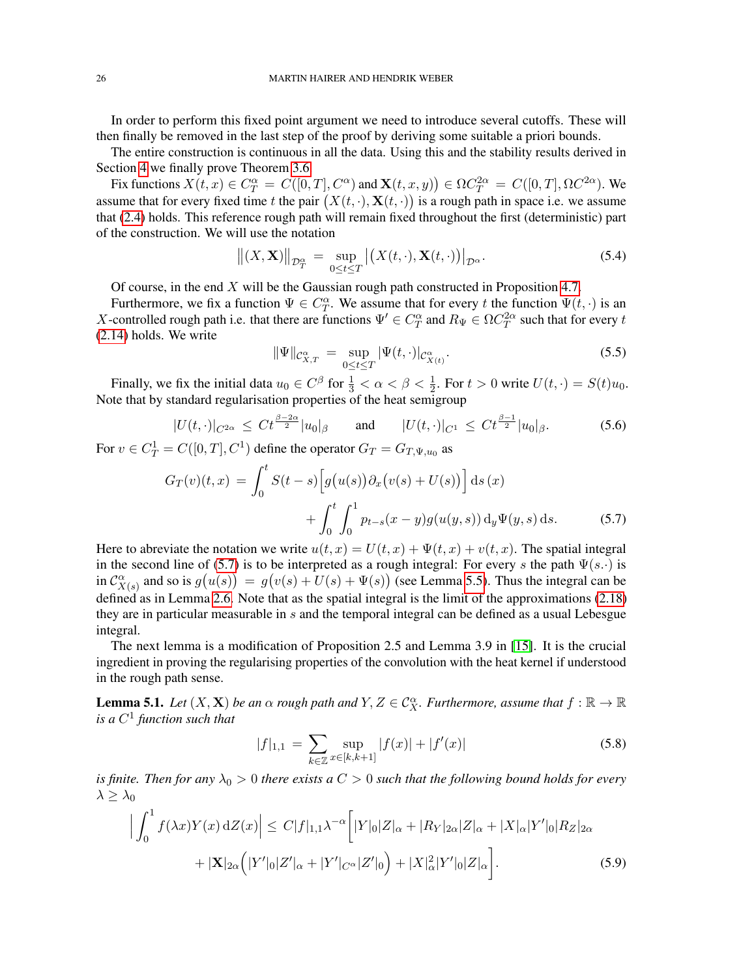In order to perform this fixed point argument we need to introduce several cutoffs. These will then finally be removed in the last step of the proof by deriving some suitable a priori bounds.

The entire construction is continuous in all the data. Using this and the stability results derived in Section [4](#page-12-0) we finally prove Theorem [3.6.](#page-12-2)

Fix functions  $X(t, x) \in C_T^{\alpha} = C([0, T], C^{\alpha})$  and  $\mathbf{X}(t, x, y) \in \Omega C_T^{2\alpha} = C([0, T], \Omega C^{2\alpha})$ . We assume that for every fixed time t the pair  $(X(t, \cdot), \mathbf{X}(t, \cdot))$  is a rough path in space i.e. we assume that [\(2.4\)](#page-3-1) holds. This reference rough path will remain fixed throughout the first (deterministic) part of the construction. We will use the notation

$$
\left\| (X, \mathbf{X}) \right\|_{\mathcal{D}_T^{\alpha}} = \sup_{0 \le t \le T} \left| \left( X(t, \cdot), \mathbf{X}(t, \cdot) \right) \right|_{\mathcal{D}^{\alpha}}.
$$
 (5.4)

Of course, in the end  $X$  will be the Gaussian rough path constructed in Proposition [4.7.](#page-20-0)

Furthermore, we fix a function  $\Psi \in C_T^{\alpha}$ . We assume that for every t the function  $\Psi(t, \cdot)$  is an X-controlled rough path i.e. that there are functions  $\Psi' \in C_T^{\alpha}$  and  $R_{\Psi} \in \Omega C_T^{2\alpha}$  such that for every t [\(2.14\)](#page-5-0) holds. We write

<span id="page-25-1"></span>
$$
\|\Psi\|_{\mathcal{C}_{X,T}^{\alpha}} = \sup_{0 \le t \le T} |\Psi(t, \cdot)|_{\mathcal{C}_{X(t)}^{\alpha}}.
$$
\n(5.5)

Finally, we fix the initial data  $u_0 \in C^{\beta}$  for  $\frac{1}{3} < \alpha < \beta < \frac{1}{2}$ . For  $t > 0$  write  $U(t, \cdot) = S(t)u_0$ . Note that by standard regularisation properties of the heat semigroup

$$
|U(t, \cdot)|_{C^{2\alpha}} \le C t^{\frac{\beta - 2\alpha}{2}} |u_0|_{\beta} \quad \text{and} \quad |U(t, \cdot)|_{C^1} \le C t^{\frac{\beta - 1}{2}} |u_0|_{\beta}. \tag{5.6}
$$

For  $v \in C_T^1 = C([0, T], C^1)$  define the operator  $G_T = G_{T, \Psi, u_0}$  as

$$
G_T(v)(t,x) = \int_0^t S(t-s) \left[ g(u(s)) \partial_x (v(s) + U(s)) \right] ds(x)
$$
  
+ 
$$
\int_0^t \int_0^1 p_{t-s}(x-y) g(u(y,s)) dy \Psi(y,s) ds.
$$
 (5.7)

Here to abreviate the notation we write  $u(t, x) = U(t, x) + \Psi(t, x) + v(t, x)$ . The spatial integral in the second line of [\(5.7\)](#page-25-1) is to be interpreted as a rough integral: For every s the path  $\Psi(s, \cdot)$  is in  $\mathcal{C}_{X(s)}^{\alpha}$  and so is  $g(u(s)) = g(v(s) + U(s) + \Psi(s))$  (see Lemma [5.5\)](#page-27-0). Thus the integral can be defined as in Lemma [2.6.](#page-6-2) Note that as the spatial integral is the limit of the approximations [\(2.18\)](#page-5-1) they are in particular measurable in s and the temporal integral can be defined as a usual Lebesgue integral.

The next lemma is a modification of Proposition 2.5 and Lemma 3.9 in [\[15\]](#page-41-1). It is the crucial ingredient in proving the regularising properties of the convolution with the heat kernel if understood in the rough path sense.

<span id="page-25-0"></span>**Lemma 5.1.** *Let*  $(X, \mathbf{X})$  *be an*  $\alpha$  *rough path and*  $Y, Z \in C_X^{\alpha}$ *. Furthermore, assume that*  $f : \mathbb{R} \to \mathbb{R}$ *is a* C 1 *function such that*

<span id="page-25-2"></span>
$$
|f|_{1,1} = \sum_{k \in \mathbb{Z}} \sup_{x \in [k,k+1]} |f(x)| + |f'(x)| \tag{5.8}
$$

*is finite. Then for any*  $\lambda_0 > 0$  *there exists a*  $C > 0$  *such that the following bound holds for every*  $\lambda \geq \lambda_0$ 

$$
\left| \int_{0}^{1} f(\lambda x) Y(x) dZ(x) \right| \leq C |f|_{1,1} \lambda^{-\alpha} \left[ |Y|_{0} |Z|_{\alpha} + |R_{Y}|_{2\alpha} |Z|_{\alpha} + |X|_{\alpha} |Y'|_{0} |R_{Z}|_{2\alpha} + |X|_{2\alpha} \left( |Y'|_{0} |Z'|_{\alpha} + |Y'|_{C^{\alpha}} |Z'|_{0} \right) + |X|_{\alpha}^{2} |Y'|_{0} |Z|_{\alpha} \right].
$$
\n(5.9)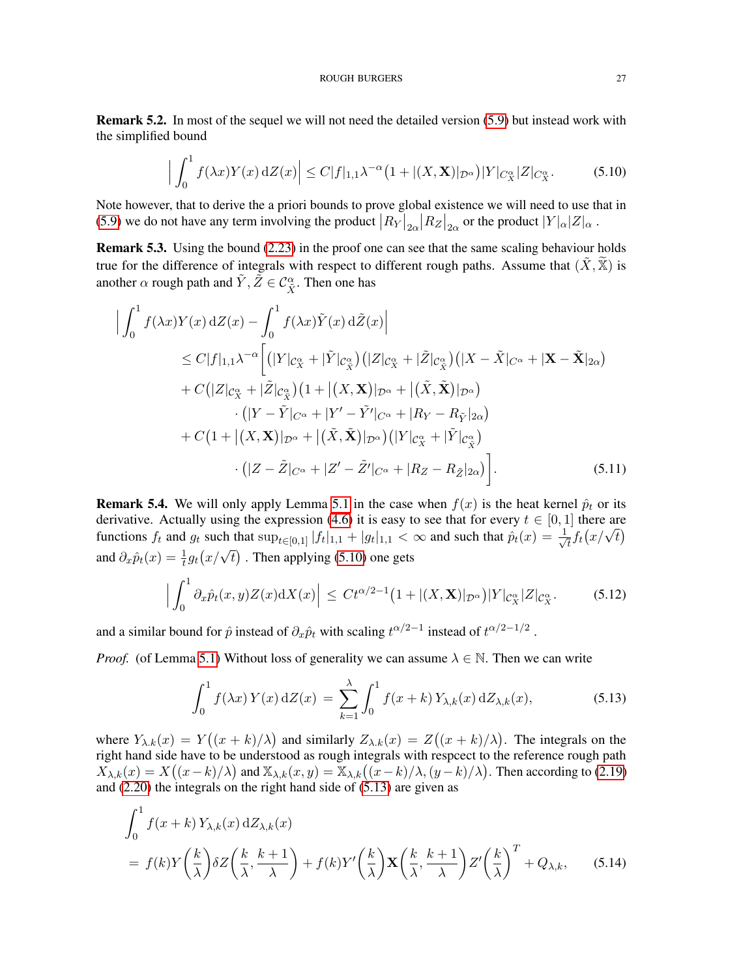Remark 5.2. In most of the sequel we will not need the detailed version [\(5.9\)](#page-25-2) but instead work with the simplified bound

<span id="page-26-0"></span>
$$
\left| \int_0^1 f(\lambda x) Y(x) \, \mathrm{d}Z(x) \right| \le C |f|_{1,1} \lambda^{-\alpha} \big( 1 + |(X, \mathbf{X})|_{\mathcal{D}^{\alpha}} \big) |Y|_{C_X^{\alpha}} |Z|_{C_X^{\alpha}}.\tag{5.10}
$$

Note however, that to derive the a priori bounds to prove global existence we will need to use that in [\(5.9\)](#page-25-2) we do not have any term involving the product  $|R_Y|_{2\alpha}|R_Z|_{2\alpha}$  or the product  $|Y|_{\alpha}|Z|_{\alpha}$ .

Remark 5.3. Using the bound [\(2.23\)](#page-6-3) in the proof one can see that the same scaling behaviour holds true for the difference of integrals with respect to different rough paths. Assume that  $(X,\mathbb{X})$  is another  $\alpha$  rough path and  $\tilde{Y}, \tilde{Z} \in \mathcal{C}^{\alpha}_{\tilde{X}}$ . Then one has

$$
\left| \int_{0}^{1} f(\lambda x) Y(x) dZ(x) - \int_{0}^{1} f(\lambda x) \tilde{Y}(x) d\tilde{Z}(x) \right|
$$
  
\n
$$
\leq C |f|_{1,1} \lambda^{-\alpha} \left[ (|Y|_{\mathcal{C}_{X}^{\alpha}} + |\tilde{Y}|_{\mathcal{C}_{\tilde{X}}^{\alpha}}) (|Z|_{\mathcal{C}_{X}^{\alpha}} + |\tilde{Z}|_{\mathcal{C}_{\tilde{X}}^{\alpha}}) (|X - \tilde{X}|_{C^{\alpha}} + |\mathbf{X} - \tilde{\mathbf{X}}|_{2\alpha}) \right]
$$
  
\n
$$
+ C (|Z|_{\mathcal{C}_{X}^{\alpha}} + |\tilde{Z}|_{\mathcal{C}_{\tilde{X}}^{\alpha}}) (1 + |(X, \mathbf{X})|_{\mathcal{D}^{\alpha}} + |(\tilde{X}, \tilde{\mathbf{X}})|_{\mathcal{D}^{\alpha}}) \right.
$$
  
\n
$$
\cdot (|Y - \tilde{Y}|_{C^{\alpha}} + |Y' - \tilde{Y}'|_{C^{\alpha}} + |R_{Y} - R_{\tilde{Y}}|_{2\alpha})
$$
  
\n
$$
+ C (1 + |(X, \mathbf{X})|_{\mathcal{D}^{\alpha}} + |(\tilde{X}, \tilde{\mathbf{X}})|_{\mathcal{D}^{\alpha}}) (|Y|_{\mathcal{C}_{X}^{\alpha}} + |\tilde{Y}|_{\mathcal{C}_{\tilde{X}}^{\alpha}}) \cdot (|Z - \tilde{Z}|_{C^{\alpha}} + |Z' - \tilde{Z}'|_{C^{\alpha}} + |R_{Z} - R_{\tilde{Z}}|_{2\alpha}) \big]. \tag{5.11}
$$

<span id="page-26-3"></span>**Remark 5.4.** We will only apply Lemma [5.1](#page-25-0) in the case when  $f(x)$  is the heat kernel  $\hat{p}_t$  or its derivative. Actually using the expression [\(4.6\)](#page-13-5) it is easy to see that for every  $t \in [0, 1]$  there are functions  $f_t$  and  $g_t$  such that  $\sup_{t \in [0,1]} |f_t|_{1,1} + |g_t|_{1,1} < \infty$  and such that  $\hat{p}_t(x) = \frac{1}{\sqrt{2\pi}}$  $\frac{1}{t} f_t(x/\sqrt{t})$ and  $\partial_x \hat{p}_t(x) = \frac{1}{t} g_t(x/\sqrt{t})$ . Then applying [\(5.10\)](#page-26-0) one gets

<span id="page-26-5"></span>
$$
\left| \int_0^1 \partial_x \hat{p}_t(x, y) Z(x) \mathrm{d}X(x) \right| \leq C t^{\alpha/2 - 1} \left( 1 + |(X, \mathbf{X})|_{\mathcal{D}^{\alpha}} \right) |Y|_{\mathcal{C}_X^{\alpha}} |Z|_{\mathcal{C}_X^{\alpha}}.
$$
 (5.12)

and a similar bound for  $\hat{p}$  instead of  $\partial_x \hat{p}_t$  with scaling  $t^{\alpha/2-1}$  instead of  $t^{\alpha/2-1/2}$ .

*Proof.* (of Lemma [5.1\)](#page-25-0) Without loss of generality we can assume  $\lambda \in \mathbb{N}$ . Then we can write

<span id="page-26-4"></span><span id="page-26-2"></span><span id="page-26-1"></span>
$$
\int_0^1 f(\lambda x) Y(x) \, \mathrm{d}Z(x) = \sum_{k=1}^{\lambda} \int_0^1 f(x+k) Y_{\lambda,k}(x) \, \mathrm{d}Z_{\lambda,k}(x),\tag{5.13}
$$

where  $Y_{\lambda,k}(x) = Y((x+k)/\lambda)$  and similarly  $Z_{\lambda,k}(x) = Z((x+k)/\lambda)$ . The integrals on the right hand side have to be understood as rough integrals with respect to the reference rough path  $X_{\lambda,k}(x) = X((x-k)/\lambda)$  and  $\mathbb{X}_{\lambda,k}(x,y) = \mathbb{X}_{\lambda,k}((x-k)/\lambda, (y-k)/\lambda)$ . Then according to [\(2.19\)](#page-6-0) and [\(2.20\)](#page-6-1) the integrals on the right hand side of [\(5.13\)](#page-26-1) are given as

$$
\int_0^1 f(x+k) Y_{\lambda,k}(x) dZ_{\lambda,k}(x)
$$
  
=  $f(k) Y\left(\frac{k}{\lambda}\right) \delta Z\left(\frac{k}{\lambda}, \frac{k+1}{\lambda}\right) + f(k) Y'\left(\frac{k}{\lambda}\right) \mathbf{X}\left(\frac{k}{\lambda}, \frac{k+1}{\lambda}\right) Z'\left(\frac{k}{\lambda}\right)^T + Q_{\lambda,k},$  (5.14)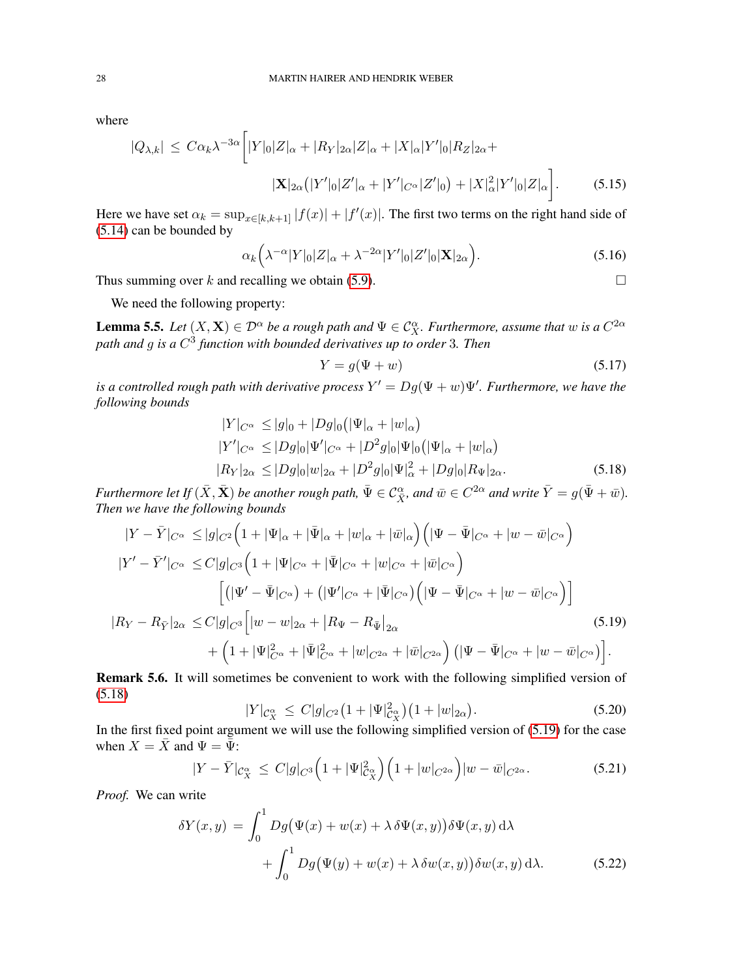where

$$
|Q_{\lambda,k}| \leq C\alpha_k \lambda^{-3\alpha} \bigg[ |Y|_0 |Z|_\alpha + |R_Y|_{2\alpha} |Z|_\alpha + |X|_\alpha |Y'|_0 |R_Z|_{2\alpha} + |X|_{2\alpha} (|Y'|_0 |Z'|_\alpha + |Y'|_{C^\alpha} |Z'|_0) + |X|_\alpha^2 |Y'|_0 |Z|_\alpha \bigg].
$$
 (5.15)

Here we have set  $\alpha_k = \sup_{x \in [k,k+1]} |f(x)| + |f'(x)|$ . The first two terms on the right hand side of [\(5.14\)](#page-26-2) can be bounded by

$$
\alpha_k\left(\lambda^{-\alpha}|Y|_0|Z|_\alpha+\lambda^{-2\alpha}|Y'|_0|Z'|_0|\mathbf{X}|_{2\alpha}\right).
$$
\n(5.16)

Thus summing over k and recalling we obtain [\(5.9\)](#page-25-2).  $\Box$ 

We need the following property:

<span id="page-27-0"></span>**Lemma 5.5.** Let  $(X, X) \in \mathcal{D}^{\alpha}$  be a rough path and  $\Psi \in C_X^{\alpha}$ . Furthermore, assume that w is a  $C^{2\alpha}$ *path and* g *is a* C 3 *function with bounded derivatives up to order* 3*. Then*

<span id="page-27-1"></span>
$$
Y = g(\Psi + w) \tag{5.17}
$$

*is a controlled rough path with derivative process*  $Y' = Dg(\Psi + w)\Psi'$ . Furthermore, we have the *following bounds*

$$
|Y|_{C^{\alpha}} \le |g|_{0} + |Dg|_{0} (|\Psi|_{\alpha} + |w|_{\alpha})
$$
  
\n
$$
|Y'|_{C^{\alpha}} \le |Dg|_{0} |\Psi'|_{C^{\alpha}} + |D^{2}g|_{0} |\Psi|_{0} (|\Psi|_{\alpha} + |w|_{\alpha})
$$
  
\n
$$
|R_{Y}|_{2\alpha} \le |Dg|_{0} |w|_{2\alpha} + |D^{2}g|_{0} |\Psi|_{\alpha}^{2} + |Dg|_{0} |R_{\Psi}|_{2\alpha}.
$$
\n(5.18)

*Furthermore let If*  $(\bar{X}, \bar{X})$  *be another rough path,*  $\bar{\Psi} \in C^{\alpha}_{\bar{X}}$ *, and*  $\bar{w} \in C^{2\alpha}$  *and write*  $\bar{Y} = g(\bar{\Psi} + \bar{w})$ *. Then we have the following bounds*

$$
|Y - \bar{Y}|_{C^{\alpha}} \le |g|_{C^2} \Big( 1 + |\Psi|_{\alpha} + |\bar{\Psi}|_{\alpha} + |w|_{\alpha} + |\bar{w}|_{\alpha} \Big) \Big( |\Psi - \bar{\Psi}|_{C^{\alpha}} + |w - \bar{w}|_{C^{\alpha}} \Big)
$$
  
\n
$$
|Y' - \bar{Y}'|_{C^{\alpha}} \le C|g|_{C^3} \Big( 1 + |\Psi|_{C^{\alpha}} + |\bar{\Psi}|_{C^{\alpha}} + |w|_{C^{\alpha}} + |\bar{w}|_{C^{\alpha}} \Big)
$$
  
\n
$$
\Big[ (|\Psi' - \bar{\Psi}|_{C^{\alpha}}) + (|\Psi'|_{C^{\alpha}} + |\bar{\Psi}|_{C^{\alpha}}) \Big( |\Psi - \bar{\Psi}|_{C^{\alpha}} + |w - \bar{w}|_{C^{\alpha}} \Big) \Big]
$$
  
\n
$$
|R_Y - R_{\bar{Y}}|_{2\alpha} \le C|g|_{C^3} \Big[ |w - w|_{2\alpha} + |R_{\Psi} - R_{\bar{\Psi}}|_{2\alpha} \Big)
$$
  
\n
$$
+ \Big( 1 + |\Psi|_{C^{\alpha}}^2 + |\bar{\Psi}|_{C^{\alpha}}^2 + |w|_{C^{2\alpha}} + |\bar{w}|_{C^{2\alpha}} \Big) \Big( |\Psi - \bar{\Psi}|_{C^{\alpha}} + |w - \bar{w}|_{C^{\alpha}} \Big) \Big].
$$
  
\n(5.19)

Remark 5.6. It will sometimes be convenient to work with the following simplified version of [\(5.18\)](#page-27-1)

<span id="page-27-5"></span><span id="page-27-4"></span><span id="page-27-3"></span><span id="page-27-2"></span>
$$
|Y|_{\mathcal{C}_X^{\alpha}} \leq C|g|_{C^2} \big(1 + |\Psi|_{\mathcal{C}_X^{\alpha}}^2\big) \big(1 + |w|_{2\alpha}\big). \tag{5.20}
$$

In the first fixed point argument we will use the following simplified version of [\(5.19\)](#page-27-2) for the case when  $X = \overline{X}$  and  $\Psi = \overline{\Psi}$ :

$$
|Y - \bar{Y}|_{\mathcal{C}_X^{\alpha}} \le C|g|_{C^3} \Big( 1 + |\Psi|_{\mathcal{C}_X^{\alpha}}^2 \Big) \Big( 1 + |w|_{C^{2\alpha}} \Big) |w - \bar{w}|_{C^{2\alpha}}. \tag{5.21}
$$

*Proof.* We can write

$$
\delta Y(x,y) = \int_0^1 Dg(\Psi(x) + w(x) + \lambda \delta \Psi(x,y)) \delta \Psi(x,y) d\lambda + \int_0^1 Dg(\Psi(y) + w(x) + \lambda \delta w(x,y)) \delta w(x,y) d\lambda.
$$
 (5.22)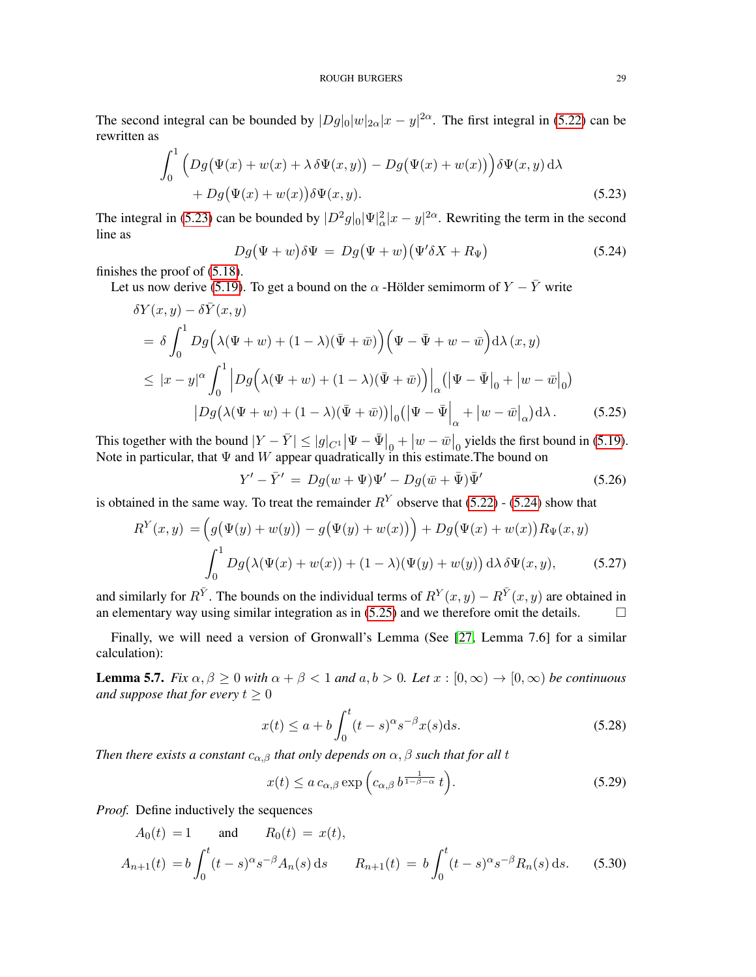The second integral can be bounded by  $|Dg|_0|w|_{2\alpha}|x-y|^{2\alpha}$ . The first integral in [\(5.22\)](#page-27-3) can be rewritten as

$$
\int_0^1 \left( Dg(\Psi(x) + w(x) + \lambda \delta \Psi(x, y)) - Dg(\Psi(x) + w(x)) \right) \delta \Psi(x, y) d\lambda + Dg(\Psi(x) + w(x)) \delta \Psi(x, y).
$$
\n(5.23)

The integral in [\(5.23\)](#page-28-0) can be bounded by  $|D^2g|_0|\Psi|^2_{\alpha}|x-y|^{2\alpha}$ . Rewriting the term in the second line as

<span id="page-28-1"></span><span id="page-28-0"></span>
$$
Dg(\Psi + w)\delta\Psi = Dg(\Psi + w)(\Psi'\delta X + R_{\Psi})
$$
\n(5.24)

finishes the proof of [\(5.18\)](#page-27-1).

Let us now derive [\(5.19\)](#page-27-2). To get a bound on the  $\alpha$  -Hölder semimorm of  $Y - \overline{Y}$  write

$$
\delta Y(x, y) - \delta \bar{Y}(x, y)
$$
  
=  $\delta \int_0^1 Dg\left(\lambda(\Psi + w) + (1 - \lambda)(\bar{\Psi} + \bar{w})\right) \left(\Psi - \bar{\Psi} + w - \bar{w}\right) d\lambda(x, y)$   
 $\leq |x - y|^{\alpha} \int_0^1 \left|Dg\left(\lambda(\Psi + w) + (1 - \lambda)(\bar{\Psi} + \bar{w})\right)\right|_{\alpha} \left(\left|\Psi - \bar{\Psi}\right|_0 + \left|w - \bar{w}\right|_0\right)$   

$$
\left|Dg\left(\lambda(\Psi + w) + (1 - \lambda)(\bar{\Psi} + \bar{w})\right)\right|_0 \left(\left|\Psi - \bar{\Psi}\right|_{\alpha} + \left|w - \bar{w}\right|_{\alpha}\right) d\lambda.
$$
 (5.25)

This together with the bound  $|Y - \bar{Y}| \le |g|_{C^1} |\Psi - \bar{\Psi}|_0 + |w - \bar{w}|_0$  yields the first bound in [\(5.19\)](#page-27-2). Note in particular, that  $\Psi$  and  $W$  appear quadratically in this estimate. The bound on

<span id="page-28-2"></span>
$$
Y' - \bar{Y}' = Dg(w + \Psi)\Psi' - Dg(\bar{w} + \bar{\Psi})\bar{\Psi}' \tag{5.26}
$$

is obtained in the same way. To treat the remainder  $R<sup>Y</sup>$  observe that [\(5.22\)](#page-27-3) - [\(5.24\)](#page-28-1) show that

$$
R^{Y}(x, y) = \left(g(\Psi(y) + w(y)) - g(\Psi(y) + w(x))\right) + Dg(\Psi(x) + w(x))R_{\Psi}(x, y)
$$

$$
\int_{0}^{1} Dg(\lambda(\Psi(x) + w(x)) + (1 - \lambda)(\Psi(y) + w(y)) d\lambda \delta \Psi(x, y),
$$
(5.27)

and similarly for  $R^{\bar{Y}}$ . The bounds on the individual terms of  $R^Y(x, y) - R^{\bar{Y}}(x, y)$  are obtained in an elementary way using similar integration as in [\(5.25\)](#page-28-2) and we therefore omit the details.

Finally, we will need a version of Gronwall's Lemma (See [\[27,](#page-41-28) Lemma 7.6] for a similar calculation):

<span id="page-28-5"></span>**Lemma 5.7.** *Fix*  $\alpha, \beta \ge 0$  *with*  $\alpha + \beta < 1$  *and*  $a, b > 0$ *. Let*  $x : [0, \infty) \rightarrow [0, \infty)$  *be continuous and suppose that for every*  $t > 0$ 

<span id="page-28-3"></span>
$$
x(t) \le a + b \int_0^t (t - s)^{\alpha} s^{-\beta} x(s) \, \mathrm{d}s. \tag{5.28}
$$

*Then there exists a constant*  $c_{\alpha,\beta}$  *that only depends on*  $\alpha, \beta$  *such that for all t* 

<span id="page-28-4"></span>
$$
x(t) \le a \, c_{\alpha,\beta} \exp\left(c_{\alpha,\beta} \, b^{\frac{1}{1-\beta-\alpha}} \, t\right). \tag{5.29}
$$

*Proof.* Define inductively the sequences

$$
A_0(t) = 1 \quad \text{and} \quad R_0(t) = x(t),
$$
  
\n
$$
A_{n+1}(t) = b \int_0^t (t-s)^{\alpha} s^{-\beta} A_n(s) ds \quad R_{n+1}(t) = b \int_0^t (t-s)^{\alpha} s^{-\beta} R_n(s) ds. \quad (5.30)
$$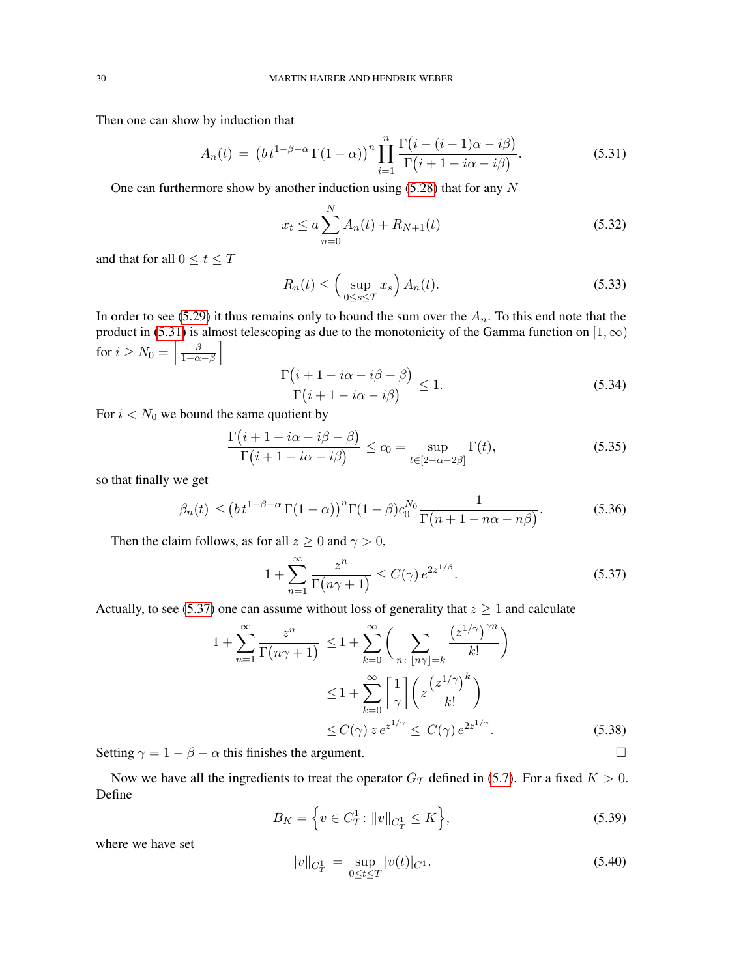Then one can show by induction that

$$
A_n(t) = \left(b t^{1-\beta-\alpha} \Gamma(1-\alpha)\right)^n \prod_{i=1}^n \frac{\Gamma\big(i-(i-1)\alpha - i\beta\big)}{\Gamma\big(i+1-i\alpha - i\beta\big)}.\tag{5.31}
$$

One can furthermore show by another induction using  $(5.28)$  that for any N

<span id="page-29-0"></span>
$$
x_t \le a \sum_{n=0}^{N} A_n(t) + R_{N+1}(t)
$$
\n(5.32)

and that for all  $0 \le t \le T$ 

$$
R_n(t) \le \left(\sup_{0\le s\le T} x_s\right) A_n(t). \tag{5.33}
$$

In order to see [\(5.29\)](#page-28-4) it thus remains only to bound the sum over the  $A_n$ . To this end note that the product in [\(5.31\)](#page-29-0) is almost telescoping as due to the monotonicity of the Gamma function on [1,  $\infty$ ) for  $i \geq N_0 = \left\lceil \frac{\beta}{1-\alpha} \right\rceil$  $\frac{\beta}{1-\alpha-\beta}$ 

$$
\frac{\Gamma(i+1-i\alpha-i\beta-\beta)}{\Gamma(i+1-i\alpha-i\beta)} \le 1.
$$
\n(5.34)

For  $i < N_0$  we bound the same quotient by

$$
\frac{\Gamma(i+1-i\alpha-i\beta-\beta)}{\Gamma(i+1-i\alpha-i\beta)} \le c_0 = \sup_{t \in [2-\alpha-2\beta]} \Gamma(t),\tag{5.35}
$$

so that finally we get

$$
\beta_n(t) \le (bt^{1-\beta-\alpha}\Gamma(1-\alpha))^n \Gamma(1-\beta) c_0^{N_0} \frac{1}{\Gamma(n+1-n\alpha-n\beta)}.
$$
\n(5.36)

Then the claim follows, as for all  $z \ge 0$  and  $\gamma > 0$ ,

<span id="page-29-1"></span>
$$
1 + \sum_{n=1}^{\infty} \frac{z^n}{\Gamma(n\gamma + 1)} \le C(\gamma) e^{2z^{1/\beta}}.
$$
 (5.37)

Actually, to see [\(5.37\)](#page-29-1) one can assume without loss of generality that  $z \ge 1$  and calculate

$$
1 + \sum_{n=1}^{\infty} \frac{z^n}{\Gamma(n\gamma + 1)} \le 1 + \sum_{k=0}^{\infty} \left( \sum_{n \colon \lfloor n\gamma \rfloor = k} \frac{\left(z^{1/\gamma}\right)^{\gamma n}}{k!} \right)
$$
  

$$
\le 1 + \sum_{k=0}^{\infty} \left[ \frac{1}{\gamma} \right] \left( z \frac{\left(z^{1/\gamma}\right)^k}{k!} \right)
$$
  

$$
\le C(\gamma) z e^{z^{1/\gamma}} \le C(\gamma) e^{2z^{1/\gamma}}.
$$
 (5.38)

Setting  $\gamma = 1 - \beta - \alpha$  this finishes the argument.

Now we have all the ingredients to treat the operator  $G_T$  defined in [\(5.7\)](#page-25-1). For a fixed  $K > 0$ . Define

$$
B_K = \left\{ v \in C_T^1 \colon \|v\|_{C_T^1} \le K \right\},\tag{5.39}
$$

where we have set

<span id="page-29-2"></span>
$$
||v||_{C_T^1} = \sup_{0 \le t \le T} |v(t)|_{C^1}.
$$
\n(5.40)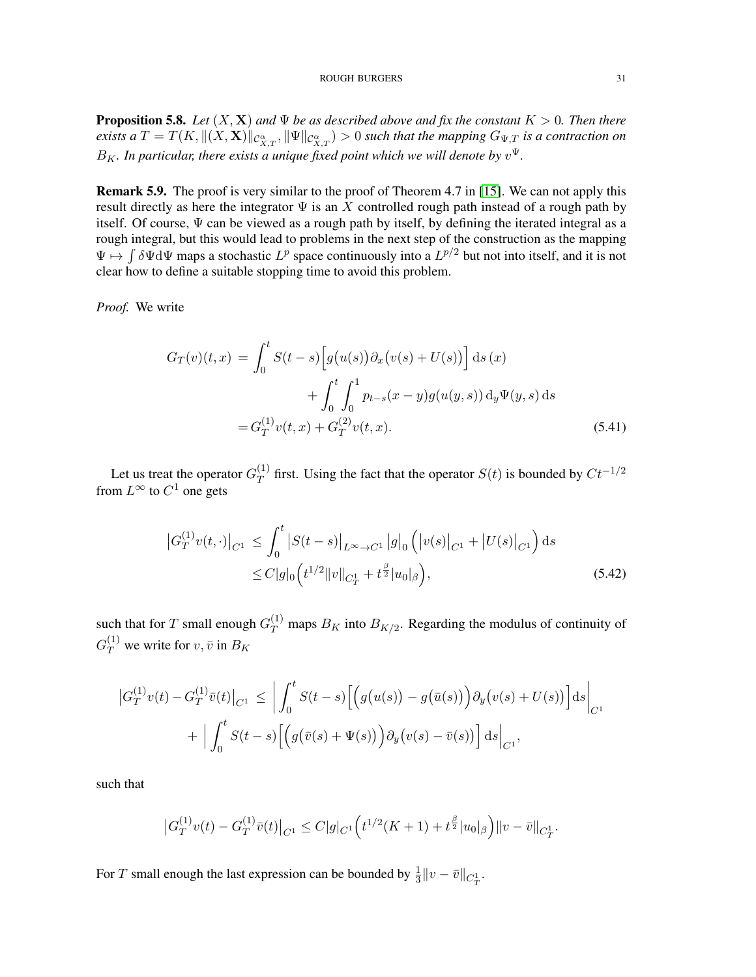<span id="page-30-1"></span>**Proposition 5.8.** *Let*  $(X, X)$  *and*  $\Psi$  *be as described above and fix the constant*  $K > 0$ *. Then there*  $e$ xists a  $T=T(K,\|(X,\mathbf{X})\|_{\mathcal{C}_{X,T}^{\alpha}},\|\Psi\|_{\mathcal{C}_{X,T}^{\alpha}})>0$  such that the mapping  $G_{\Psi,T}$  is a contraction on  $B_K$ . In particular, there exists a unique fixed point which we will denote by  $v^{\Psi}$ .

Remark 5.9. The proof is very similar to the proof of Theorem 4.7 in [\[15\]](#page-41-1). We can not apply this result directly as here the integrator  $\Psi$  is an X controlled rough path instead of a rough path by itself. Of course,  $\Psi$  can be viewed as a rough path by itself, by defining the iterated integral as a rough integral, but this would lead to problems in the next step of the construction as the mapping  $\Psi \mapsto \int \delta \Psi d\Psi$  maps a stochastic  $L^p$  space continuously into a  $L^{p/2}$  but not into itself, and it is not clear how to define a suitable stopping time to avoid this problem.

*Proof.* We write

<span id="page-30-2"></span>
$$
G_T(v)(t,x) = \int_0^t S(t-s) \left[ g(u(s)) \partial_x (v(s) + U(s)) \right] ds(x)
$$
  
+ 
$$
\int_0^t \int_0^1 p_{t-s}(x-y) g(u(y,s)) dy \Psi(y,s) ds
$$
  
= 
$$
G_T^{(1)}v(t,x) + G_T^{(2)}v(t,x).
$$
 (5.41)

Let us treat the operator  $G_T^{(1)}$  $T<sup>(1)</sup>$  first. Using the fact that the operator  $S(t)$  is bounded by  $Ct^{-1/2}$ from  $L^{\infty}$  to  $C^1$  one gets

<span id="page-30-3"></span>
$$
\left| G_T^{(1)} v(t, \cdot) \right|_{C^1} \leq \int_0^t \left| S(t - s) \right|_{L^\infty \to C^1} \left| g \right|_0 \left( \left| v(s) \right|_{C^1} + \left| U(s) \right|_{C^1} \right) ds
$$
  
 
$$
\leq C |g|_0 \left( t^{1/2} \| v \|_{C_T^1} + t^{\frac{\beta}{2}} |u_0|_{\beta} \right), \tag{5.42}
$$

such that for T small enough  $G_T^{(1)}$  maps  $B_K$  into  $B_{K/2}$ . Regarding the modulus of continuity of  $G_T^{(1)}$  we write for  $v, \bar{v}$  in  $B_K$ 

$$
\left| G_T^{(1)} v(t) - G_T^{(1)} \bar{v}(t) \right|_{C^1} \leq \left| \int_0^t S(t-s) \Big[ \Big( g(u(s)) - g(\bar{u}(s)) \Big) \partial_y (v(s) + U(s)) \Big] ds \right|_{C^1} + \left| \int_0^t S(t-s) \Big[ \Big( g(\bar{v}(s) + \Psi(s)) \Big) \partial_y (v(s) - \bar{v}(s)) \Big] ds \right|_{C^1},
$$

such that

<span id="page-30-0"></span>
$$
\left|G_T^{(1)}v(t) - G_T^{(1)}\bar{v}(t)\right|_{C^1} \leq C|g|_{C^1}\Big(t^{1/2}(K+1) + t^{\frac{\beta}{2}}|u_0|_{\beta}\Big)\|v - \bar{v}\|_{C_T^1}.
$$

For T small enough the last expression can be bounded by  $\frac{1}{3} ||v - \bar{v}||_{C_T^1}$ .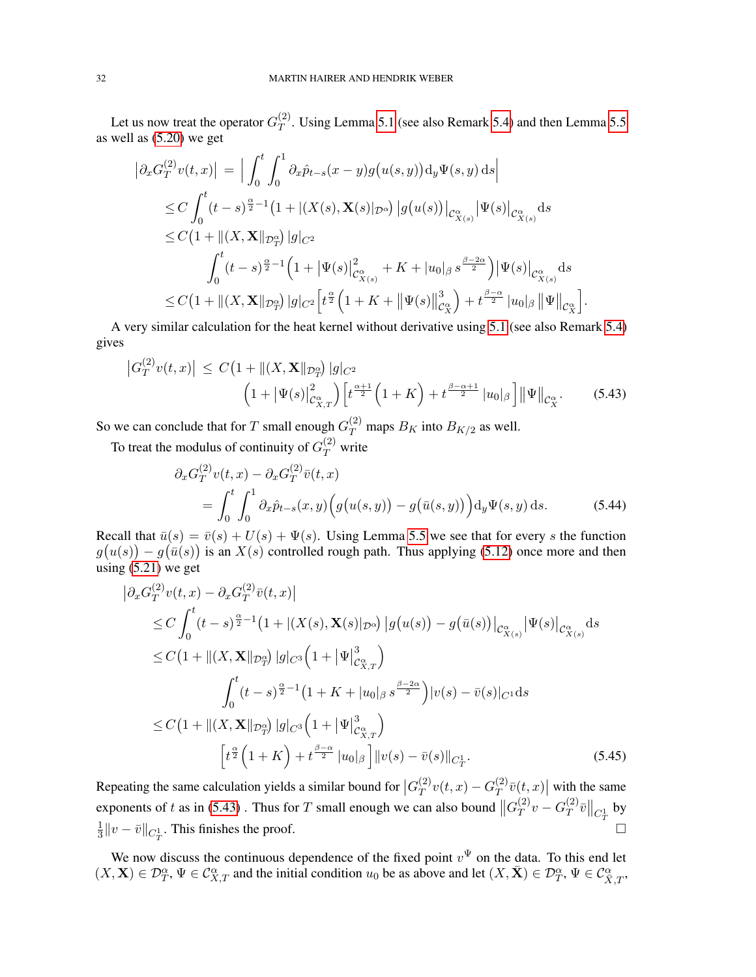Let us now treat the operator  $G_T^{(2)}$  $T$ . Using Lemma [5.1](#page-25-0) (see also Remark [5.4\)](#page-26-3) and then Lemma [5.5](#page-27-0) as well as [\(5.20\)](#page-27-4) we get

$$
\begin{split}\n\left|\partial_{x}G_{T}^{(2)}v(t,x)\right| &= \Big|\int_{0}^{t}\int_{0}^{1}\partial_{x}\hat{p}_{t-s}(x-y)g\big(u(s,y)\big)\mathrm{d}_{y}\Psi(s,y)\,\mathrm{d}s\Big| \\
&\leq C\int_{0}^{t}(t-s)^{\frac{\alpha}{2}-1}\big(1+|(X(s),\mathbf{X}(s)|_{\mathcal{D}^{\alpha}})\left|g\big(u(s)\big)\right|_{\mathcal{C}_{X(s)}^{\alpha}}\left|\Psi(s)\right|_{\mathcal{C}_{X(s)}^{\alpha}}\mathrm{d}s \\
&\leq C\big(1+\|(X,\mathbf{X}\|_{\mathcal{D}^{\alpha}_{T}})\left|g\right|_{C^{2}} \\
&\int_{0}^{t}(t-s)^{\frac{\alpha}{2}-1}\big(1+\left|\Psi(s)\right|_{\mathcal{C}_{X(s)}^{\alpha}}^{2}+K+\left|u_{0}\right|_{\beta}s^{\frac{\beta-2\alpha}{2}}\big)\left|\Psi(s)\right|_{\mathcal{C}_{X(s)}^{\alpha}}\mathrm{d}s \\
&\leq C\big(1+\|(X,\mathbf{X}\|_{\mathcal{D}^{\alpha}_{T}})\left|g\right|_{C^{2}}\big[ t^{\frac{\alpha}{2}}\big(1+K+\left|\Psi(s)\right|\right|_{\mathcal{C}_{X}^{\alpha}}^{3}\big)+t^{\frac{\beta-\alpha}{2}}\left|u_{0}\right|_{\beta}\left|\Psi\right|\right|_{\mathcal{C}_{X}^{\alpha}}\big].\n\end{split}
$$

A very similar calculation for the heat kernel without derivative using [5.1](#page-25-0) (see also Remark [5.4\)](#page-26-3) gives

$$
\left| G_T^{(2)} v(t, x) \right| \le C \left( 1 + \left\| (X, \mathbf{X} \|_{\mathcal{D}_T^{\alpha}}) \right| g \right|_{C^2} \n\left( 1 + \left| \Psi(s) \right|_{\mathcal{C}_X^{\alpha}}^2 \right) \left[ t^{\frac{\alpha + 1}{2}} \left( 1 + K \right) + t^{\frac{\beta - \alpha + 1}{2}} \left| u_0 \right|_{\beta} \right] \left\| \Psi \right\|_{\mathcal{C}_X^{\alpha}}.
$$
\n(5.43)

So we can conclude that for T small enough  $G_T^{(2)}$  maps  $B_K$  into  $B_{K/2}$  as well.

To treat the modulus of continuity of  $G_T^{(2)}$  write

$$
\partial_x G_T^{(2)} v(t, x) - \partial_x G_T^{(2)} \bar{v}(t, x)
$$
\n
$$
= \int_0^t \int_0^1 \partial_x \hat{p}_{t-s}(x, y) \Big( g(u(s, y)) - g(\bar{u}(s, y)) \Big) \mathrm{d}_y \Psi(s, y) \, \mathrm{d}s. \tag{5.44}
$$

Recall that  $\bar{u}(s) = \bar{v}(s) + U(s) + \Psi(s)$ . Using Lemma [5.5](#page-27-0) we see that for every s the function  $g(u(s)) - g(\bar{u}(s))$  is an  $X(s)$  controlled rough path. Thus applying [\(5.12\)](#page-26-4) once more and then using [\(5.21\)](#page-27-5) we get

<span id="page-31-0"></span>
$$
\begin{split}\n&\left|\partial_{x}G_{T}^{(2)}v(t,x)-\partial_{x}G_{T}^{(2)}\bar{v}(t,x)\right| \\
&\leq C\int_{0}^{t} (t-s)^{\frac{\alpha}{2}-1}\left(1+|(X(s),\mathbf{X}(s)|_{\mathcal{D}^{\alpha}})\left|g(u(s))-g(\bar{u}(s))\right|_{\mathcal{C}_{X(s)}^{\alpha}}|\Psi(s)|_{\mathcal{C}_{X(s)}^{\alpha}}\mathrm{d}s \\
&\leq C\left(1+\|(X,\mathbf{X}\|_{\mathcal{D}_{T}^{\alpha}})\left|g\right|_{C^{3}}\left(1+|\Psi|_{\mathcal{C}_{X,T}^{\alpha}}^{3}\right)\right) \\
&\int_{0}^{t} (t-s)^{\frac{\alpha}{2}-1}\left(1+K+|u_{0}|_{\beta} s^{\frac{\beta-2\alpha}{2}}\right)|v(s)-\bar{v}(s)|_{C^{1}}\mathrm{d}s \\
&\leq C\left(1+\|(X,\mathbf{X}\|_{\mathcal{D}_{T}^{\alpha}})\left|g\right|_{C^{3}}\left(1+|\Psi|_{\mathcal{C}_{X,T}^{\alpha}}^{3}\right)\right) \\
&\left[t^{\frac{\alpha}{2}}\left(1+K\right)+t^{\frac{\beta-\alpha}{2}}|u_{0}|_{\beta}\right]||v(s)-\bar{v}(s)||_{C_{T}^{1}}.\n\end{split} \tag{5.45}
$$

Repeating the same calculation yields a similar bound for  $|G_T^{(2)}|$  $T(T^{(2)}v(t,x)-G_T^{(2)})$  $\int_T^{(2)} \bar{v}(t,x) \vert$  with the same exponents of t as in [\(5.43\)](#page-30-0). Thus for T small enough we can also bound  $||G_T^{(2)}||$  $\overset{(2)}{T}v-G_T^{(2)}$  $\frac{d^{(2)}}{T} \bar v \big\|_{C_T^1}$  by 1  $\frac{1}{3}$ ||v −  $\bar{v}$ ||<sub>C<sup>1</sup>1</sub>. This finishes the proof.  $\Box$ 

We now discuss the continuous dependence of the fixed point  $v^{\Psi}$  on the data. To this end let  $(X, \mathbf{X}) \in \mathcal{D}_T^{\alpha}, \Psi \in \mathcal{C}_{X,T}^{\alpha}$  and the initial condition  $u_0$  be as above and let  $(X, \bar{\mathbf{X}}) \in \mathcal{D}_T^{\alpha}, \Psi \in \mathcal{C}_{\bar{X},T}^{\alpha}$ ,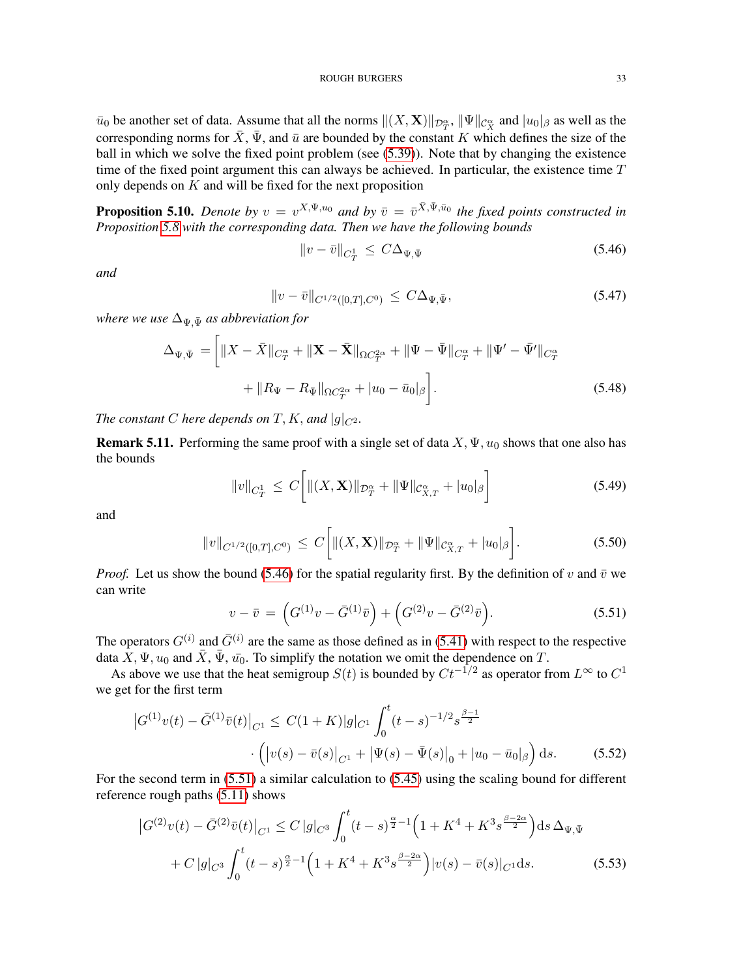$\bar{u}_0$  be another set of data. Assume that all the norms  $\|(X, \mathbf{X})\|_{\mathcal{D}_T^{\alpha}}$ ,  $\|\Psi\|_{\mathcal{C}_X^{\alpha}}$  and  $|u_0|_{\beta}$  as well as the corresponding norms for  $\bar{X}$ ,  $\bar{\Psi}$ , and  $\bar{u}$  are bounded by the constant K which defines the size of the ball in which we solve the fixed point problem (see [\(5.39\)](#page-29-2)). Note that by changing the existence time of the fixed point argument this can always be achieved. In particular, the existence time  $T$ only depends on  $K$  and will be fixed for the next proposition

<span id="page-32-0"></span>**Proposition 5.10.** Denote by  $v = v^{X,\Psi,u_0}$  and by  $\bar{v} = \bar{v}^{\bar{X},\bar{\Psi},\bar{u}_0}$  the fixed points constructed in *Proposition [5.8](#page-30-1) with the corresponding data. Then we have the following bounds*

<span id="page-32-1"></span>
$$
||v - \bar{v}||_{C_T^1} \le C\Delta_{\Psi, \bar{\Psi}} \tag{5.46}
$$

*and*

$$
||v - \bar{v}||_{C^{1/2}([0,T],C^0)} \le C\Delta_{\Psi,\bar{\Psi}},
$$
\n(5.47)

*where we use*  $\Delta_{\Psi,\bar{\Psi}}$  *as abbreviation for* 

$$
\Delta_{\Psi,\bar{\Psi}} = \left[ \|X - \bar{X}\|_{C_T^{\alpha}} + \|\mathbf{X} - \bar{\mathbf{X}}\|_{\Omega C_T^{2\alpha}} + \|\Psi - \bar{\Psi}\|_{C_T^{\alpha}} + \|\Psi' - \bar{\Psi}'\|_{C_T^{\alpha}} + \|R_{\Psi} - R_{\bar{\Psi}}\|_{\Omega C_T^{2\alpha}} + |u_0 - \bar{u}_0|_{\beta} \right].
$$
\n(5.48)

*The constant C here depends on T*, *K*, *and*  $|g|_{C^2}$ *.* 

<span id="page-32-5"></span>**Remark 5.11.** Performing the same proof with a single set of data  $X, \Psi, u_0$  shows that one also has the bounds

$$
||v||_{C_T^1} \le C \left[||(X, \mathbf{X})||_{\mathcal{D}_T^{\alpha}} + ||\Psi||_{\mathcal{C}_{X,T}^{\alpha}} + |u_0|_{\beta}\right]
$$
(5.49)

and

$$
||v||_{C^{1/2}([0,T],C^0)} \le C \bigg[||(X,\mathbf{X})||_{\mathcal{D}_T^{\alpha}} + ||\Psi||_{\mathcal{C}_{X,T}^{\alpha}} + |u_0|_{\beta}\bigg].
$$
\n(5.50)

*Proof.* Let us show the bound [\(5.46\)](#page-32-1) for the spatial regularity first. By the definition of v and  $\bar{v}$  we can write

<span id="page-32-4"></span><span id="page-32-3"></span><span id="page-32-2"></span>
$$
v - \bar{v} = \left( G^{(1)}v - \bar{G}^{(1)}\bar{v} \right) + \left( G^{(2)}v - \bar{G}^{(2)}\bar{v} \right). \tag{5.51}
$$

The operators  $G^{(i)}$  and  $\bar{G}^{(i)}$  are the same as those defined as in [\(5.41\)](#page-30-2) with respect to the respective data  $\overline{X}$ ,  $\Psi$ ,  $u_0$  and  $\overline{X}$ ,  $\overline{\Psi}$ ,  $\overline{u_0}$ . To simplify the notation we omit the dependence on T.

As above we use that the heat semigroup  $S(t)$  is bounded by  $C t^{-1/2}$  as operator from  $L^{\infty}$  to  $C^{1}$ we get for the first term

$$
\left| G^{(1)}v(t) - \bar{G}^{(1)}\bar{v}(t) \right|_{C^1} \leq C(1+K)|g|_{C^1} \int_0^t (t-s)^{-1/2} s^{\frac{\beta-1}{2}} \cdot \left( |v(s) - \bar{v}(s)|_{C^1} + |\Psi(s) - \bar{\Psi}(s)|_0 + |u_0 - \bar{u}_0|_{\beta} \right) ds. \tag{5.52}
$$

For the second term in [\(5.51\)](#page-32-2) a similar calculation to [\(5.45\)](#page-31-0) using the scaling bound for different reference rough paths [\(5.11\)](#page-26-5) shows

$$
\left| G^{(2)}v(t) - \bar{G}^{(2)}\bar{v}(t) \right|_{C^1} \le C \left| g \right|_{C^3} \int_0^t (t-s)^{\frac{\alpha}{2}-1} \left( 1 + K^4 + K^3 s^{\frac{\beta - 2\alpha}{2}} \right) ds \, \Delta_{\Psi, \bar{\Psi}} + C \left| g \right|_{C^3} \int_0^t (t-s)^{\frac{\alpha}{2}-1} \left( 1 + K^4 + K^3 s^{\frac{\beta - 2\alpha}{2}} \right) |v(s) - \bar{v}(s)|_{C^1} ds.
$$
 (5.53)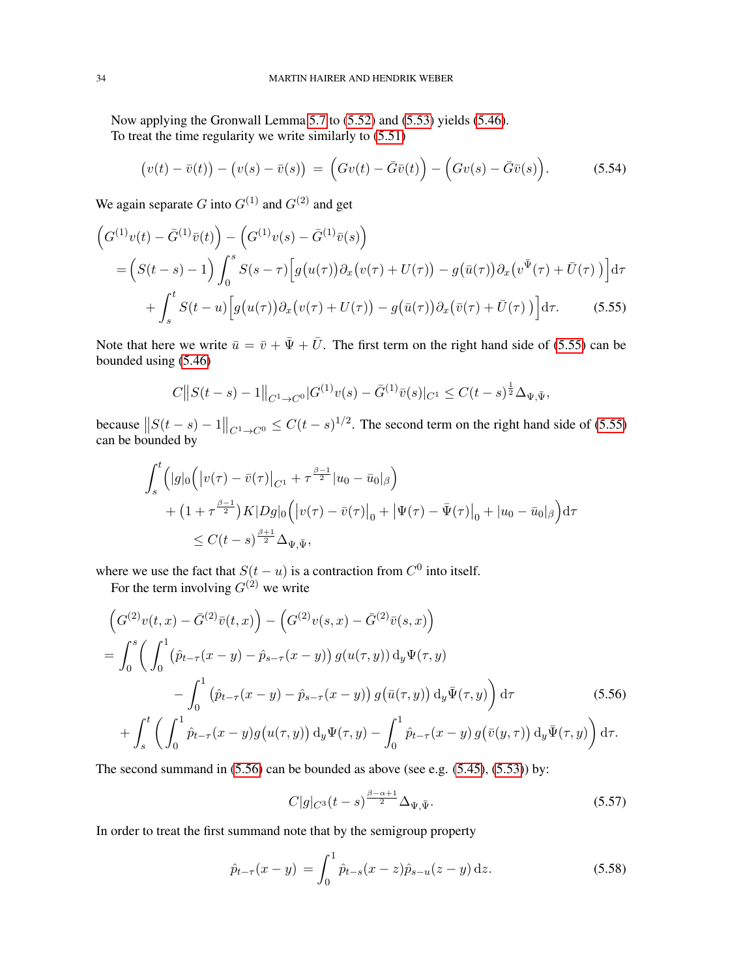Now applying the Gronwall Lemma [5.7](#page-28-5) to [\(5.52\)](#page-32-3) and [\(5.53\)](#page-32-4) yields [\(5.46\)](#page-32-1). To treat the time regularity we write similarly to [\(5.51\)](#page-32-2)

$$
\big(v(t)-\bar{v}(t)\big)-\big(v(s)-\bar{v}(s)\big) = \Big(Gv(t)-\bar{G}\bar{v}(t)\Big)-\Big(Gv(s)-\bar{G}\bar{v}(s)\Big). \hspace{1cm} (5.54)
$$

We again separate G into  $G^{(1)}$  and  $G^{(2)}$  and get

$$
\begin{split} \left(G^{(1)}v(t) - \bar{G}^{(1)}\bar{v}(t)\right) - \left(G^{(1)}v(s) - \bar{G}^{(1)}\bar{v}(s)\right) \\ &= \left(S(t-s) - 1\right) \int_0^s S(s-\tau) \left[g(u(\tau))\partial_x\left(v(\tau) + U(\tau)\right) - g(\bar{u}(\tau))\partial_x\left(v^{\bar{\Psi}}(\tau) + \bar{U}(\tau)\right)\right] d\tau \\ &+ \int_s^t S(t-u) \left[g(u(\tau))\partial_x\left(v(\tau) + U(\tau)\right) - g(\bar{u}(\tau))\partial_x\left(\bar{v}(\tau) + \bar{U}(\tau)\right)\right] d\tau. \end{split} \tag{5.55}
$$

Note that here we write  $\bar{u} = \bar{v} + \bar{\Psi} + \bar{U}$ . The first term on the right hand side of [\(5.55\)](#page-33-0) can be bounded using [\(5.46\)](#page-32-1)

<span id="page-33-0"></span>
$$
C||S(t-s)-1||_{C^1\to C^0}|G^{(1)}v(s)-\bar{G}^{(1)}\bar{v}(s)|_{C^1}\leq C(t-s)^{\frac{1}{2}}\Delta_{\Psi,\bar{\Psi}},
$$

because  $||S(t-s)-1||_{C^1\to C^0} \leq C(t-s)^{1/2}$ . The second term on the right hand side of [\(5.55\)](#page-33-0) can be bounded by

$$
\int_{s}^{t} (|g|_{0} (|v(\tau) - \bar{v}(\tau)|_{C^{1}} + \tau^{\frac{\beta-1}{2}} |u_{0} - \bar{u}_{0}|_{\beta}) \n+ (1 + \tau^{\frac{\beta-1}{2}}) K |Dg|_{0} (|v(\tau) - \bar{v}(\tau)|_{0} + |\Psi(\tau) - \bar{\Psi}(\tau)|_{0} + |u_{0} - \bar{u}_{0}|_{\beta}) d\tau \n\leq C(t - s)^{\frac{\beta+1}{2}} \Delta_{\Psi, \bar{\Psi}},
$$

where we use the fact that  $S(t - u)$  is a contraction from  $C^0$  into itself.

For the term involving  $G^{(2)}$  we write

$$
\left(G^{(2)}v(t,x) - \bar{G}^{(2)}\bar{v}(t,x)\right) - \left(G^{(2)}v(s,x) - \bar{G}^{(2)}\bar{v}(s,x)\right)
$$
\n
$$
= \int_0^s \left(\int_0^1 (\hat{p}_{t-\tau}(x-y) - \hat{p}_{s-\tau}(x-y)) g(u(\tau,y)) \, d_y \Psi(\tau,y) - \int_0^1 (\hat{p}_{t-\tau}(x-y) - \hat{p}_{s-\tau}(x-y)) g(\bar{u}(\tau,y)) \, d_y \bar{\Psi}(\tau,y)\right) d\tau \qquad (5.56)
$$
\n
$$
+ \int_s^t \left(\int_0^1 \hat{p}_{t-\tau}(x-y) g(u(\tau,y)) \, d_y \Psi(\tau,y) - \int_0^1 \hat{p}_{t-\tau}(x-y) g(\bar{v}(y,\tau)) \, d_y \bar{\Psi}(\tau,y)\right) d\tau.
$$

The second summand in [\(5.56\)](#page-33-1) can be bounded as above (see e.g. [\(5.45\)](#page-31-0), [\(5.53\)](#page-32-4)) by:

<span id="page-33-1"></span>
$$
C|g|_{C^3}(t-s)^{\frac{\beta-\alpha+1}{2}}\Delta_{\Psi,\bar{\Psi}}.\tag{5.57}
$$

In order to treat the first summand note that by the semigroup property

$$
\hat{p}_{t-\tau}(x-y) = \int_0^1 \hat{p}_{t-s}(x-z)\hat{p}_{s-u}(z-y) \,dz. \tag{5.58}
$$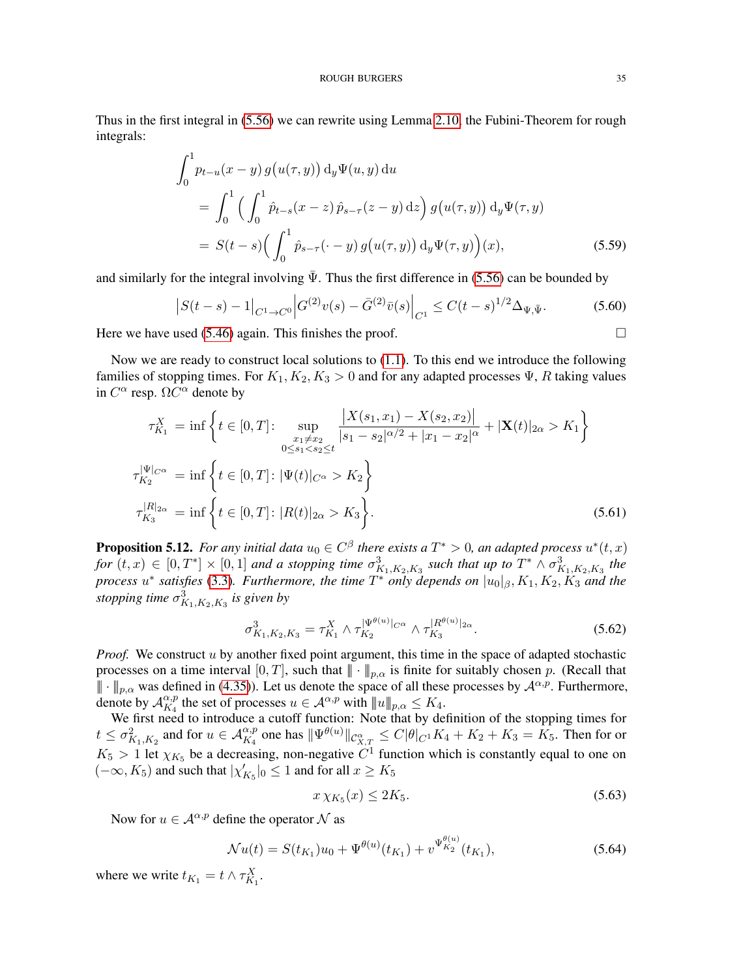Thus in the first integral in [\(5.56\)](#page-33-1) we can rewrite using Lemma [2.10,](#page-7-2) the Fubini-Theorem for rough integrals:

$$
\int_{0}^{1} p_{t-u}(x-y) g(u(\tau, y)) d_y \Psi(u, y) du
$$
\n
$$
= \int_{0}^{1} \left( \int_{0}^{1} \hat{p}_{t-s}(x-z) \hat{p}_{s-\tau}(z-y) dz \right) g(u(\tau, y)) d_y \Psi(\tau, y)
$$
\n
$$
= S(t-s) \left( \int_{0}^{1} \hat{p}_{s-\tau}(\cdot - y) g(u(\tau, y)) d_y \Psi(\tau, y) \right)(x), \tag{5.59}
$$

and similarly for the integral involving  $\bar{\Psi}$ . Thus the first difference in [\(5.56\)](#page-33-1) can be bounded by

$$
\left| S(t-s) - 1 \right|_{C^1 \to C^0} \left| G^{(2)} v(s) - \bar{G}^{(2)} \bar{v}(s) \right|_{C^1} \le C(t-s)^{1/2} \Delta_{\Psi, \bar{\Psi}}.
$$
 (5.60)

Here we have used [\(5.46\)](#page-32-1) again. This finishes the proof.  $\Box$ 

Now we are ready to construct local solutions to [\(1.1\)](#page-0-0). To this end we introduce the following families of stopping times. For  $K_1, K_2, K_3 > 0$  and for any adapted processes  $\Psi$ , R taking values in  $C^{\alpha}$  resp.  $\Omega C^{\alpha}$  denote by

$$
\tau_{K_1}^X = \inf \left\{ t \in [0, T] : \sup_{\substack{x_1 \neq x_2 \\ 0 \leq s_1 < s_2 \leq t}} \frac{|X(s_1, x_1) - X(s_2, x_2)|}{|s_1 - s_2|^{\alpha/2} + |x_1 - x_2|^{\alpha}} + |\mathbf{X}(t)|_{2\alpha} > K_1 \right\}
$$
\n
$$
\tau_{K_2}^{|\Psi|_{C^{\alpha}}} = \inf \left\{ t \in [0, T] : |\Psi(t)|_{C^{\alpha}} > K_2 \right\}
$$
\n
$$
\tau_{K_3}^{|R|_{2\alpha}} = \inf \left\{ t \in [0, T] : |R(t)|_{2\alpha} > K_3 \right\}. \tag{5.61}
$$

<span id="page-34-0"></span>**Proposition 5.12.** For any initial data  $u_0 \in C^{\beta}$  there exists a  $T^* > 0$ , an adapted process  $u^*(t, x)$  $for (t, x) \in [0, T^*] \times [0, 1]$  and a stopping time  $\sigma_{K_1, K_2, K_3}^3$  such that up to  $T^* \wedge \sigma_{K_1, K_2, K_3}^3$  the *process* u ∗ *satisfies* [\(3.3\)](#page-9-0)*. Furthermore, the time* T <sup>∗</sup> *only depends on* |u0|β, K1, K2, K<sup>3</sup> *and the stopping time*  $\sigma_{K_1,K_2,K_3}^3$  *is given by* 

$$
\sigma_{K_1, K_2, K_3}^3 = \tau_{K_1}^X \wedge \tau_{K_2}^{|\Psi^{\theta(u)}|_{C^{\alpha}}} \wedge \tau_{K_3}^{|R^{\theta(u)}|_{2\alpha}}.
$$
\n(5.62)

*Proof.* We construct u by another fixed point argument, this time in the space of adapted stochastic processes on a time interval  $[0, T]$ , such that  $|| \cdot ||_{p,\alpha}$  is finite for suitably chosen p. (Recall that  $|| \cdot ||_{p,\alpha}$  was defined in [\(4.35\)](#page-18-4)). Let us denote the space of all these processes by  $\mathcal{A}^{\alpha,p}$ . Furthermore, denote by  $\mathcal{A}_{K_A}^{\alpha,p}$  $\alpha, p \atop K_4$  the set of processes  $u \in \mathcal{A}^{\alpha, p}$  with  $||u||_{p,\alpha} \le K_4$ .

We first need to introduce a cutoff function: Note that by definition of the stopping times for  $t \le \sigma_{K_1, K_2}^2$  and for  $u \in \mathcal{A}_{K_4}^{\alpha, p}$  one has  $\|\Psi^{\theta(u)}\|_{\mathcal{C}_{X,T}^{\alpha}} \le C|\theta|_{C^1}K_4 + K_2 + K_3 = K_5$ . Then for or  $K_5 > 1$  let  $\chi_{K_5}$  be a decreasing, non-negative  $C^1$  function which is constantly equal to one on  $(-\infty, K_5)$  and such that  $|\chi'_{K_5}|_0 \leq 1$  and for all  $x \geq K_5$ 

$$
x \chi_{K_5}(x) \le 2K_5. \tag{5.63}
$$

Now for  $u \in A^{\alpha, p}$  define the operator N as

$$
\mathcal{N}u(t) = S(t_{K_1})u_0 + \Psi^{\theta(u)}(t_{K_1}) + v^{\Psi_{K_2}^{\theta(u)}}(t_{K_1}),
$$
\n(5.64)

where we write  $t_{K_1} = t \wedge \tau_{K_1}^X$ .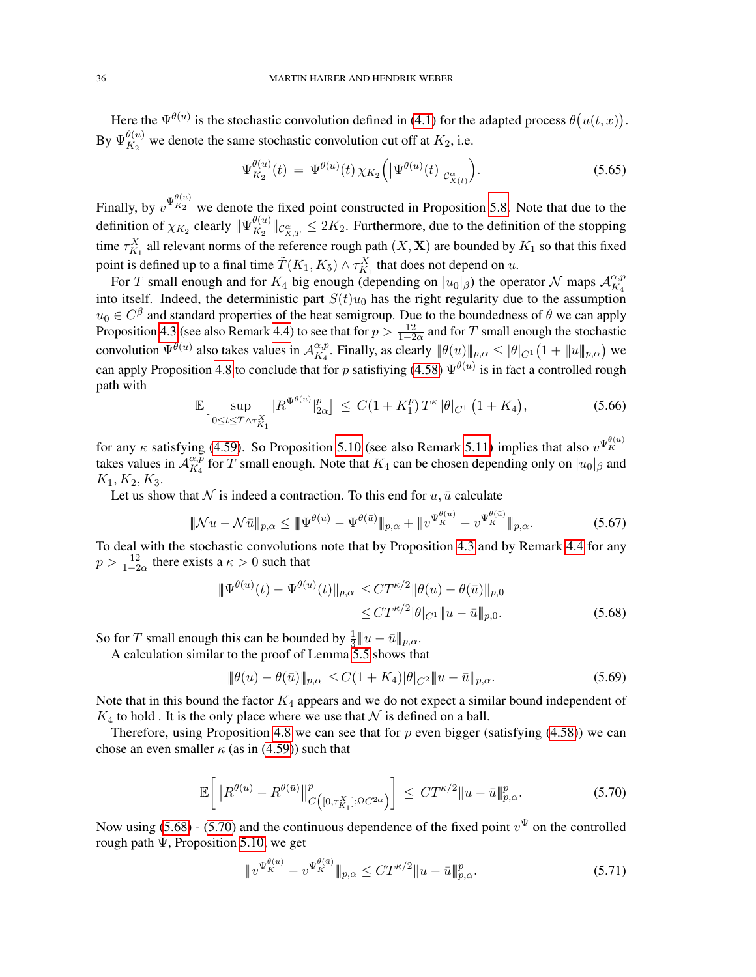Here the  $\Psi^{\theta(u)}$  is the stochastic convolution defined in [\(4.1\)](#page-12-3) for the adapted process  $\theta(u(t,x))$ .  $\mathrm{By}\ \Psi_{K_2}^{\theta(u)}$  $\frac{W(u)}{K_2}$  we denote the same stochastic convolution cut off at  $K_2$ , i.e.

$$
\Psi_{K_2}^{\theta(u)}(t) = \Psi^{\theta(u)}(t) \chi_{K_2}(|\Psi^{\theta(u)}(t)|_{\mathcal{C}^{\alpha}_{X(t)}}).
$$
\n(5.65)

Finally, by  $v^{\Psi_{K_2}^{(\theta(u))}}$  we denote the fixed point constructed in Proposition [5.8.](#page-30-1) Note that due to the definition of  $\chi_{K_2}$  clearly  $\|\Psi_{K_2}^{\theta(u)}\|$  $\lim_{K_2} \frac{\theta(u)}{\log_{X,T}} \leq 2K_2$ . Furthermore, due to the definition of the stopping time  $\tau_{K_1}^X$  all relevant norms of the reference rough path  $(X, \mathbf{X})$  are bounded by  $K_1$  so that this fixed point is defined up to a final time  $\tilde{T}(K_1, K_5) \wedge \tau_{K_1}^X$  that does not depend on u.

For T small enough and for  $K_4$  big enough (depending on  $|u_0|_\beta$ ) the operator N maps  $\mathcal{A}_{K_4}^{\alpha,p}$  $K_4$ into itself. Indeed, the deterministic part  $S(t)u_0$  has the right regularity due to the assumption  $u_0 \in C^{\beta}$  and standard properties of the heat semigroup. Due to the boundedness of  $\theta$  we can apply Proposition [4.3](#page-16-0) (see also Remark [4.4\)](#page-16-1) to see that for  $p > \frac{12}{1-2\alpha}$  and for T small enough the stochastic convolution  $\Psi^{\theta(u)}$  also takes values in  $\mathcal{A}_{K_A}^{\alpha,p}$  $\frac{\alpha,p}{K_4}$ . Finally, as clearly  $\|\theta(u)\|_{p,\alpha} \leq |\theta|_{C^1} \big(1 + \|u\|_{p,\alpha}\big)$  we can apply Proposition [4.8](#page-21-0) to conclude that for p satisfiying [\(4.58\)](#page-21-4)  $\Psi^{\theta(u)}$  is in fact a controlled rough path with

$$
\mathbb{E}\big[\sup_{0\leq t\leq T\wedge\tau_{K_1}^X} |R^{\Psi^{\theta(u)}}|_{2\alpha}^p\big] \leq C(1+K_1^p)T^{\kappa}|\theta|_{C^1}\left(1+K_4\right),\tag{5.66}
$$

for any  $\kappa$  satisfying [\(4.59\)](#page-21-5). So Proposition [5.10](#page-32-0) (see also Remark [5.11\)](#page-32-5) implies that also  $v^{\Psi_K^{(\theta(u))}}$ takes values in  $\mathcal{A}_{K_A}^{\alpha,\bar{p}}$  $\frac{\alpha, p}{K_4}$  for T small enough. Note that  $K_4$  can be chosen depending only on  $|u_0|_\beta$  and  $K_1, K_2, K_3.$ 

Let us show that  $N$  is indeed a contraction. To this end for  $u$ ,  $\bar{u}$  calculate

$$
\|\mathcal{N}u - \mathcal{N}\bar{u}\|_{p,\alpha} \le \|\Psi^{\theta(u)} - \Psi^{\theta(\bar{u})}\|_{p,\alpha} + \|v^{\Psi_K^{\theta(u)}} - v^{\Psi_K^{\theta(\bar{u})}}\|_{p,\alpha}.
$$
 (5.67)

To deal with the stochastic convolutions note that by Proposition [4.3](#page-16-0) and by Remark [4.4](#page-16-1) for any  $p > \frac{12}{1-2\alpha}$  there exists a  $\kappa > 0$  such that

$$
\begin{aligned} \|\Psi^{\theta(u)}(t) - \Psi^{\theta(\bar{u})}(t)\|_{p,\alpha} &\leq C T^{\kappa/2} \|\theta(u) - \theta(\bar{u})\|_{p,0} \\ &\leq C T^{\kappa/2} |\theta|_{C^1} \|u - \bar{u}\|_{p,0}. \end{aligned} \tag{5.68}
$$

So for T small enough this can be bounded by  $\frac{1}{3}||u - \bar{u}||_{p,\alpha}$ .

A calculation similar to the proof of Lemma [5.5](#page-27-0) shows that

<span id="page-35-0"></span>
$$
\|\theta(u) - \theta(\bar{u})\|_{p,\alpha} \le C(1 + K_4)|\theta|_{C^2}\|u - \bar{u}\|_{p,\alpha}.
$$
\n(5.69)

Note that in this bound the factor  $K_4$  appears and we do not expect a similar bound independent of  $K_4$  to hold. It is the only place where we use that  $N$  is defined on a ball.

Therefore, using Proposition [4.8](#page-21-0) we can see that for  $p$  even bigger (satisfying [\(4.58\)](#page-21-4)) we can chose an even smaller  $\kappa$  (as in [\(4.59\)](#page-21-5)) such that

$$
\mathbb{E}\bigg[\|R^{\theta(u)} - R^{\theta(\bar{u})}\|_{C\big([0,\tau_{K_1}^X];\Omega C^{2\alpha}\big)}^p\bigg] \leq C T^{\kappa/2} \|u - \bar{u}\|_{p,\alpha}^p. \tag{5.70}
$$

Now using [\(5.68\)](#page-35-0) - [\(5.70\)](#page-35-1) and the continuous dependence of the fixed point  $v^{\Psi}$  on the controlled rough path  $\Psi$ , Proposition [5.10,](#page-32-0) we get

<span id="page-35-1"></span>
$$
\|v^{\Psi_K^{\theta(u)}} - v^{\Psi_K^{\theta(\bar{u})}}\|_{p,\alpha} \le CT^{\kappa/2} \|u - \bar{u}\|_{p,\alpha}^p. \tag{5.71}
$$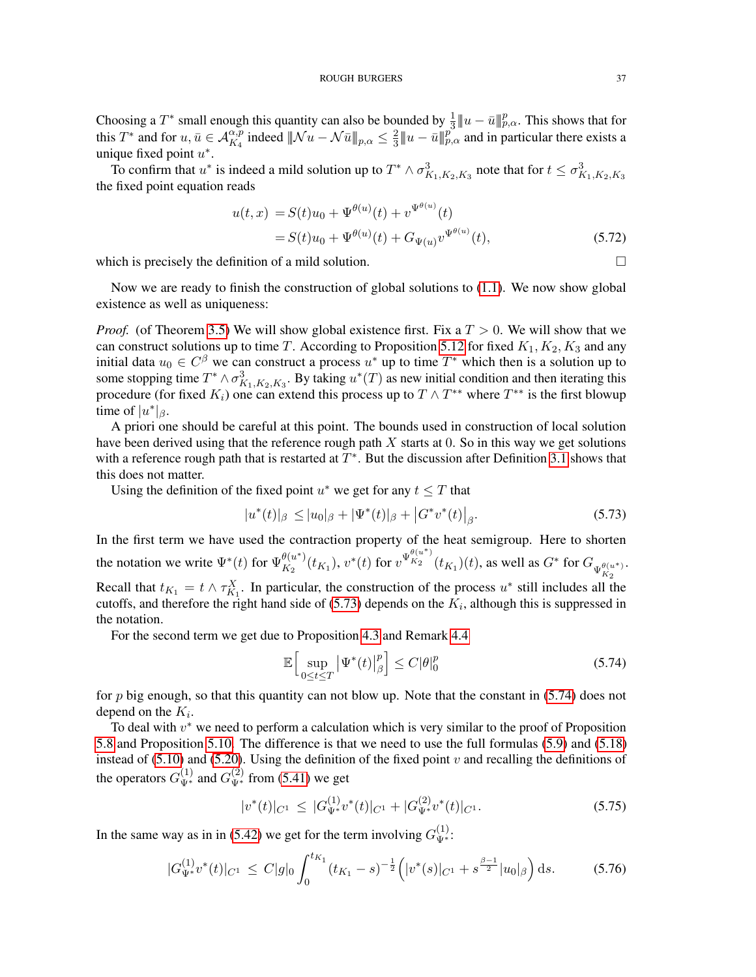Choosing a  $T^*$  small enough this quantity can also be bounded by  $\frac{1}{3}||u - \bar{u}||_{p,\alpha}^p$ . This shows that for this  $T^*$  and for  $u, \bar{u} \in \mathcal{A}_{K_4}^{\alpha, p}$  indeed  $\|\mathcal{N}u - \mathcal{N}\bar{u}\|_{p,\alpha} \leq \frac{2}{3}$  $\frac{2}{3}$   $||u - \bar{u}||_{p,\alpha}^p$  and in particular there exists a unique fixed point  $u^*$ .

To confirm that  $u^*$  is indeed a mild solution up to  $T^* \wedge \sigma_{K_1,K_2,K_3}^3$  note that for  $t \le \sigma_{K_1,K_2,K_3}^3$ the fixed point equation reads

$$
u(t,x) = S(t)u_0 + \Psi^{\theta(u)}(t) + v^{\Psi^{\theta(u)}}(t)
$$
  
=  $S(t)u_0 + \Psi^{\theta(u)}(t) + G_{\Psi(u)}v^{\Psi^{\theta(u)}}(t)$ , (5.72)

which is precisely the definition of a mild solution.  $\Box$ 

Now we are ready to finish the construction of global solutions to [\(1.1\)](#page-0-0). We now show global existence as well as uniqueness:

*Proof.* (of Theorem [3.5\)](#page-10-1) We will show global existence first. Fix a  $T > 0$ . We will show that we can construct solutions up to time T. According to Proposition [5.12](#page-34-0) for fixed  $K_1, K_2, K_3$  and any initial data  $u_0 \in C^{\beta}$  we can construct a process  $u^*$  up to time  $T^*$  which then is a solution up to some stopping time  $T^* \wedge \sigma_{K_1, K_2, K_3}^3$ . By taking  $u^*(T)$  as new initial condition and then iterating this procedure (for fixed  $K_i$ ) one can extend this process up to  $T \wedge T^{**}$  where  $T^{**}$  is the first blowup time of  $|u^*|_{\beta}$ .

A priori one should be careful at this point. The bounds used in construction of local solution have been derived using that the reference rough path  $X$  starts at 0. So in this way we get solutions with a reference rough path that is restarted at  $T^*$ . But the discussion after Definition [3.1](#page-8-0) shows that this does not matter.

Using the definition of the fixed point  $u^*$  we get for any  $t \leq T$  that

$$
|u^*(t)|_{\beta} \le |u_0|_{\beta} + |\Psi^*(t)|_{\beta} + |G^*v^*(t)|_{\beta}.
$$
\n(5.73)

In the first term we have used the contraction property of the heat semigroup. Here to shorten the notation we write  $\Psi^*(t)$  for  $\Psi_{K_2}^{\theta(u^*)}$  $\frac{\theta(u^*)}{K_2}(t_{K_1}), v^*(t)$  for  $v^{\Psi_{K_2}^{\theta(u^*)}}$  $\int_{K_2}^{K_2} (t_{K_1})(t)$ , as well as  $G^*$  for  $G_{\Psi_{K_2}^{\theta(u^*)}}$ .  $K_{2}$ Recall that  $t_{K_1} = t \wedge \tau_{K_1}^X$ . In particular, the construction of the process  $u^*$  still includes all the cutoffs, and therefore the right hand side of  $(5.73)$  depends on the  $K_i$ , although this is suppressed in the notation.

For the second term we get due to Proposition [4.3](#page-16-0) and Remark [4.4](#page-16-1)

<span id="page-36-1"></span><span id="page-36-0"></span>
$$
\mathbb{E}\Big[\sup_{0\leq t\leq T} \left|\Psi^*(t)\right|_{\beta}^p\Big] \leq C|\theta|_0^p\tag{5.74}
$$

for p big enough, so that this quantity can not blow up. Note that the constant in [\(5.74\)](#page-36-1) does not depend on the  $K_i$ .

To deal with  $v^*$  we need to perform a calculation which is very similar to the proof of Proposition [5.8](#page-30-1) and Proposition [5.10.](#page-32-0) The difference is that we need to use the full formulas [\(5.9\)](#page-25-2) and [\(5.18\)](#page-27-1) instead of  $(5.10)$  and  $(5.20)$ . Using the definition of the fixed point v and recalling the definitions of the operators  $G_{\Psi^*}^{(1)}$  and  $G_{\Psi^*}^{(2)}$  from [\(5.41\)](#page-30-2) we get

$$
|v^*(t)|_{C^1} \leq |G_{\Psi^*}^{(1)} v^*(t)|_{C^1} + |G_{\Psi^*}^{(2)} v^*(t)|_{C^1}.
$$
\n(5.75)

In the same way as in in [\(5.42\)](#page-30-3) we get for the term involving  $G_{\Psi^*}^{(1)}$ :

$$
|G_{\Psi^*}^{(1)}v^*(t)|_{C^1} \leq C|g|_0 \int_0^{t_{K_1}} (t_{K_1} - s)^{-\frac{1}{2}} \Big( |v^*(s)|_{C^1} + s^{\frac{\beta - 1}{2}} |u_0|_{\beta} \Big) \, \mathrm{d}s. \tag{5.76}
$$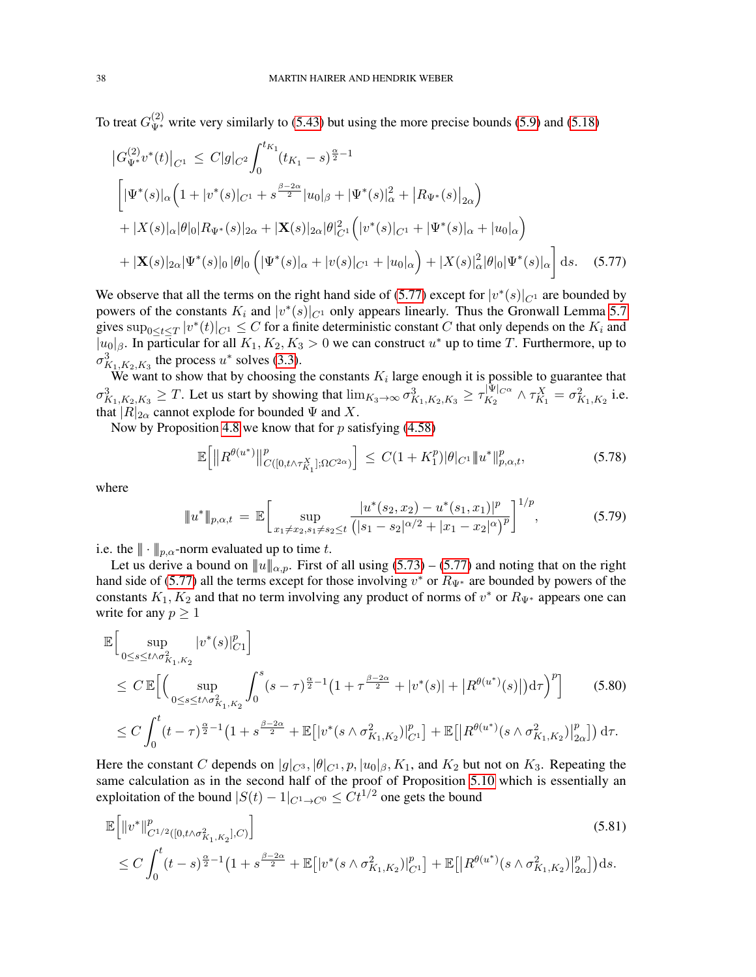To treat  $G_{\Psi^*}^{(2)}$  write very similarly to [\(5.43\)](#page-30-0) but using the more precise bounds [\(5.9\)](#page-25-2) and [\(5.18\)](#page-27-1)

$$
\begin{split}\n\left|G_{\Psi^*}^{(2)}v^*(t)\right|_{C^1} &\leq C|g|_{C^2} \int_0^{t_{K_1}} (t_{K_1} - s)^{\frac{\alpha}{2} - 1} \\
\left[|\Psi^*(s)|_{\alpha} \Big(1 + |v^*(s)|_{C^1} + s^{\frac{\beta - 2\alpha}{2}}|u_0|_{\beta} + |\Psi^*(s)|_{\alpha}^2 + |R_{\Psi^*}(s)|_{2\alpha}\right) \\
&+ |X(s)|_{\alpha}|\theta|_{0}|R_{\Psi^*}(s)|_{2\alpha} + |\mathbf{X}(s)|_{2\alpha}|\theta|_{C^1}^{2} \Big(|v^*(s)|_{C^1} + |\Psi^*(s)|_{\alpha} + |u_0|_{\alpha}\Big) \\
&+ |\mathbf{X}(s)|_{2\alpha}|\Psi^*(s)|_{0} |\theta|_{0} \Big( |\Psi^*(s)|_{\alpha} + |v(s)|_{C^1} + |u_0|_{\alpha}\Big) + |X(s)|_{\alpha}^2|\theta|_{0}|\Psi^*(s)|_{\alpha}\Big] \, \mathrm{d}s. \tag{5.77}\n\end{split}
$$

We observe that all the terms on the right hand side of [\(5.77\)](#page-37-0) except for  $|v^*(s)|_{C^1}$  are bounded by powers of the constants  $K_i$  and  $|v^*(s)|_{C^1}$  only appears linearly. Thus the Gronwall Lemma [5.7](#page-28-5) gives  $\sup_{0 \le t \le T} |v^*(t)|_{C^1} \le C$  for a finite deterministic constant C that only depends on the  $K_i$  and  $|u_0|_\beta$ . In particular for all  $K_1, K_2, K_3 > 0$  we can construct  $u^*$  up to time T. Furthermore, up to  $\sigma_{K_1,K_2,K_3}^3$  the process  $u^*$  solves [\(3.3\)](#page-9-0).

We want to show that by choosing the constants  $K_i$  large enough it is possible to guarantee that  $\sigma_{K_1,K_2,K_3}^3 \geq T$ . Let us start by showing that  $\lim_{K_3 \to \infty} \sigma_{K_1,K_2,K_3}^3 \geq \tau_{K_2}^{|\Psi|_{C^{\alpha}}}$  $\frac{1|\Psi|_{C^{\alpha}}}{K_2} \wedge \tau_{K_1}^X = \sigma_{K_1, K_2}^2$  i.e. that  $|R|_{2\alpha}$  cannot explode for bounded  $\Psi$  and  $X$ .

Now by Proposition [4.8](#page-21-0) we know that for  $p$  satisfying [\(4.58\)](#page-21-4)

<span id="page-37-1"></span><span id="page-37-0"></span>
$$
\mathbb{E}\Big[\|R^{\theta(u^*)}\|_{C([0,t\wedge \tau_{K_1}^X];\Omega C^{2\alpha})}^p\Big] \leq C(1+K_1^p)|\theta|_{C^1}\|u^*\|_{p,\alpha,t}^p,\tag{5.78}
$$

where

$$
\|u^*\|_{p,\alpha,t} = \mathbb{E}\bigg[\sup_{x_1 \neq x_2, s_1 \neq s_2 \leq t} \frac{|u^*(s_2, x_2) - u^*(s_1, x_1)|^p}{(|s_1 - s_2|^{\alpha/2} + |x_1 - x_2|^\alpha)^p}\bigg]^{1/p},\tag{5.79}
$$

i.e. the  $\|\cdot\|_{p,\alpha}$ -norm evaluated up to time t.

Let us derive a bound on  $||u||_{\alpha,p}$ . First of all using [\(5.73\)](#page-36-0) – [\(5.77\)](#page-37-0) and noting that on the right hand side of [\(5.77\)](#page-37-0) all the terms except for those involving  $v^*$  or  $R_{\Psi^*}$  are bounded by powers of the constants  $K_1, K_2$  and that no term involving any product of norms of  $v^*$  or  $R_{\Psi^*}$  appears one can write for any  $p \geq 1$ 

$$
\mathbb{E}\Big[\sup_{0\leq s\leq t\wedge\sigma_{K_{1},K_{2}}^{2}}|v^{*}(s)|_{C1}^{p}\Big]
$$
\n
$$
\leq C \mathbb{E}\Big[\Big(\sup_{0\leq s\leq t\wedge\sigma_{K_{1},K_{2}}^{2}}\int_{0}^{s}(s-\tau)^{\frac{\alpha}{2}-1}\big(1+\tau^{\frac{\beta-2\alpha}{2}}+|v^{*}(s)|+|R^{\theta(u^{*})}(s)|\big)d\tau\Big)^{p}\Big] \qquad(5.80)
$$
\n
$$
\leq C \int_{0}^{t}(t-\tau)^{\frac{\alpha}{2}-1}\big(1+s^{\frac{\beta-2\alpha}{2}}+ \mathbb{E}\big[|v^{*}(s\wedge\sigma_{K_{1},K_{2}}^{2})|_{C^{1}}^{p}\big] + \mathbb{E}\big[|R^{\theta(u^{*})}(s\wedge\sigma_{K_{1},K_{2}}^{2})|_{2\alpha}^{p}\big]\big)d\tau.
$$

Here the constant C depends on  $|g|_{C^3}$ ,  $|\theta|_{C^1}$ ,  $p$ ,  $|u_0|_{\beta}$ ,  $K_1$ , and  $K_2$  but not on  $K_3$ . Repeating the same calculation as in the second half of the proof of Proposition [5.10](#page-32-0) which is essentially an exploitation of the bound  $|S(t) - 1|_{C^1 \to C^0} \leq Ct^{1/2}$  one gets the bound

$$
\mathbb{E}\left[\|v^*\|_{C^{1/2}([0,t\wedge\sigma_{K_1,K_2}^2],C)}^p\right]
$$
\n
$$
\leq C \int_0^t (t-s)^{\frac{\alpha}{2}-1} \left(1+s^{\frac{\beta-2\alpha}{2}} + \mathbb{E}\left[|v^*(s\wedge\sigma_{K_1,K_2}^2)|_{C^1}^p\right] + \mathbb{E}\left[|R^{\theta(u^*)}(s\wedge\sigma_{K_1,K_2}^2)|_{2\alpha}^p\right]\right)ds.
$$
\n(5.81)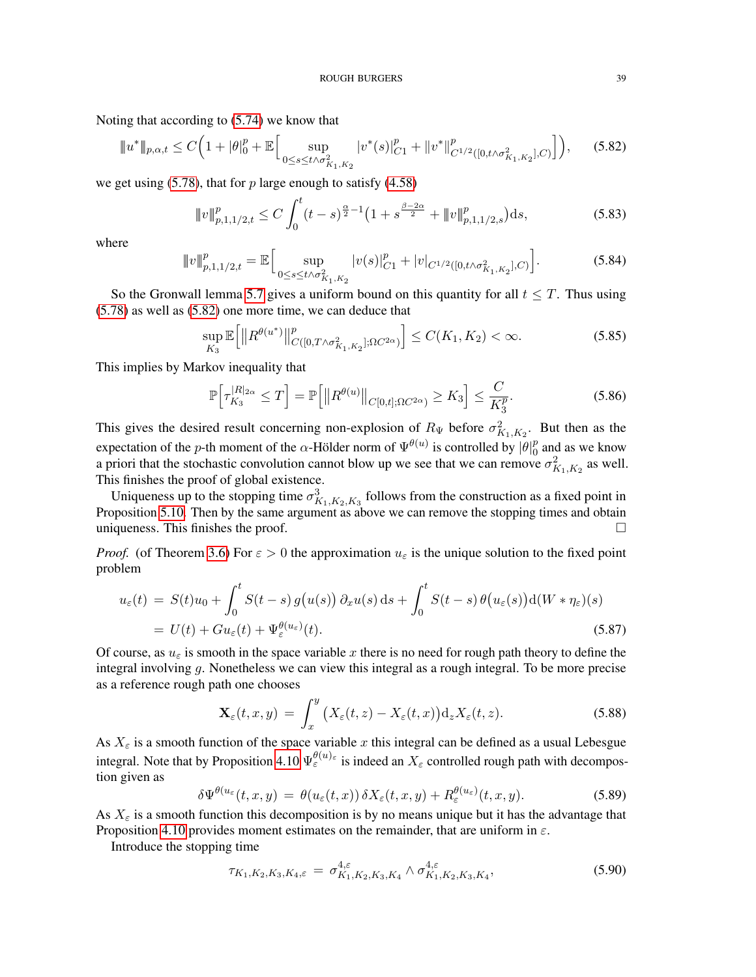Noting that according to [\(5.74\)](#page-36-1) we know that

<span id="page-38-0"></span>
$$
||u^*||_{p,\alpha,t} \le C\Big(1+|\theta|_0^p + \mathbb{E}\Big[\sup_{0\le s\le t\wedge\sigma_{K_1,K_2}^2} |v^*(s)|_{C1}^p + ||v^*||_{C^{1/2}([0,t\wedge\sigma_{K_1,K_2}^2],C)}^p\Big]\Big),\tag{5.82}
$$

we get using  $(5.78)$ , that for p large enough to satisfy  $(4.58)$ 

$$
\|v\|_{p,1,1/2,t}^p \le C \int_0^t (t-s)^{\frac{\alpha}{2}-1} \left(1+s^{\frac{\beta-2\alpha}{2}} + \|v\|_{p,1,1/2,s}^p\right) ds,\tag{5.83}
$$

where

$$
||v||_{p,1,1/2,t}^p = \mathbb{E}\Big[\sup_{0 \le s \le t \wedge \sigma_{K_1,K_2}^2} |v(s)|_{C1}^p + |v|_{C^{1/2}([0,t \wedge \sigma_{K_1,K_2}^2],C)}\Big].\tag{5.84}
$$

So the Gronwall lemma [5.7](#page-28-5) gives a uniform bound on this quantity for all  $t \leq T$ . Thus using [\(5.78\)](#page-37-1) as well as [\(5.82\)](#page-38-0) one more time, we can deduce that

$$
\sup_{K_3} \mathbb{E}\Big[\|R^{\theta(u^*)}\|_{C([0,T\wedge \sigma_{K_1,K_2}^2];\Omega C^{2\alpha})}^p\Big] \le C(K_1,K_2) < \infty.
$$
 (5.85)

This implies by Markov inequality that

$$
\mathbb{P}\Big[\tau_{K_3}^{|R|_{2\alpha}} \le T\Big] = \mathbb{P}\Big[\big||R^{\theta(u)}\big||_{C[0,t];\Omega C^{2\alpha}} \ge K_3\Big] \le \frac{C}{K_3^p}.\tag{5.86}
$$

This gives the desired result concerning non-explosion of  $R_{\Psi}$  before  $\sigma_{K_1,K_2}^2$ . But then as the expectation of the *p*-th moment of the  $\alpha$ -Hölder norm of  $\Psi^{\theta(u)}$  is controlled by  $|\theta|_{0}^{\beta}$  $\frac{p}{0}$  and as we know a priori that the stochastic convolution cannot blow up we see that we can remove  $\sigma_{K_1,K_2}^2$  as well. This finishes the proof of global existence.

Uniqueness up to the stopping time  $\sigma_{K_1,K_2,K_3}^3$  follows from the construction as a fixed point in Proposition [5.10.](#page-32-0) Then by the same argument as above we can remove the stopping times and obtain uniqueness. This finishes the proof.  $\Box$ 

*Proof.* (of Theorem [3.6\)](#page-12-2) For  $\varepsilon > 0$  the approximation  $u_{\varepsilon}$  is the unique solution to the fixed point problem

$$
u_{\varepsilon}(t) = S(t)u_0 + \int_0^t S(t-s) g(u(s)) \partial_x u(s) ds + \int_0^t S(t-s) \theta(u_{\varepsilon}(s)) d(W * \eta_{\varepsilon})(s)
$$
  
=  $U(t) + Gu_{\varepsilon}(t) + \Psi_{\varepsilon}^{\theta(u_{\varepsilon})}(t).$  (5.87)

Of course, as  $u_{\varepsilon}$  is smooth in the space variable x there is no need for rough path theory to define the integral involving g. Nonetheless we can view this integral as a rough integral. To be more precise as a reference rough path one chooses

$$
\mathbf{X}_{\varepsilon}(t,x,y) = \int_{x}^{y} \big(X_{\varepsilon}(t,z) - X_{\varepsilon}(t,x)\big) \mathrm{d}_{z} X_{\varepsilon}(t,z). \tag{5.88}
$$

As  $X_{\varepsilon}$  is a smooth function of the space variable x this integral can be defined as a usual Lebesgue integral. Note that by Proposition [4.10](#page-23-0)  $\Psi_{\varepsilon}^{\theta(u)_{\varepsilon}}$  is indeed an  $X_{\varepsilon}$  controlled rough path with decompostion given as

$$
\delta \Psi^{\theta(u_{\varepsilon}}(t,x,y) = \theta(u_{\varepsilon}(t,x)) \, \delta X_{\varepsilon}(t,x,y) + R_{\varepsilon}^{\theta(u_{\varepsilon})}(t,x,y). \tag{5.89}
$$

As  $X_{\varepsilon}$  is a smooth function this decomposition is by no means unique but it has the advantage that Proposition [4.10](#page-23-0) provides moment estimates on the remainder, that are uniform in  $\varepsilon$ .

Introduce the stopping time

$$
\tau_{K_1, K_2, K_3, K_4, \varepsilon} = \sigma_{K_1, K_2, K_3, K_4}^{4, \varepsilon} \wedge \sigma_{K_1, K_2, K_3, K_4}^{4, \varepsilon}, \tag{5.90}
$$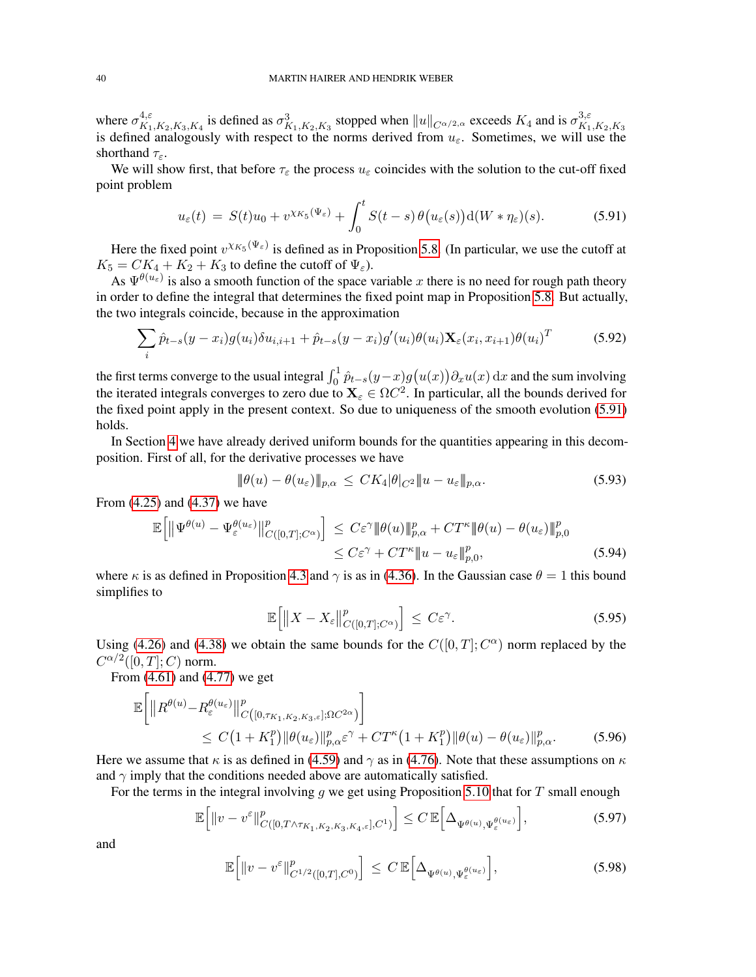where  $\sigma_{K_1}^{4,\varepsilon}$  $\frac{4,\varepsilon}{K_1,K_2,K_3,K_4}$  is defined as  $\sigma_{K_1,K_2,K_3}^3$  stopped when  $||u||_{C^{\alpha/2,\alpha}}$  exceeds  $K_4$  and is  $\sigma_{K_1}^{3,\varepsilon}$ where  $\sigma_{K_1,K_2,K_3,K_4}$  is defined as  $\sigma_{K_1,K_2,K_3}$  stopped when  $\|\psi\|_{C^{\alpha/2,\alpha}}$  execteds  $\Lambda_4$  and is  $\sigma_{K_1,K_2,K_3}$  is defined analogously with respect to the norms derived from  $u_{\varepsilon}$ . Sometimes, we will use shorthand  $\tau_{\varepsilon}$ .

We will show first, that before  $\tau_{\varepsilon}$  the process  $u_{\varepsilon}$  coincides with the solution to the cut-off fixed point problem

<span id="page-39-0"></span>
$$
u_{\varepsilon}(t) = S(t)u_0 + v^{\chi_{K_5}(\Psi_{\varepsilon})} + \int_0^t S(t-s)\,\theta\big(u_{\varepsilon}(s)\big) \mathrm{d}(W*\eta_{\varepsilon})(s). \tag{5.91}
$$

Here the fixed point  $v^{\chi_{K_5}(\Psi_{\varepsilon})}$  is defined as in Proposition [5.8.](#page-30-1) (In particular, we use the cutoff at  $K_5 = CK_4 + K_2 + K_3$  to define the cutoff of  $\Psi_{\varepsilon}$ ).

As  $\Psi^{\theta(u_{\varepsilon})}$  is also a smooth function of the space variable x there is no need for rough path theory in order to define the integral that determines the fixed point map in Proposition [5.8.](#page-30-1) But actually, the two integrals coincide, because in the approximation

$$
\sum_{i} \hat{p}_{t-s}(y-x_i)g(u_i)\delta u_{i,i+1} + \hat{p}_{t-s}(y-x_i)g'(u_i)\theta(u_i)\mathbf{X}_{\varepsilon}(x_i,x_{i+1})\theta(u_i)^T
$$
(5.92)

the first terms converge to the usual integral  $\int_0^1 \hat{p}_{t-s}(y-x)g(u(x))\partial_x u(x) dx$  and the sum involving the iterated integrals converges to zero due to  $\mathbf{X}_{\varepsilon} \in \Omega C^2$ . In particular, all the bounds derived for the fixed point apply in the present context. So due to uniqueness of the smooth evolution [\(5.91\)](#page-39-0) holds.

In Section [4](#page-12-0) we have already derived uniform bounds for the quantities appearing in this decomposition. First of all, for the derivative processes we have

$$
\|\theta(u) - \theta(u_{\varepsilon})\|_{p,\alpha} \le CK_4 |\theta|_{C^2} \|u - u_{\varepsilon}\|_{p,\alpha}.
$$
\n(5.93)

From [\(4.25\)](#page-16-2) and [\(4.37\)](#page-18-5) we have

$$
\mathbb{E}\Big[\|\Psi^{\theta(u)} - \Psi_{\varepsilon}^{\theta(u_{\varepsilon})}\|_{C([0,T];C^{\alpha})}^p\Big] \leq C\varepsilon^{\gamma} \|\theta(u)\|_{p,\alpha}^p + CT^{\kappa}\|\theta(u) - \theta(u_{\varepsilon})\|_{p,0}^p
$$
  

$$
\leq C\varepsilon^{\gamma} + CT^{\kappa}\|u - u_{\varepsilon}\|_{p,0}^p, \tag{5.94}
$$

where  $\kappa$  is as defined in Proposition [4.3](#page-16-0) and  $\gamma$  is as in [\(4.36\)](#page-18-6). In the Gaussian case  $\theta = 1$  this bound simplifies to

$$
\mathbb{E}\Big[\|X - X_{\varepsilon}\|_{C([0,T];C^{\alpha})}^p\Big] \leq C\varepsilon^{\gamma}.\tag{5.95}
$$

Using [\(4.26\)](#page-16-3) and [\(4.38\)](#page-18-7) we obtain the same bounds for the  $C([0, T]; C^{\alpha})$  norm replaced by the  $C^{\alpha/2}([0,T];C)$  norm.

From [\(4.61\)](#page-21-6) and [\(4.77\)](#page-23-1) we get

$$
\mathbb{E}\bigg[\|R^{\theta(u)} - R^{\theta(u_{\varepsilon})}_{\varepsilon}\|_{C([0,\tau_{K_1,K_2,K_3,\varepsilon}];\Omega C^{2\alpha})}^p\bigg] \leq C\big(1+K_1^p\big)\|\theta(u_{\varepsilon})\|_{p,\alpha}^p\varepsilon^{\gamma} + CT^{\kappa}\big(1+K_1^p\big)\|\theta(u) - \theta(u_{\varepsilon})\|_{p,\alpha}^p.\tag{5.96}
$$

Here we assume that  $\kappa$  is as defined in [\(4.59\)](#page-21-5) and  $\gamma$  as in [\(4.76\)](#page-23-2). Note that these assumptions on  $\kappa$ and  $\gamma$  imply that the conditions needed above are automatically satisfied.

For the terms in the integral involving q we get using Proposition [5.10](#page-32-0) that for T small enough

$$
\mathbb{E}\Big[\|v-v^{\varepsilon}\|_{C([0,T\wedge\tau_{K_1,K_2,K_3,K_4,\varepsilon}],C^1)}^p\Big] \leq C \,\mathbb{E}\Big[\Delta_{\Psi^{\theta(u)},\Psi^{\theta(u_{\varepsilon})}_{\varepsilon}}\Big],\tag{5.97}
$$

and

$$
\mathbb{E}\Big[\|v-v^{\varepsilon}\|_{C^{1/2}([0,T],C^0)}^p\Big] \leq C \,\mathbb{E}\Big[\Delta_{\Psi^{\theta(u)},\Psi_{\varepsilon}^{\theta(u_{\varepsilon})}}\Big],\tag{5.98}
$$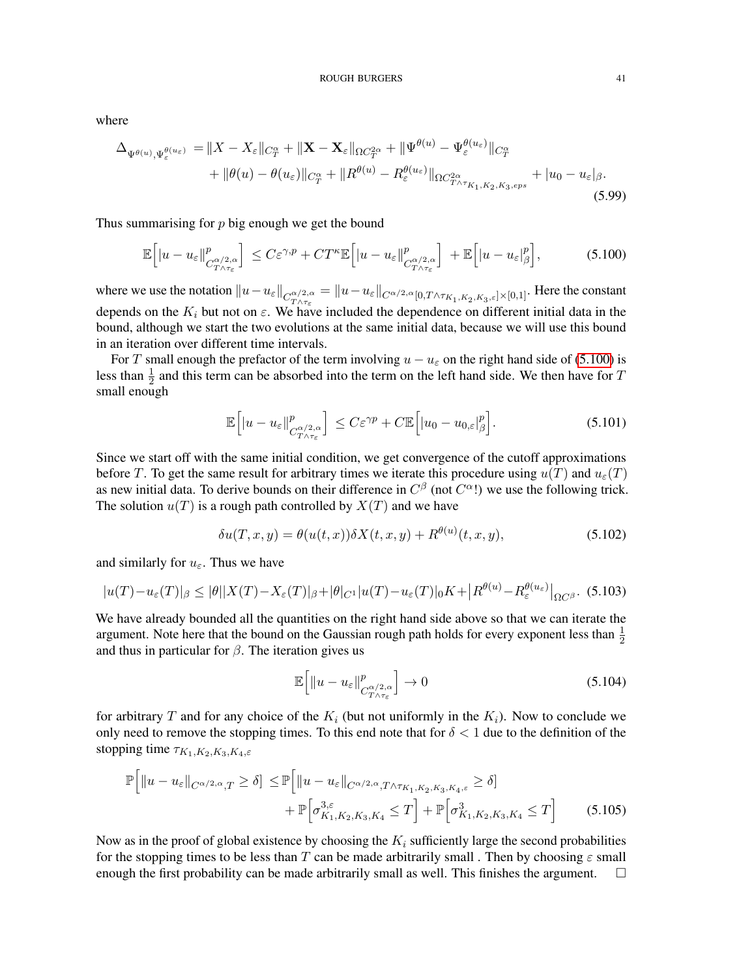where

$$
\Delta_{\Psi^{\theta(u)},\Psi_{\varepsilon}^{\theta(u_{\varepsilon})}} = \|X - X_{\varepsilon}\|_{C_{T}^{\alpha}} + \|\mathbf{X} - \mathbf{X}_{\varepsilon}\|_{\Omega C_{T}^{2\alpha}} + \|\Psi^{\theta(u)} - \Psi_{\varepsilon}^{\theta(u_{\varepsilon})}\|_{C_{T}^{\alpha}} + \|\theta(u) - \theta(u_{\varepsilon})\|_{C_{T}^{\alpha}} + \|R^{\theta(u)} - R_{\varepsilon}^{\theta(u_{\varepsilon})}\|_{\Omega C_{T\wedge\tau_{K_{1},K_{2},K_{3},eps}}} + |u_{0} - u_{\varepsilon}|_{\beta}.
$$
\n(5.99)

Thus summarising for  $p$  big enough we get the bound

$$
\mathbb{E}\Big[|u-u_{\varepsilon}||_{C_{T\wedge\tau_{\varepsilon}}^{\alpha/2,\alpha}}^p\Big] \leq C\varepsilon^{\gamma,p} + CT^{\kappa}\mathbb{E}\Big[|u-u_{\varepsilon}||_{C_{T\wedge\tau_{\varepsilon}}^{\alpha/2,\alpha}}^p\Big] + \mathbb{E}\Big[|u-u_{\varepsilon}|_{\beta}^p\Big],\tag{5.100}
$$

where we use the notation  $||u - u_{\varepsilon}||_{C^{\alpha/2, \alpha}_{T \wedge \tau_{\varepsilon}}} = ||u - u_{\varepsilon}||_{C^{\alpha/2, \alpha}[0, T \wedge \tau_{K_1, K_2, K_3, \varepsilon}] \times [0,1]}$ . Here the constant depends on the  $K_i$  but not on  $\varepsilon$ . We have included the dependence on different initial data in the bound, although we start the two evolutions at the same initial data, because we will use this bound in an iteration over different time intervals.

For T small enough the prefactor of the term involving  $u - u_{\varepsilon}$  on the right hand side of [\(5.100\)](#page-40-0) is less than  $\frac{1}{2}$  and this term can be absorbed into the term on the left hand side. We then have for T small enough

<span id="page-40-0"></span>
$$
\mathbb{E}\Big[|u-u_{\varepsilon}||_{C^{\alpha/2,\alpha}_{T\wedge\tau_{\varepsilon}}}^{p}\Big] \leq C\varepsilon^{\gamma p} + C\mathbb{E}\Big[|u_{0}-u_{0,\varepsilon}|_{\beta}^{p}\Big].\tag{5.101}
$$

Since we start off with the same initial condition, we get convergence of the cutoff approximations before T. To get the same result for arbitrary times we iterate this procedure using  $u(T)$  and  $u_{\varepsilon}(T)$ as new initial data. To derive bounds on their difference in  $C^{\beta}$  (not  $C^{\alpha}$ !) we use the following trick. The solution  $u(T)$  is a rough path controlled by  $X(T)$  and we have

$$
\delta u(T, x, y) = \theta(u(t, x)) \delta X(t, x, y) + R^{\theta(u)}(t, x, y), \qquad (5.102)
$$

and similarly for  $u_{\varepsilon}$ . Thus we have

$$
|u(T) - u_{\varepsilon}(T)|_{\beta} \le |\theta| |X(T) - X_{\varepsilon}(T)|_{\beta} + |\theta|_{C^{1}} |u(T) - u_{\varepsilon}(T)|_{0} K + |R^{\theta(u)} - R^{\theta(u_{\varepsilon})}_{\varepsilon}|_{\Omega C^{\beta}}.
$$
 (5.103)

We have already bounded all the quantities on the right hand side above so that we can iterate the argument. Note here that the bound on the Gaussian rough path holds for every exponent less than  $\frac{1}{2}$ and thus in particular for  $\beta$ . The iteration gives us

$$
\mathbb{E}\left[\left\|u-u_{\varepsilon}\right\|_{C^{\alpha/2,\alpha}_{T\wedge\tau_{\varepsilon}}}\right] \to 0\tag{5.104}
$$

for arbitrary T and for any choice of the  $K_i$  (but not uniformly in the  $K_i$ ). Now to conclude we only need to remove the stopping times. To this end note that for  $\delta < 1$  due to the definition of the stopping time  $\tau_{K_1,K_2,K_3,K_4,\varepsilon}$ 

$$
\mathbb{P}\Big[\|u-u_{\varepsilon}\|_{C^{\alpha/2,\alpha},T} \geq \delta\Big] \leq \mathbb{P}\Big[\|u-u_{\varepsilon}\|_{C^{\alpha/2,\alpha},T\wedge\tau_{K_1,K_2,K_3,K_4,\varepsilon}} \geq \delta\Big] \n+ \mathbb{P}\Big[\sigma_{K_1,K_2,K_3,K_4}^{3,\varepsilon} \leq T\Big] + \mathbb{P}\Big[\sigma_{K_1,K_2,K_3,K_4}^3 \leq T\Big] \tag{5.105}
$$

Now as in the proof of global existence by choosing the  $K_i$  sufficiently large the second probabilities for the stopping times to be less than T can be made arbitrarily small . Then by choosing  $\varepsilon$  small enough the first probability can be made arbitrarily small as well. This finishes the argument.